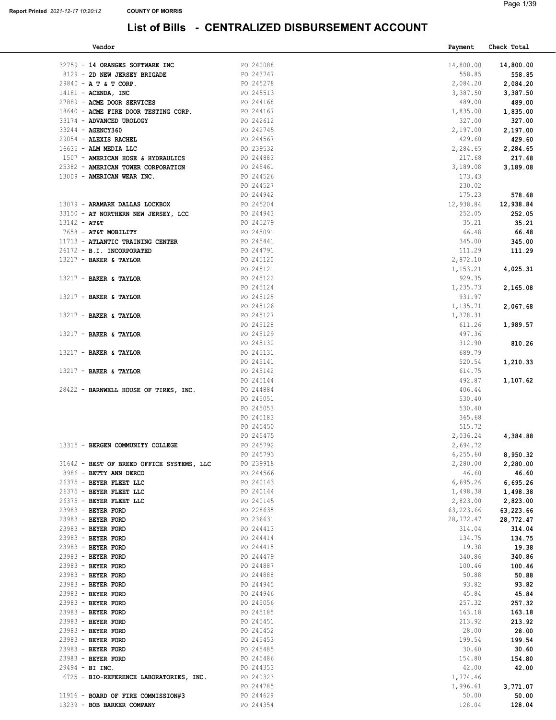| Vendor                                    |                        | Payment   | Check Total |
|-------------------------------------------|------------------------|-----------|-------------|
| 32759 - 14 ORANGES SOFTWARE INC           | PO 240088              | 14,800.00 | 14,800.00   |
| 8129 - 2D NEW JERSEY BRIGADE              | PO 243747              | 558.85    | 558.85      |
| 29840 - A T & T CORP.                     | PO 245278              | 2,084.20  | 2,084.20    |
| $14181$ - ACENDA, INC                     | PO 245513              | 3,387.50  | 3,387.50    |
| 27889 - ACME DOOR SERVICES                | PO 244168              | 489.00    | 489.00      |
| 18640 - ACME FIRE DOOR TESTING CORP.      | PO 244167              | 1,835.00  | 1,835.00    |
| 33174 - ADVANCED UROLOGY                  | PO 242612              | 327.00    | 327.00      |
| 33244 - AGENCY360                         | PO 242745              | 2,197.00  | 2,197.00    |
| 29054 - ALEXIS RACHEL                     | PO 244567              | 429.60    | 429.60      |
| 16635 - ALM MEDIA LLC                     | PO 239532              | 2,284.65  | 2,284.65    |
| 1507 - AMERICAN HOSE & HYDRAULICS         | PO 244883              | 217.68    | 217.68      |
| 25382 - AMERICAN TOWER CORPORATION        | PO 245461              | 3,189.08  | 3,189.08    |
| 13009 - AMERICAN WEAR INC.                | PO 244526              | 173.43    |             |
|                                           | PO 244527              | 230.02    |             |
|                                           |                        | 175.23    |             |
|                                           | PO 244942<br>PO 245204 | 12,938.84 | 578.68      |
| 13079 - ARAMARK DALLAS LOCKBOX            |                        |           | 12,938.84   |
| 33150 - AT NORTHERN NEW JERSEY, LCC       | PO 244943              | 252.05    | 252.05      |
| $13142 - AT6T$                            | PO 245279              | 35.21     | 35.21       |
| 7658 - AT&T MOBILITY                      | PO 245091              | 66.48     | 66.48       |
| 11713 - ATLANTIC TRAINING CENTER          | PO 245441              | 345.00    | 345.00      |
| 26172 - B.I. INCORPORATED                 | PO 244791              | 111.29    | 111.29      |
| 13217 - BAKER & TAYLOR                    | PO 245120              | 2,872.10  |             |
|                                           | PO 245121              | 1,153.21  | 4,025.31    |
| 13217 - BAKER & TAYLOR                    | PO 245122              | 929.35    |             |
|                                           | PO 245124              | 1,235.73  | 2,165.08    |
| 13217 - BAKER & TAYLOR                    | PO 245125              | 931.97    |             |
|                                           | PO 245126              | 1,135.71  | 2,067.68    |
| $13217$ - BAKER & TAYLOR                  | PO 245127              | 1,378.31  |             |
|                                           | PO 245128              | 611.26    | 1,989.57    |
| 13217 - BAKER & TAYLOR                    | PO 245129              | 497.36    |             |
|                                           | PO 245130              | 312.90    | 810.26      |
| $13217$ - BAKER & TAYLOR                  | PO 245131              | 689.79    |             |
|                                           | PO 245141              | 520.54    | 1,210.33    |
| $13217$ - BAKER & TAYLOR                  | PO 245142              | 614.75    |             |
|                                           | PO 245144              | 492.87    | 1,107.62    |
| 28422 - BARNWELL HOUSE OF TIRES, INC.     | PO 244884              | 406.44    |             |
|                                           | PO 245051              | 530.40    |             |
|                                           | PO 245053              | 530.40    |             |
|                                           | PO 245183              | 365.68    |             |
|                                           | PO 245450              | 515.72    |             |
|                                           | PO 245475              | 2,036.24  | 4,384.88    |
| 13315 - BERGEN COMMUNITY COLLEGE          | PO 245792              | 2,694.72  |             |
|                                           | PO 245793              | 6, 255.60 | 8,950.32    |
| 31642 - BEST OF BREED OFFICE SYSTEMS, LLC | PO 239918              | 2,280.00  | 2,280.00    |
| 8986 - BETTY ANN DERCO                    | PO 244566              | 46.60     | 46.60       |
| 26375 - BEYER FLEET LLC                   | PO 240143              | 6,695.26  | 6,695.26    |
| 26375 - BEYER FLEET LLC                   | PO 240144              | 1,498.38  | 1,498.38    |
| 26375 - BEYER FLEET LLC                   | PO 240145              | 2,823.00  | 2,823.00    |
| 23983 - BEYER FORD                        | PO 228635              | 63,223.66 | 63,223.66   |
| 23983 - BEYER FORD                        | PO 236631              | 28,772.47 | 28,772.47   |
| 23983 - BEYER FORD                        | PO 244413              | 314.04    | 314.04      |
| 23983 - BEYER FORD                        | PO 244414              | 134.75    | 134.75      |
| 23983 - BEYER FORD                        | PO 244415              | 19.38     | 19.38       |
| 23983 - BEYER FORD                        | PO 244479              | 340.86    | 340.86      |
| 23983 - BEYER FORD                        | PO 244887              | 100.46    | 100.46      |
| 23983 - BEYER FORD                        | PO 244888              | 50.88     | 50.88       |
| 23983 - BEYER FORD                        | PO 244945              | 93.82     | 93.82       |
| 23983 - BEYER FORD                        | PO 244946              | 45.84     | 45.84       |
| 23983 - BEYER FORD                        | PO 245056              | 257.32    | 257.32      |
| 23983 - BEYER FORD                        | PO 245185              | 163.18    | 163.18      |
| 23983 - BEYER FORD                        | PO 245451              | 213.92    | 213.92      |
| 23983 - BEYER FORD                        | PO 245452              | 28.00     | 28.00       |
| 23983 - BEYER FORD                        | PO 245453              | 199.54    | 199.54      |
| 23983 - BEYER FORD                        | PO 245485              | 30.60     | 30.60       |
| 23983 - BEYER FORD                        | PO 245486              | 154.80    | 154.80      |
| $29494 - BI$ INC.                         | PO 244353              | 42.00     | 42.00       |
| 6725 - BIO-REFERENCE LABORATORIES, INC.   | PO 240323              | 1,774.46  |             |
|                                           | PO 244785              | 1,996.61  | 3,771.07    |
| 11916 - BOARD OF FIRE COMMISSION#3        | PO 244629              | 50.00     | 50.00       |
| 13239 - BOB BARKER COMPANY                | PO 244354              | 128.04    | 128.04      |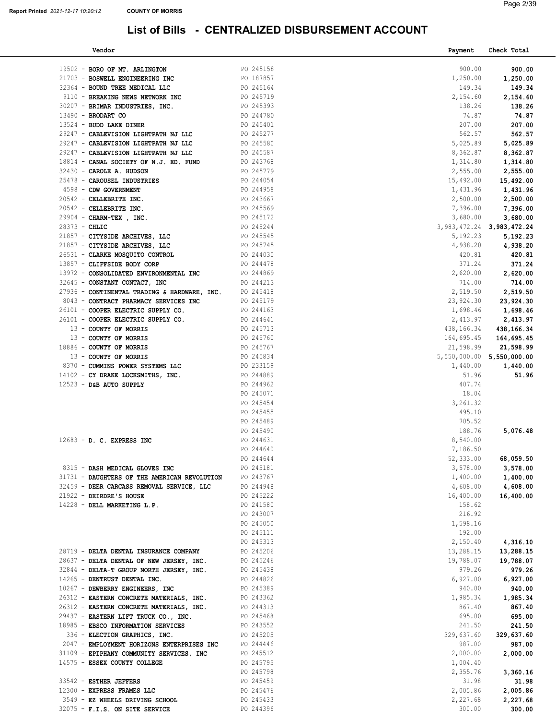| Vendor                                                 |                        | Payment                         | Check Total |
|--------------------------------------------------------|------------------------|---------------------------------|-------------|
|                                                        |                        |                                 |             |
| 19502 - BORO OF MT. ARLINGTON                          | PO 245158              | 900.00                          | 900.00      |
| 21703 - BOSWELL ENGINEERING INC                        | PO 187857              | 1,250.00                        | 1,250.00    |
| 32364 - BOUND TREE MEDICAL LLC                         | PO 245164              | 149.34                          | 149.34      |
| 9110 - BREAKING NEWS NETWORK INC                       | PO 245719              | 2,154.60                        | 2,154.60    |
| 30207 - BRIMAR INDUSTRIES, INC.                        | PO 245393              | 138.26                          | 138.26      |
|                                                        | PO 244780              | 74.87                           | 74.87       |
| $13490$ - BRODART CO                                   |                        |                                 |             |
| 13524 - BUDD LAKE DINER                                | PO 245401              | 207.00                          | 207.00      |
| 29247 - CABLEVISION LIGHTPATH NJ LLC                   | PO 245277              | 562.57                          | 562.57      |
| 29247 - CABLEVISION LIGHTPATH NJ LLC                   | PO 245580              | 5,025.89                        | 5,025.89    |
| 29247 - CABLEVISION LIGHTPATH NJ LLC                   | PO 245587              | 8,362.87                        | 8,362.87    |
| 18814 - CANAL SOCIETY OF N.J. ED. FUND                 | PO 243768              | 1,314.80                        | 1,314.80    |
| 32430 - CAROLE A. HUDSON                               | PO 245779              | 2,555.00                        | 2,555.00    |
| 25478 - CAROUSEL INDUSTRIES                            | PO 244054              | 15,492.00                       | 15,492.00   |
| 4598 - CDW GOVERNMENT                                  | PO 244958              | 1,431.96                        | 1,431.96    |
| 20542 - CELLEBRITE INC.                                | PO 243667              | 2,500.00                        | 2,500.00    |
| 20542 - CELLEBRITE INC.                                | PO 245569              | 7,396.00                        | 7,396.00    |
|                                                        |                        |                                 |             |
| 29904 - CHARM-TEX, INC.                                | PO 245172              | 3,680.00                        | 3,680.00    |
| $28373 - CHLIC$                                        | PO 245244              | 3, 983, 472. 24 3, 983, 472. 24 |             |
| 21857 - CITYSIDE ARCHIVES, LLC                         | PO 245545              | 5,192.23                        | 5,192.23    |
| 21857 - CITYSIDE ARCHIVES, LLC                         | PO 245745              | 4,938.20                        | 4,938.20    |
| 26531 - CLARKE MOSQUITO CONTROL                        | PO 244030              | 420.81                          | 420.81      |
| 13857 - CLIFFSIDE BODY CORP                            | PO 244478              | 371.24                          | 371.24      |
| 13972 - CONSOLIDATED ENVIRONMENTAL INC                 | PO 244869              | 2,620.00                        | 2,620.00    |
| 32645 - CONSTANT CONTACT, INC                          | PO 244213              | 714.00                          | 714.00      |
| 27936 - CONTINENTAL TRADING & HARDWARE, INC. PO 245418 |                        | 2,519.50                        | 2,519.50    |
| 8043 - CONTRACT PHARMACY SERVICES INC                  | PO 245179              | 23,924.30                       | 23,924.30   |
| 26101 - COOPER ELECTRIC SUPPLY CO.                     |                        | 1,698.46                        | 1,698.46    |
| 26101 - COOPER ELECTRIC SUPPLY CO.                     | PO 244163<br>PO 244641 | 2,413.97                        | 2,413.97    |
| 13 - COUNTY OF MORRIS                                  | PO 245713              | 438,166.34                      | 438,166.34  |
| 13 - COUNTY OF MORRIS                                  |                        | 164,695.45                      | 164,695.45  |
| 18886 - COUNTY OF MORRIS                               | PO 245760<br>PO 245767 | 21,598.99                       | 21,598.99   |
|                                                        | PO 245834              |                                 |             |
| 13 - COUNTY OF MORRIS                                  |                        | 5,550,000.00 5,550,000.00       |             |
| 8370 - CUMMINS POWER SYSTEMS LLC                       | PO 233159              | 1,440.00                        | 1,440.00    |
| 14102 - CY DRAKE LOCKSMITHS, INC.                      | PO 244889              | 51.96                           | 51.96       |
| $12523 -$ D&B AUTO SUPPLY                              | PO 244962              | 407.74                          |             |
|                                                        | PO 245071              | 18.04                           |             |
|                                                        | PO 245454              | 3,261.32                        |             |
|                                                        | PO 245455              | 495.10                          |             |
|                                                        | PO 245489              | 705.52                          |             |
|                                                        | PO 245490              | 188.76                          | 5,076.48    |
| $12683 - D$ . C. EXPRESS INC                           | PO 244631              | 8,540.00                        |             |
|                                                        | PO 244640              | 7,186.50                        |             |
|                                                        | PO 244644              | 52,333.00                       | 68,059.50   |
| 8315 - DASH MEDICAL GLOVES INC                         | PO 245181              | 3,578.00                        | 3,578.00    |
| 31731 - DAUGHTERS OF THE AMERICAN REVOLUTION           | PO 243767              | 1,400.00                        | 1,400.00    |
| 32459 - DEER CARCASS REMOVAL SERVICE, LLC              | PO 244948              | 4,608.00                        | 4,608.00    |
| 21922 - DEIRDRE'S HOUSE                                | PO 245222              | 16,400.00                       | 16,400.00   |
| 14228 - DELL MARKETING L.P.                            | PO 241580              | 158.62                          |             |
|                                                        | PO 243007              | 216.92                          |             |
|                                                        | PO 245050              | 1,598.16                        |             |
|                                                        | PO 245111              | 192.00                          |             |
|                                                        | PO 245313              | 2,150.40                        | 4,316.10    |
|                                                        | PO 245206              | 13,288.15                       | 13,288.15   |
| 28719 - DELTA DENTAL INSURANCE COMPANY                 | PO 245246              |                                 |             |
| 28637 - DELTA DENTAL OF NEW JERSEY, INC.               |                        | 19,788.07                       | 19,788.07   |
| 32844 - DELTA-T GROUP NORTH JERSEY, INC.               | PO 245438              | 979.26                          | 979.26      |
| 14265 - DENTRUST DENTAL INC.                           | PO 244826              | 6,927.00                        | 6,927.00    |
| 10267 - DEWBERRY ENGINEERS, INC                        | PO 245389              | 940.00                          | 940.00      |
| 26312 - EASTERN CONCRETE MATERIALS, INC.               | PO 243362              | 1,985.34                        | 1,985.34    |
| 26312 - EASTERN CONCRETE MATERIALS, INC.               | PO 244313              | 867.40                          | 867.40      |
| 29437 - EASTERN LIFT TRUCK CO., INC.                   | PO 245468              | 695.00                          | 695.00      |
| 18985 - EBSCO INFORMATION SERVICES                     | PO 243552              | 241.50                          | 241.50      |
| 336 - ELECTION GRAPHICS, INC.                          | PO 245205              | 329,637.60                      | 329,637.60  |
| 2047 - EMPLOYMENT HORIZONS ENTERPRISES INC             | PO 244446              | 987.00                          | 987.00      |
| 31109 - EPIPHANY COMMUNITY SERVICES, INC               | PO 245512              | 2,000.00                        | 2,000.00    |
| 14575 - ESSEX COUNTY COLLEGE                           | PO 245795              | 1,004.40                        |             |
|                                                        | PO 245798              | 2,355.76                        | 3,360.16    |
| 33542 - ESTHER JEFFERS                                 | PO 245459              | 31.98                           | 31.98       |
| 12300 - EXPRESS FRAMES LLC                             | PO 245476              | 2,005.86                        | 2,005.86    |
| 3549 - EZ WHEELS DRIVING SCHOOL                        | PO 245433              | 2,227.68                        | 2,227.68    |
| 32075 - F.I.S. ON SITE SERVICE                         | PO 244396              | 300.00                          | 300.00      |
|                                                        |                        |                                 |             |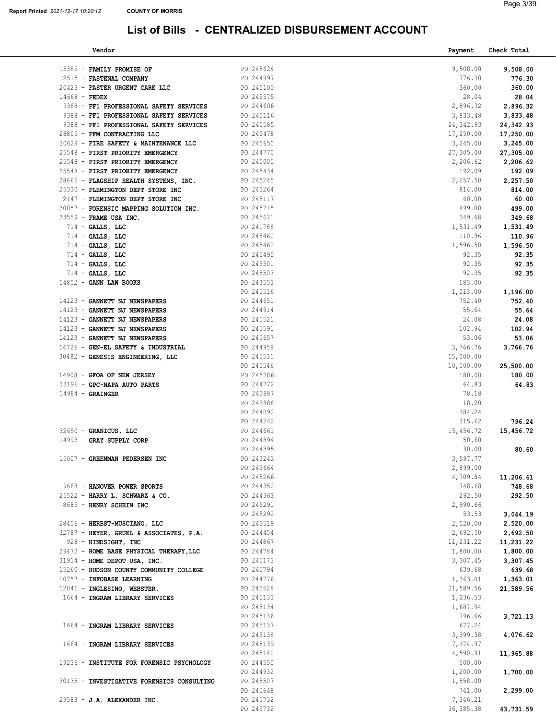| Vendor                                              |                        | Payment            | Check Total         |
|-----------------------------------------------------|------------------------|--------------------|---------------------|
|                                                     |                        |                    |                     |
| 15382 - FAMILY PROMISE OF                           | PO 245624              | 9,508.00           | 9,508.00            |
| 12515 - FASTENAL COMPANY                            | PO 244997              | 776.30             | 776.30              |
| 20423 - FASTER URGENT CARE LLC                      | PO 245100              | 360.00             | 360.00              |
| 14668 - FEDEX                                       | PO 245575              | 28.04              | 28.04               |
| 9388 - FF1 PROFESSIONAL SAFETY SERVICES             | PO 244606              | 2,896.32           | 2,896.32            |
| 9388 - FF1 PROFESSIONAL SAFETY SERVICES             | PO 245116              | 3,833.48           | 3,833.48            |
| 9388 - FF1 PROFESSIONAL SAFETY SERVICES             | PO 245585              | 24, 342.93         | 24,342.93           |
| 28805 - FFM CONTRACTING LLC                         | PO 245478              | 17,250.00          | 17,250.00           |
| 30629 - FIRE SAFETY & MAINTENANCE LLC               | PO 245650              | 3,245.00           | 3,245.00            |
| 25548 - FIRST PRIORITY EMERGENCY                    | PO 244770              | 27,305.00          | 27,305.00           |
| 25548 - FIRST PRIORITY EMERGENCY                    | PO 245005              | 2,206.62           | 2,206.62            |
| 25548 - FIRST PRIORITY EMERGENCY                    | PO 245434              | 192.09             | 192.09              |
| 28666 - FLAGSHIP HEALTH SYSTEMS, INC.               | PO 245245              | 2,257.50           | 2,257.50            |
| 25330 - FLEMINGTON DEPT STORE INC                   | PO 243264              | 814.00             | 814.00              |
| 2147 - FLEMINGTON DEPT STORE INC                    | PO 245117              | 60.00              | 60.00               |
| 30057 - FORENSIC MAPPING SOLUTION INC. PO 245715    |                        | 499.00             | 499.00              |
| 33559 - FRAME USA INC.                              | PO 245671              | 349.68             | 349.68              |
| $714$ - GALLS, LLC                                  | PO 241788              | 1,531.49           | 1,531.49            |
| $714$ - GALLS, LLC                                  | PO 245460              | 110.96             | 110.96              |
| $714$ - GALLS, LLC                                  | PO 245462              | 1,596.50           | 1,596.50            |
| $714$ - GALLS, LLC                                  | PO 245495              | 92.35              | 92.35               |
| $714$ - GALLS, LLC                                  | PO 245501              | 92.35              | 92.35               |
| $714$ - GALLS, LLC                                  | PO 245503              | 92.35              | 92.35               |
| 14852 - GANN LAW BOOKS                              | PO 243553              | 183.00             |                     |
|                                                     | PO 245516              | 1,013.00           | 1,196.00            |
| 14123 - GANNETT NJ NEWSPAPERS                       | PO 244651              | 752.40             | 752.40              |
| 14123 - GANNETT NJ NEWSPAPERS                       | PO 244914              | 55.64              | 55.64               |
| 14123 - GANNETT NJ NEWSPAPERS                       | PO 245521              | 24.08              | 24.08               |
| 14123 - GANNETT NJ NEWSPAPERS                       | PO 245591              | 102.94             | 102.94              |
| 14123 - GANNETT NJ NEWSPAPERS                       | PO 245657              | 53.06              | 53.06               |
| 14726 - GEN-EL SAFETY & INDUSTRIAL                  | PO 244959              | 3,766.76           | 3,766.76            |
| 30482 - GENESIS ENGINEERING, LLC                    | PO 245531              | 15,000.00          |                     |
|                                                     | PO 245546              | 10,500.00          | 25,500.00           |
| 14908 - GFOA OF NEW JERSEY                          | PO 245786              | 180.00             | 180.00              |
| 33196 - GPC-NAPA AUTO PARTS                         | PO 244772              | 64.83              | 64.83               |
| $14984 -$ GRAINGER                                  | PO 243887              | 78.18              |                     |
|                                                     | PO 243888              | 18.20              |                     |
|                                                     | PO 244092              | 384.24             |                     |
|                                                     | PO 244242              | 315.62             | 796.24              |
| 32650 - GRANICUS, LLC                               | PO 244661              | 15,456.72          | 15,456.72           |
| 14993 - GRAY SUPPLY CORP                            | PO 244894              | 50.60              |                     |
|                                                     | PO 244895              | 30.00              | 80.60               |
| 15007 - GREENMAN PEDERSEN INC                       | PO 243243              | 3,597.77           |                     |
|                                                     | PO 243664              | 2,899.00           |                     |
|                                                     | PO 245266              | 4,709.84           | 11,206.61           |
| 9668 - HANOVER POWER SPORTS                         | PO 244352              | 748.68             | 748.68              |
| 25522 - HARRY L. SCHWARZ & CO.                      | PO 244363              | 292.50             | 292.50              |
| 8685 - HENRY SCHEIN INC                             | PO 245291              | 2,990.66           |                     |
|                                                     | PO 245292              | 53.53              | 3,044.19            |
| 28456 - HERBST-MUSCIANO, LLC                        |                        | 2,520.00           | 2,520.00            |
| 32787 - HEYER, GRUEL & ASSOCIATES, P.A.             | PO 243519<br>PO 244454 | 2,692.50           | 2,692.50            |
| 928 - HINDSIGHT, INC                                | PO 244867              | 11,231.22          | 11,231.22           |
| 29472 - HOME BASE PHYSICAL THERAPY, LLC             | PO 244784              |                    | $1,800.00$ 1,800.00 |
| 31914 - HOME DEPOT USA, INC.                        | PO 245173              | 3,307.45           | 3,307.45            |
| 15260 - HUDSON COUNTY COMMUNITY COLLEGE PO 245794   |                        | 639.68             | 639.68              |
| 10757 - INFOBASE LEARNING                           | PO 244776              | 1,363.01           | 1,363.01            |
| 12041 - INGLESINO, WEBSTER,                         | PO 245528              | 21,589.56          | 21,589.56           |
| 1664 - INGRAM LIBRARY SERVICES                      | PO 245133              | 1,236.53           |                     |
|                                                     | PO 245134              |                    |                     |
|                                                     | PO 245136              | 1,687.94<br>796.66 | 3,721.13            |
|                                                     |                        |                    |                     |
| 1664 - INGRAM LIBRARY SERVICES                      | PO 245137              | 677.24             |                     |
|                                                     | PO 245138              | 3,399.38           | 4,076.62            |
| 1664 - INGRAM LIBRARY SERVICES                      | PO 245139              | 7,374.97           |                     |
|                                                     | PO 245140              | 4,590.91           | 11,965.88           |
| 19236 - INSTITUTE FOR FORENSIC PSYCHOLOGY PO 244550 |                        | 500.00             |                     |
|                                                     | PO 244932              | 1,200.00           | 1,700.00            |
| 30135 - INVESTIGATIVE FORENSICS CONSULTING          | PO 245507              | 1,558.00           |                     |
|                                                     | PO 245648              | 741.00             | 2,299.00            |
| 29583 - J.A. ALEXANDER INC.                         | PO 245732              | 7,346.21           |                     |
|                                                     | PO 245732              | 36, 385.38         | 43,731.59           |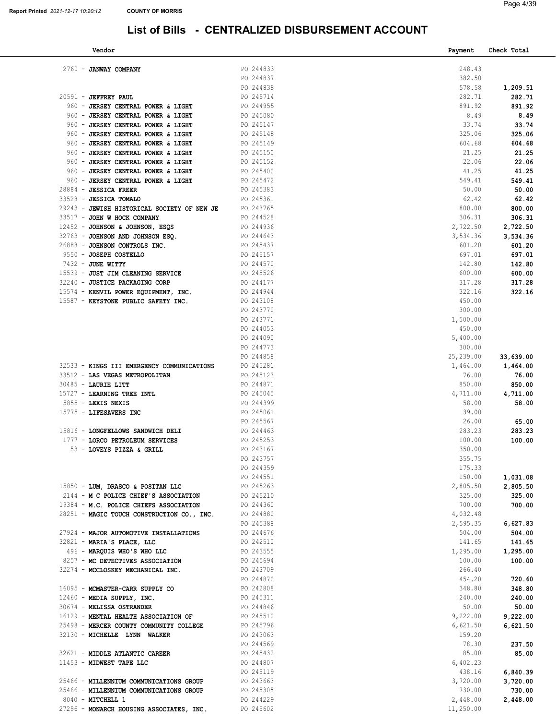| Vendor                                                                     |                        | Payment           | Check Total       |
|----------------------------------------------------------------------------|------------------------|-------------------|-------------------|
|                                                                            |                        |                   |                   |
| 2760 - JANWAY COMPANY                                                      | PO 244833              | 248.43            |                   |
|                                                                            | PO 244837              | 382.50            |                   |
|                                                                            | PO 244838              | 578.58            | 1,209.51          |
| 20591 - JEFFREY PAUL                                                       | PO 245714              | 282.71<br>891.92  | 282.71            |
| 960 - JERSEY CENTRAL POWER & LIGHT<br>960 - JERSEY CENTRAL POWER & LIGHT   | PO 244955<br>PO 245080 | 8.49              | 891.92<br>8.49    |
| 960 - JERSEY CENTRAL POWER & LIGHT                                         | PO 245147              | 33.74             | 33.74             |
| 960 - JERSEY CENTRAL POWER & LIGHT                                         | PO 245148              | 325.06            | 325.06            |
| 960 - JERSEY CENTRAL POWER & LIGHT                                         | PO 245149              | 604.68            | 604.68            |
| 960 - JERSEY CENTRAL POWER & LIGHT                                         | PO 245150              | 21.25             | 21.25             |
| 960 - JERSEY CENTRAL POWER & LIGHT                                         | PO 245152              | 22.06             | 22.06             |
| 960 - JERSEY CENTRAL POWER & LIGHT                                         | PO 245400              | 41.25             | 41.25             |
| 960 - JERSEY CENTRAL POWER & LIGHT                                         | PO 245472              | 549.41            | 549.41            |
| 28884 - JESSICA FREER                                                      | PO 245383              | 50.00             | 50.00             |
| 33528 - JESSICA TOMALO                                                     | PO 245361              | 62.42             | 62.42             |
| 29243 - JEWISH HISTORICAL SOCIETY OF NEW JE                                | PO 243765              | 800.00            | 800.00            |
| 33517 - JOHN W HOCK COMPANY                                                | PO 244528              | 306.31            | 306.31            |
| 12452 - JOHNSON & JOHNSON, ESQS                                            | PO 244936              | 2,722.50          | 2,722.50          |
| 32763 - JOHNSON AND JOHNSON ESQ.                                           | PO 244643              | 3,534.36          | 3,534.36          |
| 26888 - JOHNSON CONTROLS INC.                                              | PO 245437              | 601.20            | 601.20            |
| 9550 - JOSEPH COSTELLO                                                     | PO 245157              | 697.01            | 697.01            |
| 7432 - JUNE WITTY                                                          | PO 244570              | 142.80            | 142.80            |
| 15539 - JUST JIM CLEANING SERVICE<br>32240 - JUSTICE PACKAGING CORP        | PO 245526<br>PO 244177 | 600.00<br>317.28  | 600.00<br>317.28  |
| 15574 - KENVIL POWER EQUIPMENT, INC.                                       | PO 244944              | 322.16            | 322.16            |
| 15587 - KEYSTONE PUBLIC SAFETY INC.                                        | PO 243108              | 450.00            |                   |
|                                                                            | PO 243770              | 300.00            |                   |
|                                                                            | PO 243771              | 1,500.00          |                   |
|                                                                            | PO 244053              | 450.00            |                   |
|                                                                            | PO 244090              | 5,400.00          |                   |
|                                                                            | PO 244773              | 300.00            |                   |
|                                                                            | PO 244858              | 25,239.00         | 33,639.00         |
| 32533 - KINGS III EMERGENCY COMMUNICATIONS                                 | PO 245281              | 1,464.00          | 1,464.00          |
| 33512 - LAS VEGAS METROPOLITAN                                             | PO 245123              | 76.00             | 76.00             |
| $30485$ - LAURIE LITT                                                      | PO 244871              | 850.00            | 850.00            |
| 15727 - LEARNING TREE INTL<br>5855 - LEXIS NEXIS                           | PO 245045<br>PO 244399 | 4,711.00<br>58.00 | 4,711.00<br>58.00 |
| 15775 - LIFESAVERS INC                                                     | PO 245061              | 39.00             |                   |
|                                                                            | PO 245567              | 26.00             | 65.00             |
| 15816 - LONGFELLOWS SANDWICH DELI                                          | PO 244463              | 283.23            | 283.23            |
| 1777 - LORCO PETROLEUM SERVICES                                            | PO 245253              | 100.00            | 100.00            |
| 53 - LOVEYS PIZZA & GRILL                                                  | PO 243167              | 350.00            |                   |
|                                                                            | PO 243757              | 355.75            |                   |
|                                                                            | PO 244359              | 175.33            |                   |
|                                                                            | PO 244551              | 150.00            | 1,031.08          |
| 15850 - LUM, DRASCO & POSITAN LLC<br>2144 - M C POLICE CHIEF'S ASSOCIATION | PO 245263              | 2,805.50          | 2,805.50          |
| 19384 - M.C. POLICE CHIEFS ASSOCIATION                                     | PO 245210<br>PO 244360 | 325.00<br>700.00  | 325.00<br>700.00  |
| 28251 - MAGIC TOUCH CONSTRUCTION CO., INC.                                 | PO 244880              | 4,032.48          |                   |
|                                                                            | PO 245388              | 2,595.35          | 6,627.83          |
| 27924 - MAJOR AUTOMOTIVE INSTALLATIONS                                     | PO 244676              | 504.00            | 504.00            |
| 32821 - MARIA'S PLACE, LLC                                                 | PO 242510              | 141.65            | 141.65            |
| 496 - MARQUIS WHO'S WHO LLC                                                | PO 243555              | 1,295.00          | 1,295.00          |
| 8257 - MC DETECTIVES ASSOCIATION                                           | PO 245694              | 100.00            | 100.00            |
| 32274 - MCCLOSKEY MECHANICAL INC.                                          | PO 243709              | 266.40            |                   |
|                                                                            | PO 244870              | 454.20            | 720.60            |
| 16095 - MCMASTER-CARR SUPPLY CO                                            | PO 242808              | 348.80            | 348.80            |
| $12460$ - MEDIA SUPPLY, INC.                                               | PO 245311<br>PO 244846 | 240.00<br>50.00   | 240.00            |
| 30674 - MELISSA OSTRANDER<br>16129 - MENTAL HEALTH ASSOCIATION OF          | PO 245510              | 9,222.00          | 50.00<br>9,222.00 |
| 25498 - MERCER COUNTY COMMUNITY COLLEGE                                    | PO 245796              | 6,621.50          | 6,621.50          |
| 32130 - MICHELLE LYNN WALKER                                               | PO 243063              | 159.20            |                   |
|                                                                            | PO 244569              | 78.30             | 237.50            |
| 32621 - MIDDLE ATLANTIC CAREER                                             | PO 245432              | 85.00             | 85.00             |
| 11453 - MIDWEST TAPE LLC                                                   | PO 244807              | 6,402.23          |                   |
|                                                                            | PO 245119              | 438.16            | 6,840.39          |
| 25466 - MILLENNIUM COMMUNICATIONS GROUP                                    | PO 243663              | 3,720.00          | 3,720.00          |
| 25466 - MILLENNIUM COMMUNICATIONS GROUP                                    | PO 245305              | 730.00            | 730.00            |
| 8040 - MITCHELL 1                                                          | PO 244229              | 2,448.00          | 2,448.00          |
| 27296 - MONARCH HOUSING ASSOCIATES, INC.                                   | PO 245602              | 11,250.00         |                   |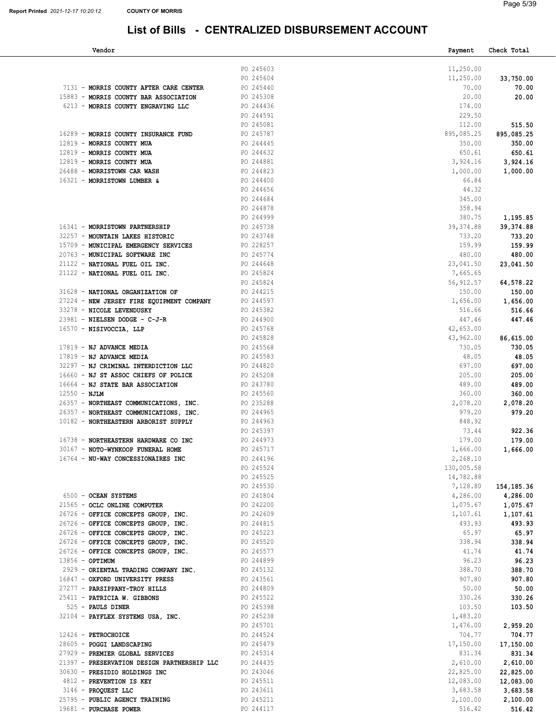| Vendor                                                |                        | Payment    | Check Total  |
|-------------------------------------------------------|------------------------|------------|--------------|
|                                                       |                        |            |              |
|                                                       | PO 245603              | 11,250.00  |              |
|                                                       | PO 245604              | 11,250.00  | 33,750.00    |
| 7131 - MORRIS COUNTY AFTER CARE CENTER                | PO 245440              | 70.00      | 70.00        |
| 15883 - MORRIS COUNTY BAR ASSOCIATION                 | PO 245308              | 20.00      | 20.00        |
| 6213 - MORRIS COUNTY ENGRAVING LLC                    | PO 244436              | 174.00     |              |
|                                                       | PO 244591              | 229.50     |              |
|                                                       | PO 245081              | 112.00     | 515.50       |
| 16289 - MORRIS COUNTY INSURANCE FUND                  | PO 245787              | 895,085.25 | 895,085.25   |
| 12819 - MORRIS COUNTY MUA                             | PO 244445              | 350.00     | 350.00       |
| 12819 - MORRIS COUNTY MUA                             | PO 244632              | 650.61     | 650.61       |
| 12819 - MORRIS COUNTY MUA                             | PO 244881              | 3,924.16   | 3,924.16     |
| 26488 - MORRISTOWN CAR WASH                           | PO 244823              | 1,000.00   | 1,000.00     |
| 16321 - MORRISTOWN LUMBER &                           | PO 244400              | 66.84      |              |
|                                                       | PO 244656              | 44.32      |              |
|                                                       | PO 244684              | 345.00     |              |
|                                                       |                        |            |              |
|                                                       | PO 244878              | 358.94     |              |
|                                                       | PO 244999              | 380.75     | 1,195.85     |
| 16341 - MORRISTOWN PARTNERSHIP                        | PO 245738              | 39, 374.88 | 39,374.88    |
| 32257 - MOUNTAIN LAKES HISTORIC                       | PO 243748              | 733.20     | 733.20       |
| 15709 - MUNICIPAL EMERGENCY SERVICES                  | PO 228257              | 159.99     | 159.99       |
| 20763 - MUNICIPAL SOFTWARE INC                        | PO 245774              | 480.00     | 480.00       |
| 21122 - NATIONAL FUEL OIL INC.                        | PO 244648              | 23,041.50  | 23,041.50    |
| 21122 - NATIONAL FUEL OIL INC.                        | PO 245824              | 7,665.65   |              |
|                                                       | PO 245824              | 56,912.57  | 64,578.22    |
| 31628 - NATIONAL ORGANIZATION OF                      | PO 244215              | 150.00     | 150.00       |
| 27224 - NEW JERSEY FIRE EQUIPMENT COMPANY             | PO 244597              | 1,656.00   | 1,656.00     |
| 33278 - NICOLE LEVENDUSKY                             | PO 245382              | 516.66     | 516.66       |
| 23981 - NIELSEN DODGE - C-J-R                         | PO 244900              | 447.46     | 447.46       |
| 16570 - NISIVOCCIA, LLP                               | PO 245768              | 42,653.00  |              |
|                                                       | PO 245828              | 43,962.00  | 86,615.00    |
| 17819 - NJ ADVANCE MEDIA                              | PO 245568              | 730.05     | 730.05       |
| 17819 - NJ ADVANCE MEDIA                              | PO 245583              | 48.05      | 48.05        |
| 32297 - NJ CRIMINAL INTERDICTION LLC                  | PO 244820              | 697.00     | 697.00       |
| 16660 - NJ ST ASSOC CHIEFS OF POLICE                  | PO 245208              | 205.00     | 205.00       |
| 16664 - NJ STATE BAR ASSOCIATION                      | PO 243780              | 489.00     | 489.00       |
| $12550 - NJLM$                                        | PO 245560              | 360.00     | 360.00       |
| 26357 - NORTHEAST COMMUNICATIONS, INC.                | PO 235288              | 2,078.20   | 2,078.20     |
| 26357 - NORTHEAST COMMUNICATIONS, INC.                | PO 244965              | 979.20     | 979.20       |
|                                                       |                        | 848.92     |              |
| 10182 - NORTHEASTERN ARBORIST SUPPLY                  | PO 244963              | 73.44      |              |
|                                                       | PO 245397              |            | 922.36       |
| 16738 - NORTHEASTERN HARDWARE CO INC                  | PO 244973              | 179.00     | 179.00       |
| 30167 - NOTO-WYNKOOP FUNERAL HOME                     | PO 245717              | 1,666.00   | 1,666.00     |
| 16764 - NU-WAY CONCESSIONAIRES INC                    | PO 244196              | 2,268.10   |              |
|                                                       | PO 245524              | 130,005.58 |              |
|                                                       | PO 245525              | 14,782.88  |              |
|                                                       | PO 245530              | 7,128.80   | 154, 185. 36 |
| 6500 - OCEAN SYSTEMS                                  | PO 241804              | 4,286.00   | 4,286.00     |
| 21565 - OCLC ONLINE COMPUTER                          | PO 242200              | 1,075.67   | 1,075.67     |
| 26726 - OFFICE CONCEPTS GROUP, INC.                   | PO 242609              | 1,107.61   | 1,107.61     |
| 26726 - OFFICE CONCEPTS GROUP, INC.                   | PO 244815              | 493.93     | 493.93       |
| 26726 - OFFICE CONCEPTS GROUP, INC.                   | PO 245223<br>PO 245520 | 65.97      | 65.97        |
| 26726 - OFFICE CONCEPTS GROUP, INC.                   |                        | 338.94     | 338.94       |
| 26726 - OFFICE CONCEPTS GROUP, INC.                   | PO 245577              | 41.74      | 41.74        |
| 13856 - OPTIMUM                                       | PO 244899              | 96.23      | 96.23        |
| 2929 - ORIENTAL TRADING COMPANY INC.                  | PO 245132              | 388.70     | 388.70       |
| 16847 - OXFORD UNIVERSITY PRESS                       | PO 243561              | 907.80     | 907.80       |
| 27277 - PARSIPPANY-TROY HILLS                         | PO 244809              | 50.00      | 50.00        |
| 25411 - PATRICIA W. GIBBONS                           | PO 245522              | 330.26     | 330.26       |
| 525 - PAULS DINER                                     | PO 245398              | 103.50     | 103.50       |
| 32104 - PAYFLEX SYSTEMS USA, INC.                     | PO 245238              | 1,483.20   |              |
|                                                       | PO 245701              | 1,476.00   | 2,959.20     |
| 12426 - PETROCHOICE                                   | PO 244524              | 704.77     | 704.77       |
| 28605 - POGGI LANDSCAPING                             | PO 245479              | 17,150.00  | 17,150.00    |
| 27929 - PREMIER GLOBAL SERVICES                       | PO 245314              | 831.34     | 831.34       |
| 21397 - PRESERVATION DESIGN PARTNERSHIP LLC PO 244435 |                        | 2,610.00   | 2,610.00     |
| 30630 - PRESIDIO HOLDINGS INC                         | PO 243046              | 22,825.00  | 22,825.00    |
|                                                       |                        |            |              |
| 4812 - PREVENTION IS KEY                              | PO 245511              | 12,083.00  | 12,083.00    |
| 3146 - PROQUEST LLC                                   | PO 243611              | 3,683.58   | 3,683.58     |
| 25795 - PUBLIC AGENCY TRAINING                        | PO 245211              | 2,100.00   | 2,100.00     |
| 19681 - PURCHASE POWER                                | PO 244117              | 516.42     | 516.42       |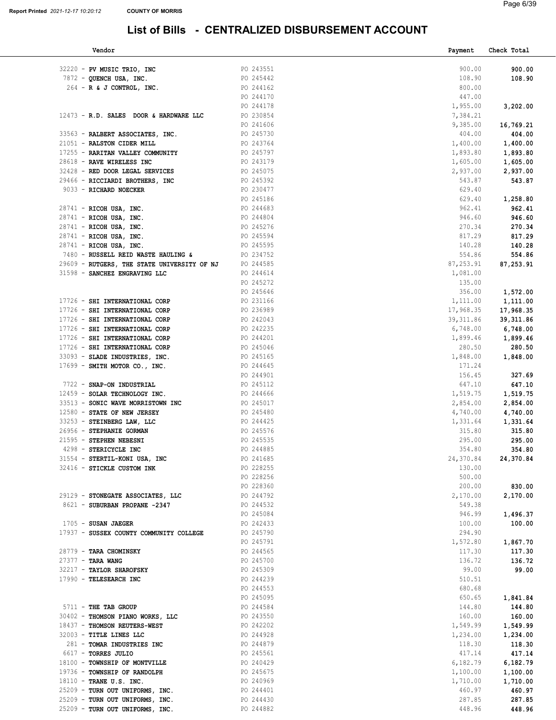| Vendor                                                     |                        | Payment            | Check Total          |
|------------------------------------------------------------|------------------------|--------------------|----------------------|
| 32220 - PV MUSIC TRIO, INC                                 | PO 243551              | 900.00             | 900.00               |
| 7872 - QUENCH USA, INC.                                    | PO 245442              | 108.90             | 108.90               |
| $264$ - R & J CONTROL, INC.                                | PO 244162              | 800.00             |                      |
|                                                            | PO 244170              | 447.00             |                      |
|                                                            | PO 244178              | 1,955.00           | 3,202.00             |
| 12473 - R.D. SALES DOOR & HARDWARE LLC                     | PO 230854              | 7,384.21           |                      |
|                                                            | PO 241606              | 9,385.00           | 16,769.21            |
| 33563 - RALBERT ASSOCIATES, INC.                           | PO 245730              | 404.00             | 404.00               |
| 21051 - RALSTON CIDER MILL                                 | PO 243764              | 1,400.00           | 1,400.00             |
| 17255 - RARITAN VALLEY COMMUNITY                           | PO 245797              | 1,893.80           | 1,893.80             |
| 28618 - RAVE WIRELESS INC                                  | PO 243179              | 1,605.00           | 1,605.00             |
| 32428 - RED DOOR LEGAL SERVICES                            | PO 245075              | 2,937.00           | 2,937.00             |
| 29466 - RICCIARDI BROTHERS, INC                            | PO 245392              | 543.87             | 543.87               |
| 9033 - RICHARD NOECKER                                     | PO 230477              | 629.40             |                      |
|                                                            | PO 245186              | 629.40             | 1,258.80             |
| 28741 - RICOH USA, INC.                                    | PO 244683              | 962.41             | 962.41               |
| 28741 - RICOH USA, INC.                                    | PO 244804<br>PO 245276 | 946.60             | 946.60               |
| 28741 - RICOH USA, INC.                                    | PO 245594              | 270.34<br>817.29   | 270.34<br>817.29     |
| 28741 - RICOH USA, INC.<br>28741 - RICOH USA, INC.         | PO 245595              | 140.28             | 140.28               |
| 7480 - RUSSELL REID WASTE HAULING &                        | PO 234752              | 554.86             | 554.86               |
| 29609 - RUTGERS, THE STATE UNIVERSITY OF NJ                | PO 244585              | 87,253.91          | 87,253.91            |
| 31598 - SANCHEZ ENGRAVING LLC                              | PO 244614              | 1,081.00           |                      |
|                                                            | PO 245272              | 135.00             |                      |
|                                                            | PO 245646              | 356.00             | 1,572.00             |
| 17726 - SHI INTERNATIONAL CORP                             | PO 231166              | 1,111.00           | 1,111.00             |
| 17726 - SHI INTERNATIONAL CORP                             | PO 236989              | 17,968.35          | 17,968.35            |
| 17726 - SHI INTERNATIONAL CORP                             | PO 242043              | 39, 311.86         | 39, 311.86           |
| 17726 - SHI INTERNATIONAL CORP                             | PO 242235              | 6,748.00           | 6,748.00             |
| 17726 - SHI INTERNATIONAL CORP                             | PO 244201              | 1,899.46           | 1,899.46             |
| 17726 - SHI INTERNATIONAL CORP                             | PO 245046              | 280.50             | 280.50               |
| 33093 - SLADE INDUSTRIES, INC.                             | PO 245165              | 1,848.00           | 1,848.00             |
| $17699$ - SMITH MOTOR CO., INC.                            | PO 244645              | 171.24             |                      |
|                                                            | PO 244901              | 156.45             | 327.69               |
| 7722 - SNAP-ON INDUSTRIAL<br>12459 - SOLAR TECHNOLOGY INC. | PO 245112<br>PO 244666 | 647.10<br>1,519.75 | 647.10               |
| 33513 - SONIC WAVE MORRISTOWN INC                          | PO 245017              | 2,854.00           | 1,519.75<br>2,854.00 |
| 12580 - STATE OF NEW JERSEY                                | PO 245480              | 4,740.00           | 4,740.00             |
| 33253 - STEINBERG LAW, LLC                                 | PO 244425              | 1,331.64           | 1,331.64             |
| 26956 - STEPHANIE GORMAN                                   | PO 245576              | 315.80             | 315.80               |
| 21595 - STEPHEN NEBESNI                                    | PO 245535              | 295.00             | 295.00               |
| 4298 - STERICYCLE INC                                      | PO 244885              | 354.80             | 354.80               |
| 31554 - STERTIL-KONI USA, INC                              | PO 241685              | 24,370.84          | 24,370.84            |
| 32416 - STICKLE CUSTOM INK                                 | PO 228255              | 130.00             |                      |
|                                                            | PO 228256              | 500.00             |                      |
|                                                            | PO 228360              | 200.00             | 830.00               |
| 29129 - STONEGATE ASSOCIATES, LLC                          | PO 244792              | 2,170.00           | 2,170.00             |
| 8621 - SUBURBAN PROPANE -2347                              | PO 244532              | 549.38             |                      |
| $1705$ - SUSAN JAEGER                                      | PO 245084              | 946.99             | 1,496.37             |
| 17937 - SUSSEX COUNTY COMMUNITY COLLEGE                    | PO 242433<br>PO 245790 | 100.00<br>294.90   | 100.00               |
|                                                            | PO 245791              | 1,572.80           | 1,867.70             |
| 28779 - TARA CHOMINSKY                                     | PO 244565              | 117.30             | 117.30               |
| $27377 -$ TARA WANG                                        | PO 245700              | 136.72             | 136.72               |
| 32217 - TAYLOR SHAROFSKY                                   | PO 245309              | 99.00              | 99.00                |
| 17990 - TELESEARCH INC                                     | PO 244239              | 510.51             |                      |
|                                                            | PO 244553              | 680.68             |                      |
|                                                            | PO 245095              | 650.65             | 1,841.84             |
| 5711 - THE TAB GROUP                                       | PO 244584              | 144.80             | 144.80               |
| 30402 - THOMSON PIANO WORKS, LLC                           | PO 243550              | 160.00             | 160.00               |
| 18437 - THOMSON REUTERS-WEST                               | PO 242202              | 1,549.99           | 1,549.99             |
| 32003 - TITLE LINES LLC                                    | PO 244928              | 1,234.00           | 1,234.00             |
| 281 - TOMAR INDUSTRIES INC                                 | PO 244879              | 118.30             | 118.30               |
| 6617 - TORRES JULIO                                        | PO 245561              | 417.14             | 417.14               |
| 18100 - TOWNSHIP OF MONTVILLE                              | PO 240429              | 6,182.79           | 6,182.79             |
| 19736 - TOWNSHIP OF RANDOLPH                               | PO 245675              | 1,100.00           | 1,100.00             |
| 18110 - TRANE U.S. INC.<br>25209 - TURN OUT UNIFORMS, INC. | PO 240969<br>PO 244401 | 1,710.00<br>460.97 | 1,710.00<br>460.97   |
| 25209 - TURN OUT UNIFORMS, INC.                            | PO 244430              | 287.85             | 287.85               |
| 25209 - TURN OUT UNIFORMS, INC.                            | PO 244882              | 448.96             | 448.96               |
|                                                            |                        |                    |                      |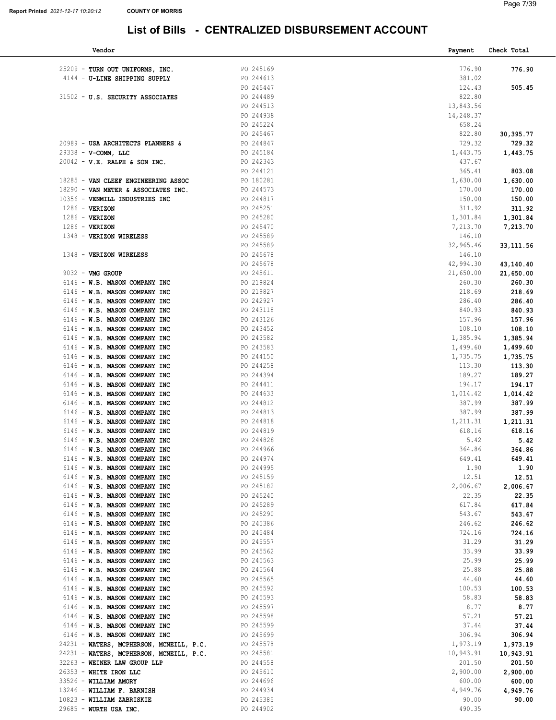| Vendor                                   |           | Payment   | Check Total |
|------------------------------------------|-----------|-----------|-------------|
|                                          |           |           |             |
| 25209 - TURN OUT UNIFORMS, INC.          | PO 245169 | 776.90    | 776.90      |
| 4144 - U-LINE SHIPPING SUPPLY            | PO 244613 | 381.02    |             |
|                                          | PO 245447 | 124.43    | 505.45      |
| 31502 - U.S. SECURITY ASSOCIATES         | PO 244489 | 822.80    |             |
|                                          | PO 244513 | 13,843.56 |             |
|                                          | PO 244938 | 14,248.37 |             |
|                                          | PO 245224 | 658.24    |             |
|                                          | PO 245467 | 822.80    | 30,395.77   |
| 20989 - USA ARCHITECTS PLANNERS &        | PO 244847 | 729.32    | 729.32      |
| $29338 - V-COMM$ , LLC                   | PO 245184 | 1,443.75  | 1,443.75    |
| $20042 - V.E. RALPH & SON INC.$          | PO 242343 | 437.67    |             |
|                                          |           |           | 803.08      |
|                                          | PO 244121 | 365.41    |             |
| 18285 - VAN CLEEF ENGINEERING ASSOC      | PO 180281 | 1,630.00  | 1,630.00    |
| 18290 - VAN METER & ASSOCIATES INC.      | PO 244573 | 170.00    | 170.00      |
| 10356 - VENMILL INDUSTRIES INC           | PO 244817 | 150.00    | 150.00      |
| $1286$ - VERIZON                         | PO 245251 | 311.92    | 311.92      |
| $1286$ - VERIZON                         | PO 245280 | 1,301.84  | 1,301.84    |
| $1286$ - VERIZON                         | PO 245470 | 7,213.70  | 7,213.70    |
| 1348 - VERIZON WIRELESS                  | PO 245589 | 146.10    |             |
|                                          | PO 245589 | 32,965.46 | 33, 111.56  |
| 1348 - VERIZON WIRELESS                  | PO 245678 | 146.10    |             |
|                                          | PO 245678 | 42,994.30 | 43,140.40   |
| 9032 - VMG GROUP                         | PO 245611 | 21,650.00 | 21,650.00   |
| 6146 - W.B. MASON COMPANY INC            | PO 219824 | 260.30    | 260.30      |
| 6146 - W.B. MASON COMPANY INC            | PO 219827 | 218.69    | 218.69      |
| 6146 - W.B. MASON COMPANY INC            | PO 242927 | 286.40    | 286.40      |
| 6146 - W.B. MASON COMPANY INC            | PO 243118 | 840.93    | 840.93      |
| 6146 - W.B. MASON COMPANY INC            | PO 243126 | 157.96    | 157.96      |
| 6146 - W.B. MASON COMPANY INC            | PO 243452 | 108.10    | 108.10      |
| 6146 - W.B. MASON COMPANY INC            | PO 243582 | 1,385.94  | 1,385.94    |
| 6146 - W.B. MASON COMPANY INC            | PO 243583 | 1,499.60  | 1,499.60    |
| 6146 - W.B. MASON COMPANY INC            | PO 244150 | 1,735.75  | 1,735.75    |
| 6146 - W.B. MASON COMPANY INC            | PO 244258 | 113.30    | 113.30      |
|                                          | PO 244394 | 189.27    |             |
| 6146 - W.B. MASON COMPANY INC            |           |           | 189.27      |
| 6146 - W.B. MASON COMPANY INC            | PO 244411 | 194.17    | 194.17      |
| 6146 - W.B. MASON COMPANY INC            | PO 244633 | 1,014.42  | 1,014.42    |
| 6146 - W.B. MASON COMPANY INC            | PO 244812 | 387.99    | 387.99      |
| 6146 - W.B. MASON COMPANY INC            | PO 244813 | 387.99    | 387.99      |
| 6146 - W.B. MASON COMPANY INC            | PO 244818 | 1,211.31  | 1,211.31    |
| 6146 - W.B. MASON COMPANY INC            | PO 244819 | 618.16    | 618.16      |
| 6146 - W.B. MASON COMPANY INC            | PO 244828 | 5.42      | 5.42        |
| 6146 - W.B. MASON COMPANY INC            | PO 244966 | 364.86    | 364.86      |
| 6146 - W.B. MASON COMPANY INC            | PO 244974 | 649.41    | 649.41      |
| 6146 - W.B. MASON COMPANY INC            | PO 244995 | 1.90      | 1.90        |
| 6146 - W.B. MASON COMPANY INC            | PO 245159 | 12.51     | 12.51       |
| 6146 - W.B. MASON COMPANY INC            | PO 245182 | 2,006.67  | 2,006.67    |
| 6146 - W.B. MASON COMPANY INC            | PO 245240 | 22.35     | 22.35       |
| 6146 - W.B. MASON COMPANY INC            | PO 245289 | 617.84    | 617.84      |
| 6146 - W.B. MASON COMPANY INC            | PO 245290 | 543.67    | 543.67      |
| 6146 - W.B. MASON COMPANY INC            | PO 245386 | 246.62    | 246.62      |
| 6146 - W.B. MASON COMPANY INC            | PO 245484 | 724.16    | 724.16      |
| 6146 - W.B. MASON COMPANY INC            | PO 245557 | 31.29     | 31.29       |
| 6146 - W.B. MASON COMPANY INC            | PO 245562 | 33.99     | 33.99       |
| 6146 - W.B. MASON COMPANY INC            | PO 245563 | 25.99     | 25.99       |
| 6146 - W.B. MASON COMPANY INC            | PO 245564 | 25.88     | 25.88       |
| 6146 - W.B. MASON COMPANY INC            | PO 245565 | 44.60     | 44.60       |
| 6146 - W.B. MASON COMPANY INC            | PO 245592 | 100.53    | 100.53      |
| 6146 - W.B. MASON COMPANY INC            | PO 245593 | 58.83     | 58.83       |
| 6146 - W.B. MASON COMPANY INC            | PO 245597 | 8.77      | 8.77        |
| 6146 - W.B. MASON COMPANY INC            | PO 245598 | 57.21     | 57.21       |
|                                          |           |           |             |
| 6146 - W.B. MASON COMPANY INC            | PO 245599 | 37.44     | 37.44       |
| 6146 - W.B. MASON COMPANY INC            | PO 245699 | 306.94    | 306.94      |
| 24231 - WATERS, MCPHERSON, MCNEILL, P.C. | PO 245578 | 1,973.19  | 1,973.19    |
| 24231 - WATERS, MCPHERSON, MCNEILL, P.C. | PO 245581 | 10,943.91 | 10,943.91   |
| 32263 - WEINER LAW GROUP LLP             | PO 244558 | 201.50    | 201.50      |
| $26353$ - WHITE IRON LLC                 | PO 245610 | 2,900.00  | 2,900.00    |
| 33526 - WILLIAM AMORY                    | PO 244696 | 600.00    | 600.00      |
| 13246 - WILLIAM F. BARNISH               | PO 244934 | 4,949.76  | 4,949.76    |
| 10823 - WILLIAM ZABRISKIE                | PO 245385 | 90.00     | 90.00       |
| 29685 - WURTH USA INC.                   | PO 244902 | 490.35    |             |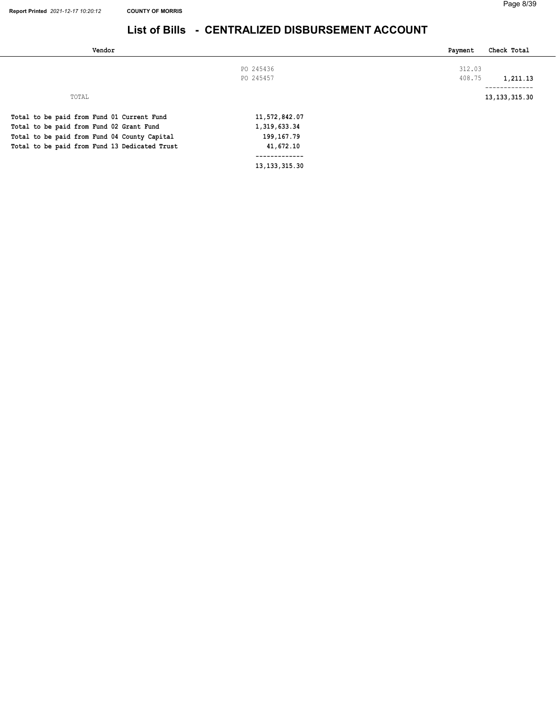| Vendor                                        |               | Check Total<br>Payment |
|-----------------------------------------------|---------------|------------------------|
|                                               | PO 245436     | 312.03                 |
|                                               | PO 245457     | 408.75<br>1,211.13     |
|                                               |               | -------------          |
| TOTAL                                         |               | 13, 133, 315. 30       |
| Total to be paid from Fund 01 Current Fund    | 11,572,842.07 |                        |
| Total to be paid from Fund 02 Grant Fund      | 1,319,633.34  |                        |
| Total to be paid from Fund 04 County Capital  | 199, 167. 79  |                        |
| Total to be paid from Fund 13 Dedicated Trust | 41,672.10     |                        |
|                                               |               |                        |

13,133,315.30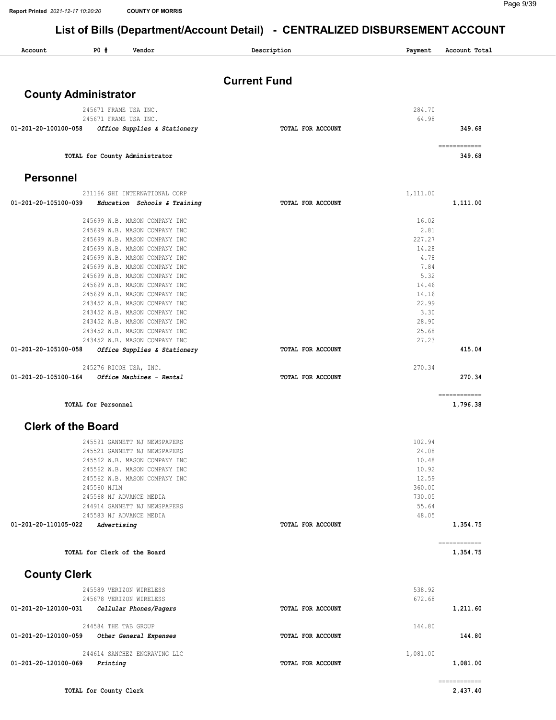| Account              | P0#<br>Vendor                                                  | Description         | Payment       | Account Total |
|----------------------|----------------------------------------------------------------|---------------------|---------------|---------------|
|                      |                                                                |                     |               |               |
|                      |                                                                | <b>Current Fund</b> |               |               |
|                      | <b>County Administrator</b>                                    |                     |               |               |
|                      | 245671 FRAME USA INC.                                          |                     | 284.70        |               |
|                      | 245671 FRAME USA INC.                                          |                     | 64.98         |               |
| 01-201-20-100100-058 | Office Supplies & Stationery                                   | TOTAL FOR ACCOUNT   |               | 349.68        |
|                      |                                                                |                     |               | ============  |
|                      | TOTAL for County Administrator                                 |                     |               | 349.68        |
|                      |                                                                |                     |               |               |
| <b>Personnel</b>     |                                                                |                     |               |               |
|                      | 231166 SHI INTERNATIONAL CORP                                  |                     | 1,111.00      |               |
| 01-201-20-105100-039 | Education Schools & Training                                   | TOTAL FOR ACCOUNT   |               | 1,111.00      |
|                      | 245699 W.B. MASON COMPANY INC                                  |                     | 16.02         |               |
|                      | 245699 W.B. MASON COMPANY INC                                  |                     | 2.81          |               |
|                      | 245699 W.B. MASON COMPANY INC                                  |                     | 227.27        |               |
|                      | 245699 W.B. MASON COMPANY INC                                  |                     | 14.28         |               |
|                      | 245699 W.B. MASON COMPANY INC                                  |                     | 4.78          |               |
|                      | 245699 W.B. MASON COMPANY INC                                  |                     | 7.84          |               |
|                      | 245699 W.B. MASON COMPANY INC                                  |                     | 5.32          |               |
|                      | 245699 W.B. MASON COMPANY INC                                  |                     | 14.46         |               |
|                      | 245699 W.B. MASON COMPANY INC                                  |                     | 14.16         |               |
|                      | 243452 W.B. MASON COMPANY INC                                  |                     | 22.99         |               |
|                      | 243452 W.B. MASON COMPANY INC<br>243452 W.B. MASON COMPANY INC |                     | 3.30<br>28.90 |               |
|                      | 243452 W.B. MASON COMPANY INC                                  |                     | 25.68         |               |
|                      | 243452 W.B. MASON COMPANY INC                                  |                     | 27.23         |               |
| 01-201-20-105100-058 | Office Supplies & Stationery                                   | TOTAL FOR ACCOUNT   |               | 415.04        |
|                      |                                                                |                     |               |               |
| 01-201-20-105100-164 | 245276 RICOH USA, INC.<br>Office Machines - Rental             | TOTAL FOR ACCOUNT   | 270.34        | 270.34        |
|                      |                                                                |                     |               |               |
|                      |                                                                |                     |               | ============  |
|                      | TOTAL for Personnel                                            |                     |               | 1,796.38      |
|                      | <b>Clerk of the Board</b>                                      |                     |               |               |
|                      | 245591 GANNETT NJ NEWSPAPERS                                   |                     | 102.94        |               |
|                      | 245521 GANNETT NJ NEWSPAPERS                                   |                     | 24.08         |               |
|                      | 245562 W.B. MASON COMPANY INC                                  |                     | 10.48         |               |
|                      | 245562 W.B. MASON COMPANY INC                                  |                     | 10.92         |               |
|                      | 245562 W.B. MASON COMPANY INC                                  |                     | 12.59         |               |
|                      | 245560 NJLM                                                    |                     | 360.00        |               |
|                      | 245568 NJ ADVANCE MEDIA                                        |                     | 730.05        |               |
|                      | 244914 GANNETT NJ NEWSPAPERS                                   |                     | 55.64         |               |
|                      | 245583 NJ ADVANCE MEDIA                                        |                     | 48.05         |               |
| 01-201-20-110105-022 | Advertising                                                    | TOTAL FOR ACCOUNT   |               | 1,354.75      |
|                      |                                                                |                     |               | ============  |
|                      | TOTAL for Clerk of the Board                                   |                     |               | 1,354.75      |
| <b>County Clerk</b>  |                                                                |                     |               |               |
|                      | 245589 VERIZON WIRELESS                                        |                     | 538.92        |               |
|                      | 245678 VERIZON WIRELESS                                        |                     | 672.68        |               |
| 01-201-20-120100-031 | Cellular Phones/Pagers                                         | TOTAL FOR ACCOUNT   |               | 1,211.60      |
|                      | 244584 THE TAB GROUP                                           |                     | 144.80        |               |
| 01-201-20-120100-059 | Other General Expenses                                         | TOTAL FOR ACCOUNT   |               | 144.80        |
|                      |                                                                |                     |               |               |
|                      | 244614 SANCHEZ ENGRAVING LLC                                   |                     | 1,081.00      |               |
| 01-201-20-120100-069 | Printing                                                       | TOTAL FOR ACCOUNT   |               | 1,081.00      |
|                      |                                                                |                     |               | ============  |
|                      | TOTAL for County Clerk                                         |                     |               | 2,437.40      |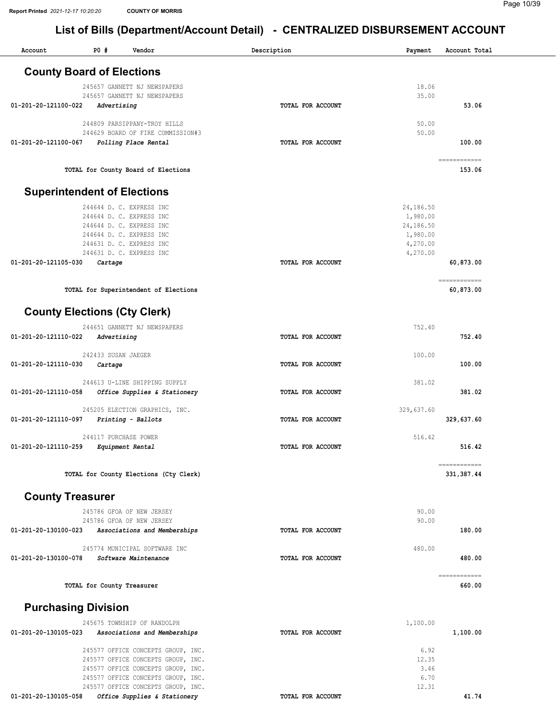Account P0 # Vendor Description Payment Account Total

| ACCOULL                    | rv m<br>AGTIONT                                              | Description       | rayment        | ACCOUNT TOTAL          |
|----------------------------|--------------------------------------------------------------|-------------------|----------------|------------------------|
|                            | <b>County Board of Elections</b>                             |                   |                |                        |
|                            |                                                              |                   |                |                        |
|                            | 245657 GANNETT NJ NEWSPAPERS<br>245657 GANNETT NJ NEWSPAPERS |                   | 18.06<br>35.00 |                        |
| 01-201-20-121100-022       | Advertising                                                  | TOTAL FOR ACCOUNT |                | 53.06                  |
|                            | 244809 PARSIPPANY-TROY HILLS                                 |                   | 50.00          |                        |
|                            | 244629 BOARD OF FIRE COMMISSION#3                            |                   | 50.00          |                        |
| 01-201-20-121100-067       | Polling Place Rental                                         | TOTAL FOR ACCOUNT |                | 100.00                 |
|                            |                                                              |                   |                |                        |
|                            | TOTAL for County Board of Elections                          |                   |                | 153.06                 |
|                            | <b>Superintendent of Elections</b>                           |                   |                |                        |
|                            | 244644 D. C. EXPRESS INC                                     |                   | 24,186.50      |                        |
|                            | 244644 D. C. EXPRESS INC                                     |                   | 1,980.00       |                        |
|                            | 244644 D. C. EXPRESS INC                                     |                   | 24,186.50      |                        |
|                            | 244644 D. C. EXPRESS INC                                     |                   | 1,980.00       |                        |
|                            | 244631 D. C. EXPRESS INC                                     |                   | 4,270.00       |                        |
|                            | 244631 D. C. EXPRESS INC                                     |                   | 4,270.00       |                        |
| 01-201-20-121105-030       | Cartage                                                      | TOTAL FOR ACCOUNT |                | 60,873.00              |
|                            |                                                              |                   |                | ============           |
|                            | TOTAL for Superintendent of Elections                        |                   |                | 60,873.00              |
|                            | <b>County Elections (Cty Clerk)</b>                          |                   |                |                        |
|                            | 244651 GANNETT NJ NEWSPAPERS                                 |                   | 752.40         |                        |
| 01-201-20-121110-022       | Advertising                                                  | TOTAL FOR ACCOUNT |                | 752.40                 |
|                            |                                                              |                   |                |                        |
|                            | 242433 SUSAN JAEGER                                          |                   | 100.00         |                        |
| 01-201-20-121110-030       | Cartage                                                      | TOTAL FOR ACCOUNT |                | 100.00                 |
|                            | 244613 U-LINE SHIPPING SUPPLY                                |                   | 381.02         |                        |
| 01-201-20-121110-058       | Office Supplies & Stationery                                 | TOTAL FOR ACCOUNT |                | 381.02                 |
|                            |                                                              |                   |                |                        |
|                            | 245205 ELECTION GRAPHICS, INC.                               |                   | 329,637.60     |                        |
| 01-201-20-121110-097       | Printing - Ballots                                           | TOTAL FOR ACCOUNT |                | 329,637.60             |
|                            | 244117 PURCHASE POWER                                        |                   | 516.42         |                        |
| 01-201-20-121110-259       | Equipment Rental                                             | TOTAL FOR ACCOUNT |                | 516.42                 |
|                            |                                                              |                   |                | ============           |
|                            | TOTAL for County Elections (Cty Clerk)                       |                   |                | 331,387.44             |
| <b>County Treasurer</b>    |                                                              |                   |                |                        |
|                            | 245786 GFOA OF NEW JERSEY                                    |                   | 90.00          |                        |
|                            | 245786 GFOA OF NEW JERSEY                                    |                   | 90.00          |                        |
| 01-201-20-130100-023       | Associations and Memberships                                 | TOTAL FOR ACCOUNT |                | 180.00                 |
|                            |                                                              |                   |                |                        |
|                            | 245774 MUNICIPAL SOFTWARE INC                                |                   | 480.00         |                        |
| 01-201-20-130100-078       | Software Maintenance                                         | TOTAL FOR ACCOUNT |                | 480.00                 |
|                            | TOTAL for County Treasurer                                   |                   |                | ============<br>660.00 |
|                            |                                                              |                   |                |                        |
| <b>Purchasing Division</b> |                                                              |                   |                |                        |
|                            | 245675 TOWNSHIP OF RANDOLPH                                  |                   | 1,100.00       |                        |
| 01-201-20-130105-023       | Associations and Memberships                                 | TOTAL FOR ACCOUNT |                | 1,100.00               |
|                            | 245577 OFFICE CONCEPTS GROUP, INC.                           |                   | 6.92           |                        |
|                            | 245577 OFFICE CONCEPTS GROUP, INC.                           |                   | 12.35          |                        |
|                            | 245577 OFFICE CONCEPTS GROUP, INC.                           |                   | 3.46           |                        |
|                            | 245577 OFFICE CONCEPTS GROUP, INC.                           |                   | 6.70           |                        |
|                            | 245577 OFFICE CONCEPTS GROUP, INC.                           |                   | 12.31          |                        |
| 01-201-20-130105-058       | Office Supplies & Stationery                                 | TOTAL FOR ACCOUNT |                | 41.74                  |
|                            |                                                              |                   |                |                        |
|                            |                                                              |                   |                |                        |
|                            |                                                              |                   |                |                        |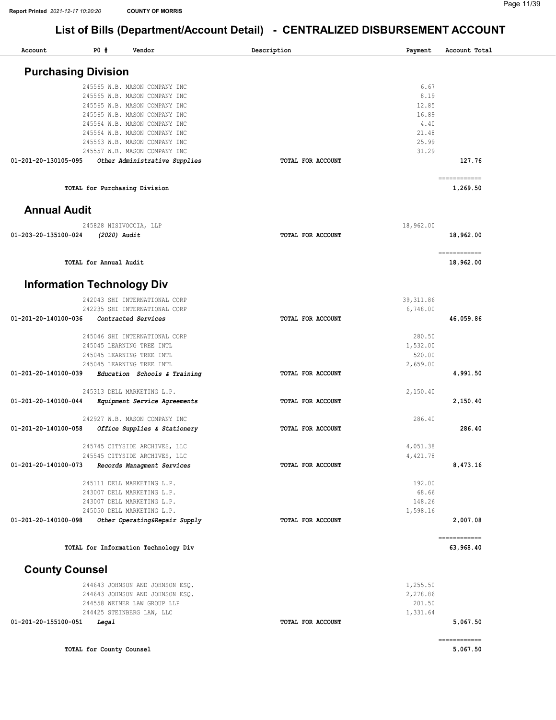| Account                           | P0 #                     | Vendor                                                         | Description              | Payment    | Account Total             |
|-----------------------------------|--------------------------|----------------------------------------------------------------|--------------------------|------------|---------------------------|
| <b>Purchasing Division</b>        |                          |                                                                |                          |            |                           |
|                                   |                          | 245565 W.B. MASON COMPANY INC                                  |                          | 6.67       |                           |
|                                   |                          | 245565 W.B. MASON COMPANY INC                                  |                          | 8.19       |                           |
|                                   |                          | 245565 W.B. MASON COMPANY INC                                  |                          | 12.85      |                           |
|                                   |                          | 245565 W.B. MASON COMPANY INC                                  |                          | 16.89      |                           |
|                                   |                          | 245564 W.B. MASON COMPANY INC                                  |                          | 4.40       |                           |
|                                   |                          | 245564 W.B. MASON COMPANY INC                                  |                          | 21.48      |                           |
|                                   |                          | 245563 W.B. MASON COMPANY INC                                  |                          | 25.99      |                           |
| 01-201-20-130105-095              |                          | 245557 W.B. MASON COMPANY INC<br>Other Administrative Supplies | TOTAL FOR ACCOUNT        | 31.29      | 127.76                    |
|                                   |                          |                                                                |                          |            | ============              |
|                                   |                          | TOTAL for Purchasing Division                                  |                          |            | 1,269.50                  |
| <b>Annual Audit</b>               |                          |                                                                |                          |            |                           |
|                                   |                          | 245828 NISIVOCCIA, LLP                                         |                          | 18,962.00  |                           |
| 01-203-20-135100-024              | (2020) Audit             |                                                                | <b>TOTAL FOR ACCOUNT</b> |            | 18,962.00                 |
|                                   | TOTAL for Annual Audit   |                                                                |                          |            | ============<br>18,962.00 |
| <b>Information Technology Div</b> |                          |                                                                |                          |            |                           |
|                                   |                          | 242043 SHI INTERNATIONAL CORP                                  |                          | 39, 311.86 |                           |
|                                   |                          | 242235 SHI INTERNATIONAL CORP                                  |                          | 6,748.00   |                           |
| 01-201-20-140100-036              |                          | Contracted Services                                            | TOTAL FOR ACCOUNT        |            | 46,059.86                 |
|                                   |                          | 245046 SHI INTERNATIONAL CORP                                  |                          | 280.50     |                           |
|                                   |                          | 245045 LEARNING TREE INTL                                      |                          | 1,532.00   |                           |
|                                   |                          | 245045 LEARNING TREE INTL                                      |                          | 520.00     |                           |
|                                   |                          | 245045 LEARNING TREE INTL                                      |                          | 2,659.00   |                           |
| 01-201-20-140100-039              |                          | Education Schools & Training                                   | TOTAL FOR ACCOUNT        |            | 4,991.50                  |
|                                   |                          | 245313 DELL MARKETING L.P.                                     |                          | 2,150.40   |                           |
| 01-201-20-140100-044              |                          | Equipment Service Agreements                                   | TOTAL FOR ACCOUNT        |            | 2,150.40                  |
|                                   |                          | 242927 W.B. MASON COMPANY INC                                  |                          | 286.40     |                           |
| 01-201-20-140100-058              |                          | Office Supplies & Stationery                                   | TOTAL FOR ACCOUNT        |            | 286.40                    |
|                                   |                          | 245745 CITYSIDE ARCHIVES, LLC                                  |                          | 4,051.38   |                           |
|                                   |                          | 245545 CITYSIDE ARCHIVES, LLC                                  |                          | 4,421.78   |                           |
| 01-201-20-140100-073              |                          | Records Managment Services                                     | TOTAL FOR ACCOUNT        |            | 8,473.16                  |
|                                   |                          | 245111 DELL MARKETING L.P.                                     |                          | 192.00     |                           |
|                                   |                          | 243007 DELL MARKETING L.P.                                     |                          | 68.66      |                           |
|                                   |                          | 243007 DELL MARKETING L.P.                                     |                          | 148.26     |                           |
|                                   |                          | 245050 DELL MARKETING L.P.                                     |                          | 1,598.16   |                           |
| 01-201-20-140100-098              |                          | Other Operating&Repair Supply                                  | TOTAL FOR ACCOUNT        |            | 2,007.08                  |
|                                   |                          | TOTAL for Information Technology Div                           |                          |            | ============<br>63,968.40 |
| <b>County Counsel</b>             |                          |                                                                |                          |            |                           |
|                                   |                          | 244643 JOHNSON AND JOHNSON ESQ.                                |                          | 1,255.50   |                           |
|                                   |                          | 244643 JOHNSON AND JOHNSON ESQ.                                |                          | 2,278.86   |                           |
|                                   |                          | 244558 WEINER LAW GROUP LLP                                    |                          | 201.50     |                           |
|                                   |                          | 244425 STEINBERG LAW, LLC                                      |                          | 1,331.64   |                           |
| 01-201-20-155100-051              | Legal                    |                                                                | TOTAL FOR ACCOUNT        |            | 5,067.50                  |
|                                   | TOTAL for County Counsel |                                                                |                          |            | ------------<br>5,067.50  |
|                                   |                          |                                                                |                          |            |                           |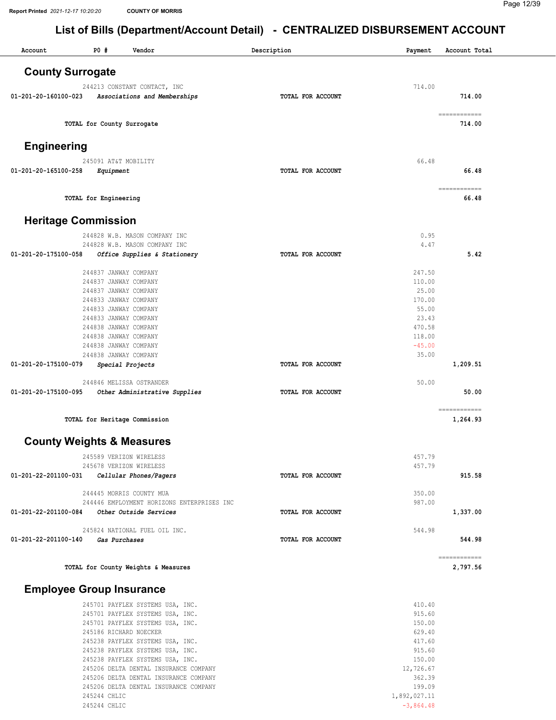245244 CHLIC 245244 CHLIC

## List of Bills (Department/Account Detail) - CENTRALIZED DISBURSEMENT ACCOUNT

| <b>County Surrogate</b><br>714.00<br>244213 CONSTANT CONTACT, INC<br>714.00<br>01-201-20-160100-023<br>Associations and Memberships<br>TOTAL FOR ACCOUNT<br>------------<br>TOTAL for County Surrogate<br>714.00<br><b>Engineering</b> |       |
|----------------------------------------------------------------------------------------------------------------------------------------------------------------------------------------------------------------------------------------|-------|
|                                                                                                                                                                                                                                        |       |
|                                                                                                                                                                                                                                        |       |
|                                                                                                                                                                                                                                        |       |
|                                                                                                                                                                                                                                        |       |
|                                                                                                                                                                                                                                        |       |
|                                                                                                                                                                                                                                        |       |
| 66.48<br>245091 AT&T MOBILITY                                                                                                                                                                                                          |       |
| 01-201-20-165100-258<br>TOTAL FOR ACCOUNT<br>Equipment                                                                                                                                                                                 | 66.48 |
| ============<br>TOTAL for Engineering                                                                                                                                                                                                  | 66.48 |
| <b>Heritage Commission</b>                                                                                                                                                                                                             |       |
| 244828 W.B. MASON COMPANY INC<br>0.95                                                                                                                                                                                                  |       |
| 4.47<br>244828 W.B. MASON COMPANY INC                                                                                                                                                                                                  |       |
| 01-201-20-175100-058<br>Office Supplies & Stationery<br>TOTAL FOR ACCOUNT                                                                                                                                                              | 5.42  |
| 247.50<br>244837 JANWAY COMPANY                                                                                                                                                                                                        |       |
| 110.00<br>244837 JANWAY COMPANY                                                                                                                                                                                                        |       |
| 25.00<br>244837 JANWAY COMPANY                                                                                                                                                                                                         |       |
| 170.00<br>244833 JANWAY COMPANY                                                                                                                                                                                                        |       |
| 55.00<br>244833 JANWAY COMPANY                                                                                                                                                                                                         |       |
| 244833 JANWAY COMPANY<br>23.43                                                                                                                                                                                                         |       |
| 244838 JANWAY COMPANY<br>470.58                                                                                                                                                                                                        |       |
| 244838 JANWAY COMPANY<br>118.00<br>$-45.00$                                                                                                                                                                                            |       |
| 244838 JANWAY COMPANY<br>244838 JANWAY COMPANY<br>35.00                                                                                                                                                                                |       |
| 01-201-20-175100-079<br>TOTAL FOR ACCOUNT<br>1,209.51<br>Special Projects                                                                                                                                                              |       |
| 50.00<br>244846 MELISSA OSTRANDER                                                                                                                                                                                                      |       |
| 01-201-20-175100-095<br>Other Administrative Supplies<br>TOTAL FOR ACCOUNT                                                                                                                                                             | 50.00 |
| ============                                                                                                                                                                                                                           |       |
| TOTAL for Heritage Commission<br>1,264.93                                                                                                                                                                                              |       |
| <b>County Weights &amp; Measures</b>                                                                                                                                                                                                   |       |
| 245589 VERIZON WIRELESS<br>457.79                                                                                                                                                                                                      |       |
| 457.79<br>245678 VERIZON WIRELESS                                                                                                                                                                                                      |       |
| 01-201-22-201100-031 Cellular Phones/Pagers<br>915.58<br>TOTAL FOR ACCOUNT                                                                                                                                                             |       |
| 244445 MORRIS COUNTY MUA<br>350.00                                                                                                                                                                                                     |       |
| 987.00<br>244446 EMPLOYMENT HORIZONS ENTERPRISES INC                                                                                                                                                                                   |       |
| 01-201-22-201100-084 Other Outside Services<br>TOTAL FOR ACCOUNT<br>1,337.00                                                                                                                                                           |       |
| 544.98<br>245824 NATIONAL FUEL OIL INC.                                                                                                                                                                                                |       |
| 544.98<br>01-201-22-201100-140 Gas Purchases<br>TOTAL FOR ACCOUNT                                                                                                                                                                      |       |
| ============<br>TOTAL for County Weights & Measures<br>2,797.56                                                                                                                                                                        |       |
| <b>Employee Group Insurance</b>                                                                                                                                                                                                        |       |
| 410.40<br>245701 PAYFLEX SYSTEMS USA, INC.                                                                                                                                                                                             |       |
| 915.60<br>245701 PAYFLEX SYSTEMS USA, INC.                                                                                                                                                                                             |       |
| 150.00<br>245701 PAYFLEX SYSTEMS USA, INC.                                                                                                                                                                                             |       |
| 245186 RICHARD NOECKER<br>629.40                                                                                                                                                                                                       |       |
| 417.60<br>245238 PAYFLEX SYSTEMS USA, INC.                                                                                                                                                                                             |       |
| 915.60<br>245238 PAYFLEX SYSTEMS USA, INC.                                                                                                                                                                                             |       |
| 245238 PAYFLEX SYSTEMS USA, INC.<br>150.00                                                                                                                                                                                             |       |
| 245206 DELTA DENTAL INSURANCE COMPANY<br>12,726.67                                                                                                                                                                                     |       |
| 245206 DELTA DENTAL INSURANCE COMPANY<br>362.39<br>245206 DELTA DENTAL INSURANCE COMPANY<br>199.09                                                                                                                                     |       |

1,892,027.11 -3,864.48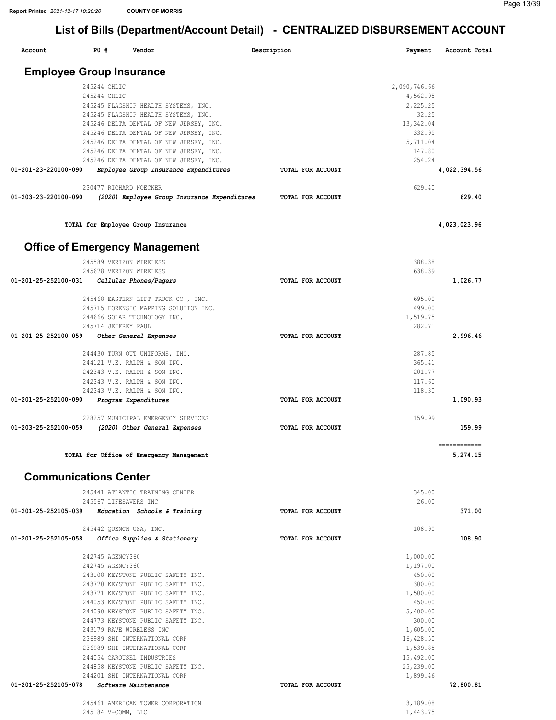| Account                         | P0#                                  | Vendor                                                                                                                                                                                                                                                                                                                                                                                                                                                      | Description              | Payment                                                                                                                                                         | Account Total                |
|---------------------------------|--------------------------------------|-------------------------------------------------------------------------------------------------------------------------------------------------------------------------------------------------------------------------------------------------------------------------------------------------------------------------------------------------------------------------------------------------------------------------------------------------------------|--------------------------|-----------------------------------------------------------------------------------------------------------------------------------------------------------------|------------------------------|
| <b>Employee Group Insurance</b> |                                      |                                                                                                                                                                                                                                                                                                                                                                                                                                                             |                          |                                                                                                                                                                 |                              |
|                                 | 245244 CHLIC<br>245244 CHLIC         | 245245 FLAGSHIP HEALTH SYSTEMS, INC.<br>245245 FLAGSHIP HEALTH SYSTEMS, INC.<br>245246 DELTA DENTAL OF NEW JERSEY, INC.<br>245246 DELTA DENTAL OF NEW JERSEY, INC.<br>245246 DELTA DENTAL OF NEW JERSEY, INC.<br>245246 DELTA DENTAL OF NEW JERSEY, INC.                                                                                                                                                                                                    |                          | 2,090,746.66<br>4,562.95<br>2,225.25<br>32.25<br>13,342.04<br>332.95<br>5,711.04<br>147.80                                                                      |                              |
| 01-201-23-220100-090            |                                      | 245246 DELTA DENTAL OF NEW JERSEY, INC.<br>Employee Group Insurance Expenditures                                                                                                                                                                                                                                                                                                                                                                            | TOTAL FOR ACCOUNT        | 254.24                                                                                                                                                          | 4,022,394.56                 |
| 01-203-23-220100-090            |                                      | 230477 RICHARD NOECKER<br>(2020) Employee Group Insurance Expenditures                                                                                                                                                                                                                                                                                                                                                                                      | TOTAL FOR ACCOUNT        | 629.40                                                                                                                                                          | 629.40                       |
|                                 |                                      | TOTAL for Employee Group Insurance                                                                                                                                                                                                                                                                                                                                                                                                                          |                          |                                                                                                                                                                 | ------------<br>4,023,023.96 |
|                                 |                                      | <b>Office of Emergency Management</b>                                                                                                                                                                                                                                                                                                                                                                                                                       |                          |                                                                                                                                                                 |                              |
| 01-201-25-252100-031            |                                      | 245589 VERIZON WIRELESS<br>245678 VERIZON WIRELESS<br>Cellular Phones/Pagers                                                                                                                                                                                                                                                                                                                                                                                | TOTAL FOR ACCOUNT        | 388.38<br>638.39                                                                                                                                                | 1,026.77                     |
|                                 | 245714 JEFFREY PAUL                  | 245468 EASTERN LIFT TRUCK CO., INC.<br>245715 FORENSIC MAPPING SOLUTION INC.<br>244666 SOLAR TECHNOLOGY INC.                                                                                                                                                                                                                                                                                                                                                |                          | 695.00<br>499.00<br>1,519.75<br>282.71                                                                                                                          |                              |
| 01-201-25-252100-059            |                                      | Other General Expenses                                                                                                                                                                                                                                                                                                                                                                                                                                      | TOTAL FOR ACCOUNT        |                                                                                                                                                                 | 2,996.46                     |
|                                 |                                      | 244430 TURN OUT UNIFORMS, INC.<br>244121 V.E. RALPH & SON INC.<br>242343 V.E. RALPH & SON INC.<br>242343 V.E. RALPH & SON INC.<br>242343 V.E. RALPH & SON INC.                                                                                                                                                                                                                                                                                              | <b>TOTAL FOR ACCOUNT</b> | 287.85<br>365.41<br>201.77<br>117.60<br>118.30                                                                                                                  |                              |
| 01-201-25-252100-090            |                                      | Program Expenditures<br>228257 MUNICIPAL EMERGENCY SERVICES                                                                                                                                                                                                                                                                                                                                                                                                 |                          | 159.99                                                                                                                                                          | 1,090.93                     |
| 01-203-25-252100-059            |                                      | (2020) Other General Expenses                                                                                                                                                                                                                                                                                                                                                                                                                               | TOTAL FOR ACCOUNT        |                                                                                                                                                                 | 159.99<br>$= 222222222$      |
|                                 |                                      | TOTAL for Office of Emergency Management                                                                                                                                                                                                                                                                                                                                                                                                                    |                          |                                                                                                                                                                 | 5,274.15                     |
| <b>Communications Center</b>    |                                      |                                                                                                                                                                                                                                                                                                                                                                                                                                                             |                          |                                                                                                                                                                 |                              |
|                                 |                                      | 245441 ATLANTIC TRAINING CENTER<br>245567 LIFESAVERS INC<br>01-201-25-252105-039 Education Schools & Training                                                                                                                                                                                                                                                                                                                                               | TOTAL FOR ACCOUNT        | 345.00<br>26.00                                                                                                                                                 | 371.00                       |
| 01-201-25-252105-058            |                                      | 245442 QUENCH USA, INC.<br>Office Supplies & Stationery                                                                                                                                                                                                                                                                                                                                                                                                     | TOTAL FOR ACCOUNT        | 108.90                                                                                                                                                          | 108.90                       |
| 01-201-25-252105-078            | 242745 AGENCY360<br>242745 AGENCY360 | 243108 KEYSTONE PUBLIC SAFETY INC.<br>243770 KEYSTONE PUBLIC SAFETY INC.<br>243771 KEYSTONE PUBLIC SAFETY INC.<br>244053 KEYSTONE PUBLIC SAFETY INC.<br>244090 KEYSTONE PUBLIC SAFETY INC.<br>244773 KEYSTONE PUBLIC SAFETY INC.<br>243179 RAVE WIRELESS INC<br>236989 SHI INTERNATIONAL CORP<br>236989 SHI INTERNATIONAL CORP<br>244054 CAROUSEL INDUSTRIES<br>244858 KEYSTONE PUBLIC SAFETY INC.<br>244201 SHI INTERNATIONAL CORP<br>Software Maintenance | TOTAL FOR ACCOUNT        | 1,000.00<br>1,197.00<br>450.00<br>300.00<br>1,500.00<br>450.00<br>5,400.00<br>300.00<br>1,605.00<br>16,428.50<br>1,539.85<br>15,492.00<br>25,239.00<br>1,899.46 | 72,800.81                    |
|                                 |                                      | 245461 AMERICAN TOWER CORPORATION                                                                                                                                                                                                                                                                                                                                                                                                                           |                          | 3,189.08                                                                                                                                                        |                              |
|                                 | 245184 V-COMM, LLC                   |                                                                                                                                                                                                                                                                                                                                                                                                                                                             |                          | 1,443.75                                                                                                                                                        |                              |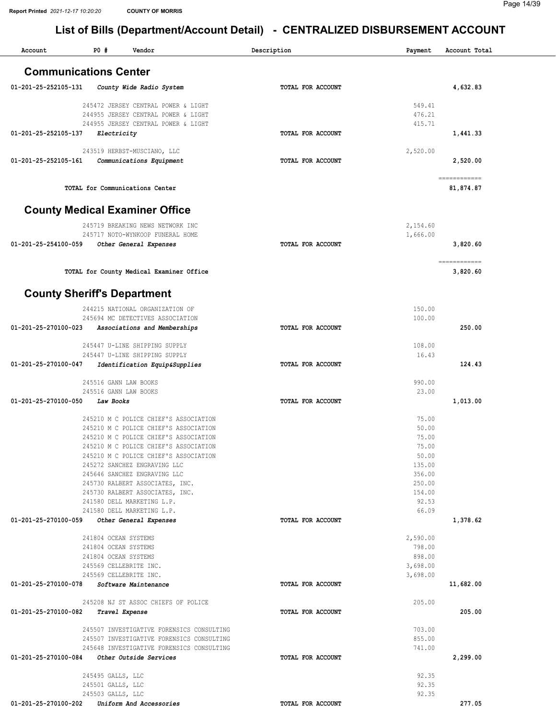| PO#<br>Account<br>Vendor                                                                    | Description       | Payment              | Account Total |
|---------------------------------------------------------------------------------------------|-------------------|----------------------|---------------|
| <b>Communications Center</b>                                                                |                   |                      |               |
| 01-201-25-252105-131<br>County Wide Radio System                                            | TOTAL FOR ACCOUNT |                      | 4,632.83      |
| 245472 JERSEY CENTRAL POWER & LIGHT                                                         |                   | 549.41               |               |
| 244955 JERSEY CENTRAL POWER & LIGHT                                                         |                   | 476.21               |               |
| 244955 JERSEY CENTRAL POWER & LIGHT                                                         |                   | 415.71               |               |
| 01-201-25-252105-137<br>Electricity                                                         | TOTAL FOR ACCOUNT |                      | 1,441.33      |
| 243519 HERBST-MUSCIANO, LLC                                                                 |                   | 2,520.00             |               |
| 01-201-25-252105-161<br>Communications Equipment                                            | TOTAL FOR ACCOUNT |                      | 2,520.00      |
|                                                                                             |                   |                      | ============  |
| TOTAL for Communications Center                                                             |                   |                      | 81,874.87     |
| <b>County Medical Examiner Office</b>                                                       |                   |                      |               |
| 245719 BREAKING NEWS NETWORK INC                                                            |                   | 2,154.60             |               |
| 245717 NOTO-WYNKOOP FUNERAL HOME                                                            |                   | 1,666.00             |               |
| 01-201-25-254100-059<br>Other General Expenses                                              | TOTAL FOR ACCOUNT |                      | 3,820.60      |
|                                                                                             |                   |                      | ------------  |
| TOTAL for County Medical Examiner Office                                                    |                   |                      | 3,820.60      |
| <b>County Sheriff's Department</b>                                                          |                   |                      |               |
| 244215 NATIONAL ORGANIZATION OF                                                             |                   | 150.00               |               |
| 245694 MC DETECTIVES ASSOCIATION<br>01-201-25-270100-023                                    | TOTAL FOR ACCOUNT | 100.00               | 250.00        |
| Associations and Memberships                                                                |                   |                      |               |
| 245447 U-LINE SHIPPING SUPPLY                                                               |                   | 108.00               |               |
| 245447 U-LINE SHIPPING SUPPLY<br>01-201-25-270100-047<br>Identification Equip&Supplies      | TOTAL FOR ACCOUNT | 16.43                | 124.43        |
|                                                                                             |                   |                      |               |
| 245516 GANN LAW BOOKS                                                                       |                   | 990.00               |               |
| 245516 GANN LAW BOOKS<br>01-201-25-270100-050<br>Law Books                                  | TOTAL FOR ACCOUNT | 23.00                | 1,013.00      |
|                                                                                             |                   |                      |               |
| 245210 M C POLICE CHIEF'S ASSOCIATION                                                       |                   | 75.00                |               |
| 245210 M C POLICE CHIEF'S ASSOCIATION<br>245210 M C POLICE CHIEF'S ASSOCIATION              |                   | 50.00<br>75.00       |               |
| 245210 M C POLICE CHIEF'S ASSOCIATION                                                       |                   | 75.00                |               |
| 245210 M C POLICE CHIEF'S ASSOCIATION                                                       |                   | 50.00                |               |
| 245272 SANCHEZ ENGRAVING LLC                                                                |                   | 135.00               |               |
| 245646 SANCHEZ ENGRAVING LLC<br>245730 RALBERT ASSOCIATES, INC.                             |                   | 356.00<br>250.00     |               |
| 245730 RALBERT ASSOCIATES, INC.                                                             |                   | 154.00               |               |
| 241580 DELL MARKETING L.P.                                                                  |                   | 92.53                |               |
| 241580 DELL MARKETING L.P.                                                                  |                   | 66.09                |               |
| 01-201-25-270100-059<br>Other General Expenses                                              | TOTAL FOR ACCOUNT |                      | 1,378.62      |
| 241804 OCEAN SYSTEMS                                                                        |                   | 2,590.00             |               |
| 241804 OCEAN SYSTEMS                                                                        |                   | 798.00               |               |
| 241804 OCEAN SYSTEMS                                                                        |                   | 898.00               |               |
| 245569 CELLEBRITE INC.<br>245569 CELLEBRITE INC.                                            |                   | 3,698.00<br>3,698.00 |               |
| 01-201-25-270100-078<br>Software Maintenance                                                | TOTAL FOR ACCOUNT |                      | 11,682.00     |
|                                                                                             |                   |                      |               |
| 245208 NJ ST ASSOC CHIEFS OF POLICE<br>01-201-25-270100-082                                 | TOTAL FOR ACCOUNT | 205.00               | 205.00        |
| Travel Expense                                                                              |                   |                      |               |
| 245507 INVESTIGATIVE FORENSICS CONSULTING                                                   |                   | 703.00               |               |
| 245507 INVESTIGATIVE FORENSICS CONSULTING                                                   |                   | 855.00               |               |
| 245648 INVESTIGATIVE FORENSICS CONSULTING<br>01-201-25-270100-084<br>Other Outside Services | TOTAL FOR ACCOUNT | 741.00               | 2,299.00      |
|                                                                                             |                   |                      |               |
| 245495 GALLS, LLC                                                                           |                   | 92.35                |               |
| 245501 GALLS, LLC<br>245503 GALLS, LLC                                                      |                   | 92.35<br>92.35       |               |
| 01-201-25-270100-202<br>Uniform And Accessories                                             | TOTAL FOR ACCOUNT |                      | 277.05        |
|                                                                                             |                   |                      |               |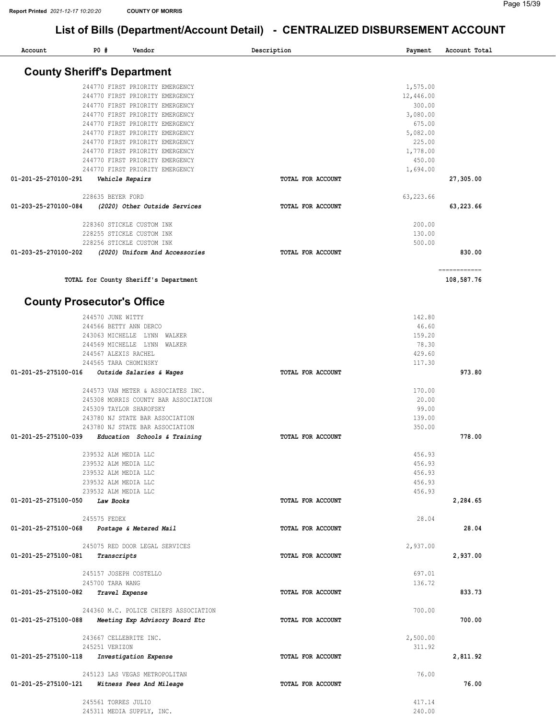| Account                            | P0#                     | Vendor                                                             | Description       | Payment            | Account Total |
|------------------------------------|-------------------------|--------------------------------------------------------------------|-------------------|--------------------|---------------|
| <b>County Sheriff's Department</b> |                         |                                                                    |                   |                    |               |
|                                    |                         |                                                                    |                   |                    |               |
|                                    |                         | 244770 FIRST PRIORITY EMERGENCY                                    |                   | 1,575.00           |               |
|                                    |                         | 244770 FIRST PRIORITY EMERGENCY                                    |                   | 12,446.00          |               |
|                                    |                         | 244770 FIRST PRIORITY EMERGENCY<br>244770 FIRST PRIORITY EMERGENCY |                   | 300.00<br>3,080.00 |               |
|                                    |                         | 244770 FIRST PRIORITY EMERGENCY                                    |                   | 675.00             |               |
|                                    |                         | 244770 FIRST PRIORITY EMERGENCY                                    |                   | 5,082.00           |               |
|                                    |                         | 244770 FIRST PRIORITY EMERGENCY                                    |                   | 225.00             |               |
|                                    |                         | 244770 FIRST PRIORITY EMERGENCY                                    |                   | 1,778.00           |               |
|                                    |                         | 244770 FIRST PRIORITY EMERGENCY                                    |                   | 450.00             |               |
|                                    |                         | 244770 FIRST PRIORITY EMERGENCY                                    |                   | 1,694.00           |               |
| 01-201-25-270100-291               | Vehicle Repairs         |                                                                    | TOTAL FOR ACCOUNT |                    | 27,305.00     |
|                                    |                         |                                                                    |                   |                    |               |
|                                    | 228635 BEYER FORD       |                                                                    |                   | 63, 223.66         |               |
| 01-203-25-270100-084               |                         | (2020) Other Outside Services                                      | TOTAL FOR ACCOUNT |                    | 63,223.66     |
|                                    |                         | 228360 STICKLE CUSTOM INK                                          |                   | 200.00             |               |
|                                    |                         | 228255 STICKLE CUSTOM INK                                          |                   | 130.00             |               |
|                                    |                         | 228256 STICKLE CUSTOM INK                                          |                   | 500.00             |               |
| 01-203-25-270100-202               |                         | (2020) Uniform And Accessories                                     | TOTAL FOR ACCOUNT |                    | 830.00        |
|                                    |                         |                                                                    |                   |                    | ============  |
|                                    |                         | TOTAL for County Sheriff's Department                              |                   |                    | 108,587.76    |
|                                    |                         |                                                                    |                   |                    |               |
| <b>County Prosecutor's Office</b>  |                         |                                                                    |                   |                    |               |
|                                    | 244570 JUNE WITTY       |                                                                    |                   | 142.80             |               |
|                                    | 244566 BETTY ANN DERCO  |                                                                    |                   | 46.60              |               |
|                                    |                         | 243063 MICHELLE LYNN WALKER                                        |                   | 159.20             |               |
|                                    |                         | 244569 MICHELLE LYNN WALKER                                        |                   | 78.30              |               |
|                                    | 244567 ALEXIS RACHEL    |                                                                    |                   | 429.60             |               |
|                                    | 244565 TARA CHOMINSKY   |                                                                    |                   | 117.30             |               |
| 01-201-25-275100-016               |                         | Outside Salaries & Wages                                           | TOTAL FOR ACCOUNT |                    | 973.80        |
|                                    |                         | 244573 VAN METER & ASSOCIATES INC.                                 |                   | 170.00             |               |
|                                    |                         | 245308 MORRIS COUNTY BAR ASSOCIATION                               |                   | 20.00              |               |
|                                    | 245309 TAYLOR SHAROFSKY |                                                                    |                   | 99.00              |               |
|                                    |                         | 243780 NJ STATE BAR ASSOCIATION                                    |                   | 139.00             |               |
|                                    |                         | 243780 NJ STATE BAR ASSOCIATION                                    |                   | 350.00             |               |
| 01-201-25-275100-039               |                         | Education Schools & Training                                       | TOTAL FOR ACCOUNT |                    | 778.00        |
|                                    | 239532 ALM MEDIA LLC    |                                                                    |                   | 456.93             |               |
|                                    | 239532 ALM MEDIA LLC    |                                                                    |                   | 456.93             |               |
|                                    | 239532 ALM MEDIA LLC    |                                                                    |                   | 456.93             |               |
|                                    | 239532 ALM MEDIA LLC    |                                                                    |                   | 456.93             |               |
|                                    | 239532 ALM MEDIA LLC    |                                                                    |                   | 456.93             |               |
| 01-201-25-275100-050               | Law Books               |                                                                    | TOTAL FOR ACCOUNT |                    | 2,284.65      |
|                                    | 245575 FEDEX            |                                                                    |                   | 28.04              |               |
| 01-201-25-275100-068               |                         | Postage & Metered Mail                                             | TOTAL FOR ACCOUNT |                    | 28.04         |
|                                    |                         |                                                                    |                   |                    |               |
|                                    |                         | 245075 RED DOOR LEGAL SERVICES                                     |                   | 2,937.00           |               |
| 01-201-25-275100-081               | Transcripts             |                                                                    | TOTAL FOR ACCOUNT |                    | 2,937.00      |
|                                    | 245157 JOSEPH COSTELLO  |                                                                    |                   | 697.01             |               |
|                                    | 245700 TARA WANG        |                                                                    |                   | 136.72             |               |
| 01-201-25-275100-082               | Travel Expense          |                                                                    | TOTAL FOR ACCOUNT |                    | 833.73        |
|                                    |                         |                                                                    |                   |                    |               |
|                                    |                         | 244360 M.C. POLICE CHIEFS ASSOCIATION                              |                   | 700.00             |               |
| 01-201-25-275100-088               |                         | Meeting Exp Advisory Board Etc                                     | TOTAL FOR ACCOUNT |                    | 700.00        |
|                                    | 243667 CELLEBRITE INC.  |                                                                    |                   | 2,500.00           |               |
|                                    | 245251 VERIZON          |                                                                    |                   | 311.92             |               |
| 01-201-25-275100-118               |                         | Investigation Expense                                              | TOTAL FOR ACCOUNT |                    | 2,811.92      |
|                                    |                         |                                                                    |                   |                    |               |
|                                    |                         | 245123 LAS VEGAS METROPOLITAN                                      |                   | 76.00              |               |
| 01-201-25-275100-121               |                         | Witness Fees And Mileage                                           | TOTAL FOR ACCOUNT |                    | 76.00         |
|                                    | 245561 TORRES JULIO     |                                                                    |                   | 417.14             |               |
|                                    |                         | 245311 MEDIA SUPPLY, INC.                                          |                   | 240.00             |               |
|                                    |                         |                                                                    |                   |                    |               |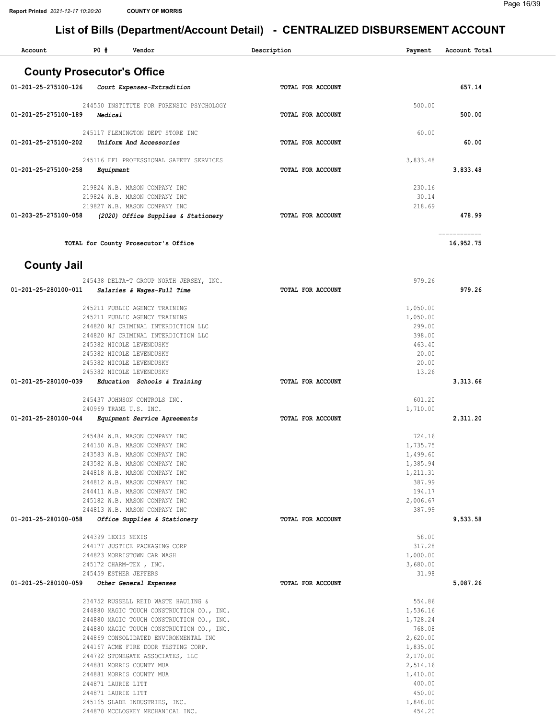| Account                           | <b>PO #</b>           | Vendor                                                                           |  | Description              |  | Payment              | Account Total             |  |
|-----------------------------------|-----------------------|----------------------------------------------------------------------------------|--|--------------------------|--|----------------------|---------------------------|--|
| <b>County Prosecutor's Office</b> |                       |                                                                                  |  |                          |  |                      |                           |  |
| 01-201-25-275100-126              |                       | Court Expenses-Extradition                                                       |  | TOTAL FOR ACCOUNT        |  |                      | 657.14                    |  |
| 01-201-25-275100-189              | Medical               | 244550 INSTITUTE FOR FORENSIC PSYCHOLOGY                                         |  | <b>TOTAL FOR ACCOUNT</b> |  | 500.00               | 500.00                    |  |
| 01-201-25-275100-202              |                       | 245117 FLEMINGTON DEPT STORE INC<br>Uniform And Accessories                      |  | TOTAL FOR ACCOUNT        |  | 60.00                | 60.00                     |  |
| 01-201-25-275100-258              | Equipment             | 245116 FF1 PROFESSIONAL SAFETY SERVICES                                          |  | TOTAL FOR ACCOUNT        |  | 3,833.48             | 3,833.48                  |  |
|                                   |                       | 219824 W.B. MASON COMPANY INC<br>219824 W.B. MASON COMPANY INC                   |  |                          |  | 230.16<br>30.14      |                           |  |
| 01-203-25-275100-058              |                       | 219827 W.B. MASON COMPANY INC<br>(2020) Office Supplies & Stationery             |  | TOTAL FOR ACCOUNT        |  | 218.69               | 478.99                    |  |
|                                   |                       | TOTAL for County Prosecutor's Office                                             |  |                          |  |                      | ------------<br>16,952.75 |  |
| <b>County Jail</b>                |                       |                                                                                  |  |                          |  |                      |                           |  |
|                                   |                       | 245438 DELTA-T GROUP NORTH JERSEY, INC.                                          |  |                          |  | 979.26               |                           |  |
| 01-201-25-280100-011              |                       | Salaries & Wages-Full Time                                                       |  | TOTAL FOR ACCOUNT        |  |                      | 979.26                    |  |
|                                   |                       | 245211 PUBLIC AGENCY TRAINING                                                    |  |                          |  | 1,050.00             |                           |  |
|                                   |                       | 245211 PUBLIC AGENCY TRAINING                                                    |  |                          |  | 1,050.00             |                           |  |
|                                   |                       | 244820 NJ CRIMINAL INTERDICTION LLC                                              |  |                          |  | 299.00               |                           |  |
|                                   |                       | 244820 NJ CRIMINAL INTERDICTION LLC                                              |  |                          |  | 398.00               |                           |  |
|                                   |                       | 245382 NICOLE LEVENDUSKY<br>245382 NICOLE LEVENDUSKY                             |  |                          |  | 463.40<br>20.00      |                           |  |
|                                   |                       | 245382 NICOLE LEVENDUSKY                                                         |  |                          |  | 20.00                |                           |  |
|                                   |                       | 245382 NICOLE LEVENDUSKY                                                         |  |                          |  | 13.26                |                           |  |
| 01-201-25-280100-039              |                       | Education Schools & Training                                                     |  | TOTAL FOR ACCOUNT        |  |                      | 3,313.66                  |  |
|                                   |                       |                                                                                  |  |                          |  |                      |                           |  |
|                                   |                       | 245437 JOHNSON CONTROLS INC.                                                     |  |                          |  | 601.20               |                           |  |
| 01-201-25-280100-044              |                       | 240969 TRANE U.S. INC.<br>Equipment Service Agreements                           |  | TOTAL FOR ACCOUNT        |  | 1,710.00             | 2,311.20                  |  |
|                                   |                       |                                                                                  |  |                          |  |                      |                           |  |
|                                   |                       | 245484 W.B. MASON COMPANY INC                                                    |  |                          |  | 724.16               |                           |  |
|                                   |                       | 244150 W.B. MASON COMPANY INC                                                    |  |                          |  | 1,735.75             |                           |  |
|                                   |                       | 243583 W.B. MASON COMPANY INC                                                    |  |                          |  | 1,499.60             |                           |  |
|                                   |                       | 243582 W.B. MASON COMPANY INC                                                    |  |                          |  | 1,385.94             |                           |  |
|                                   |                       | 244818 W.B. MASON COMPANY INC                                                    |  |                          |  | 1,211.31             |                           |  |
|                                   |                       | 244812 W.B. MASON COMPANY INC<br>244411 W.B. MASON COMPANY INC                   |  |                          |  | 387.99               |                           |  |
|                                   |                       | 245182 W.B. MASON COMPANY INC                                                    |  |                          |  | 194.17<br>2,006.67   |                           |  |
|                                   |                       | 244813 W.B. MASON COMPANY INC                                                    |  |                          |  | 387.99               |                           |  |
| 01-201-25-280100-058              |                       | Office Supplies & Stationery                                                     |  | TOTAL FOR ACCOUNT        |  |                      | 9,533.58                  |  |
|                                   |                       |                                                                                  |  |                          |  |                      |                           |  |
|                                   | 244399 LEXIS NEXIS    |                                                                                  |  |                          |  | 58.00                |                           |  |
|                                   |                       | 244177 JUSTICE PACKAGING CORP                                                    |  |                          |  | 317.28               |                           |  |
|                                   |                       | 244823 MORRISTOWN CAR WASH<br>245172 CHARM-TEX, INC.                             |  |                          |  | 1,000.00<br>3,680.00 |                           |  |
|                                   | 245459 ESTHER JEFFERS |                                                                                  |  |                          |  | 31.98                |                           |  |
| 01-201-25-280100-059              |                       | Other General Expenses                                                           |  | TOTAL FOR ACCOUNT        |  |                      | 5,087.26                  |  |
|                                   |                       |                                                                                  |  |                          |  |                      |                           |  |
|                                   |                       | 234752 RUSSELL REID WASTE HAULING &<br>244880 MAGIC TOUCH CONSTRUCTION CO., INC. |  |                          |  | 554.86<br>1,536.16   |                           |  |
|                                   |                       | 244880 MAGIC TOUCH CONSTRUCTION CO., INC.                                        |  |                          |  | 1,728.24             |                           |  |
|                                   |                       | 244880 MAGIC TOUCH CONSTRUCTION CO., INC.                                        |  |                          |  | 768.08               |                           |  |
|                                   |                       | 244869 CONSOLIDATED ENVIRONMENTAL INC                                            |  |                          |  | 2,620.00             |                           |  |
|                                   |                       | 244167 ACME FIRE DOOR TESTING CORP.                                              |  |                          |  | 1,835.00             |                           |  |
|                                   |                       | 244792 STONEGATE ASSOCIATES, LLC                                                 |  |                          |  | 2,170.00             |                           |  |
|                                   |                       | 244881 MORRIS COUNTY MUA                                                         |  |                          |  | 2,514.16             |                           |  |
|                                   |                       | 244881 MORRIS COUNTY MUA                                                         |  |                          |  | 1,410.00             |                           |  |
|                                   | 244871 LAURIE LITT    |                                                                                  |  |                          |  | 400.00               |                           |  |
|                                   | 244871 LAURIE LITT    |                                                                                  |  |                          |  | 450.00               |                           |  |
|                                   |                       | 245165 SLADE INDUSTRIES, INC.                                                    |  |                          |  | 1,848.00             |                           |  |
|                                   |                       | 244870 MCCLOSKEY MECHANICAL INC.                                                 |  |                          |  | 454.20               |                           |  |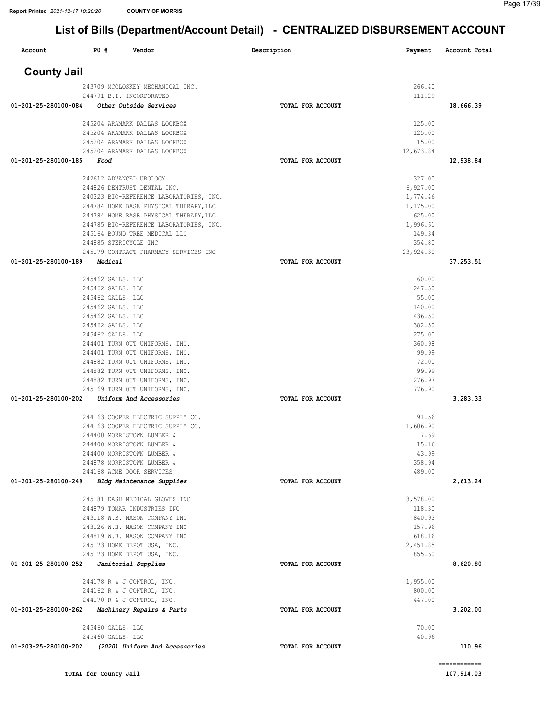| Account              | <b>PO #</b>                            | Vendor                                                       | Description              | Payment            | Account Total |
|----------------------|----------------------------------------|--------------------------------------------------------------|--------------------------|--------------------|---------------|
| <b>County Jail</b>   |                                        |                                                              |                          |                    |               |
|                      |                                        | 243709 MCCLOSKEY MECHANICAL INC.                             |                          | 266.40             |               |
|                      |                                        | 244791 B.I. INCORPORATED                                     |                          | 111.29             |               |
| 01-201-25-280100-084 |                                        | Other Outside Services                                       | <b>TOTAL FOR ACCOUNT</b> |                    | 18,666.39     |
|                      |                                        | 245204 ARAMARK DALLAS LOCKBOX                                |                          | 125.00             |               |
|                      |                                        | 245204 ARAMARK DALLAS LOCKBOX                                |                          | 125.00             |               |
|                      |                                        | 245204 ARAMARK DALLAS LOCKBOX                                |                          | 15.00              |               |
|                      |                                        | 245204 ARAMARK DALLAS LOCKBOX                                |                          | 12,673.84          |               |
| 01-201-25-280100-185 | Food                                   |                                                              | TOTAL FOR ACCOUNT        |                    | 12,938.84     |
|                      |                                        | 242612 ADVANCED UROLOGY                                      |                          | 327.00             |               |
|                      |                                        | 244826 DENTRUST DENTAL INC.                                  |                          | 6,927.00           |               |
|                      |                                        | 240323 BIO-REFERENCE LABORATORIES, INC.                      |                          | 1,774.46           |               |
|                      |                                        | 244784 HOME BASE PHYSICAL THERAPY, LLC                       |                          | 1,175.00           |               |
|                      |                                        | 244784 HOME BASE PHYSICAL THERAPY, LLC                       |                          | 625.00             |               |
|                      |                                        | 244785 BIO-REFERENCE LABORATORIES, INC.                      |                          | 1,996.61           |               |
|                      |                                        | 245164 BOUND TREE MEDICAL LLC<br>244885 STERICYCLE INC       |                          | 149.34<br>354.80   |               |
|                      |                                        | 245179 CONTRACT PHARMACY SERVICES INC                        |                          | 23,924.30          |               |
| 01-201-25-280100-189 | Medical                                |                                                              | TOTAL FOR ACCOUNT        |                    | 37,253.51     |
|                      |                                        |                                                              |                          |                    |               |
|                      | 245462 GALLS, LLC                      |                                                              |                          | 60.00              |               |
|                      | 245462 GALLS, LLC                      |                                                              |                          | 247.50             |               |
|                      | 245462 GALLS, LLC<br>245462 GALLS, LLC |                                                              |                          | 55.00<br>140.00    |               |
|                      | 245462 GALLS, LLC                      |                                                              |                          | 436.50             |               |
|                      | 245462 GALLS, LLC                      |                                                              |                          | 382.50             |               |
|                      | 245462 GALLS, LLC                      |                                                              |                          | 275.00             |               |
|                      |                                        | 244401 TURN OUT UNIFORMS, INC.                               |                          | 360.98             |               |
|                      |                                        | 244401 TURN OUT UNIFORMS, INC.                               |                          | 99.99              |               |
|                      |                                        | 244882 TURN OUT UNIFORMS, INC.                               |                          | 72.00              |               |
|                      |                                        | 244882 TURN OUT UNIFORMS, INC.                               |                          | 99.99              |               |
|                      |                                        | 244882 TURN OUT UNIFORMS, INC.                               |                          | 276.97             |               |
|                      |                                        | 245169 TURN OUT UNIFORMS, INC.                               |                          | 776.90             |               |
| 01-201-25-280100-202 |                                        | Uniform And Accessories                                      | TOTAL FOR ACCOUNT        |                    | 3,283.33      |
|                      |                                        | 244163 COOPER ELECTRIC SUPPLY CO.                            |                          | 91.56              |               |
|                      |                                        | 244163 COOPER ELECTRIC SUPPLY CO.                            |                          | 1,606.90           |               |
|                      |                                        | 244400 MORRISTOWN LUMBER &                                   |                          | 7.69               |               |
|                      |                                        | 244400 MORRISTOWN LUMBER &                                   |                          | 15.16              |               |
|                      |                                        | 244400 MORRISTOWN LUMBER &<br>244878 MORRISTOWN LUMBER &     |                          | 43.99<br>358.94    |               |
|                      |                                        | 244168 ACME DOOR SERVICES                                    |                          | 489.00             |               |
| 01-201-25-280100-249 |                                        | Bldg Maintenance Supplies                                    | TOTAL FOR ACCOUNT        |                    | 2,613.24      |
|                      |                                        |                                                              |                          |                    |               |
|                      |                                        | 245181 DASH MEDICAL GLOVES INC                               |                          | 3,578.00<br>118.30 |               |
|                      |                                        | 244879 TOMAR INDUSTRIES INC<br>243118 W.B. MASON COMPANY INC |                          | 840.93             |               |
|                      |                                        | 243126 W.B. MASON COMPANY INC                                |                          | 157.96             |               |
|                      |                                        | 244819 W.B. MASON COMPANY INC                                |                          | 618.16             |               |
|                      |                                        | 245173 HOME DEPOT USA, INC.                                  |                          | 2,451.85           |               |
|                      |                                        | 245173 HOME DEPOT USA, INC.                                  |                          | 855.60             |               |
| 01-201-25-280100-252 |                                        | Janitorial Supplies                                          | TOTAL FOR ACCOUNT        |                    | 8,620.80      |
|                      |                                        | 244178 R & J CONTROL, INC.                                   |                          | 1,955.00           |               |
|                      |                                        | 244162 R & J CONTROL, INC.                                   |                          | 800.00             |               |
|                      |                                        | 244170 R & J CONTROL, INC.                                   |                          | 447.00             |               |
| 01-201-25-280100-262 |                                        | Machinery Repairs & Parts                                    | TOTAL FOR ACCOUNT        |                    | 3,202.00      |
|                      | 245460 GALLS, LLC                      |                                                              |                          | 70.00              |               |
|                      | 245460 GALLS, LLC                      |                                                              |                          | 40.96              |               |
| 01-203-25-280100-202 |                                        | (2020) Uniform And Accessories                               | TOTAL FOR ACCOUNT        |                    | 110.96        |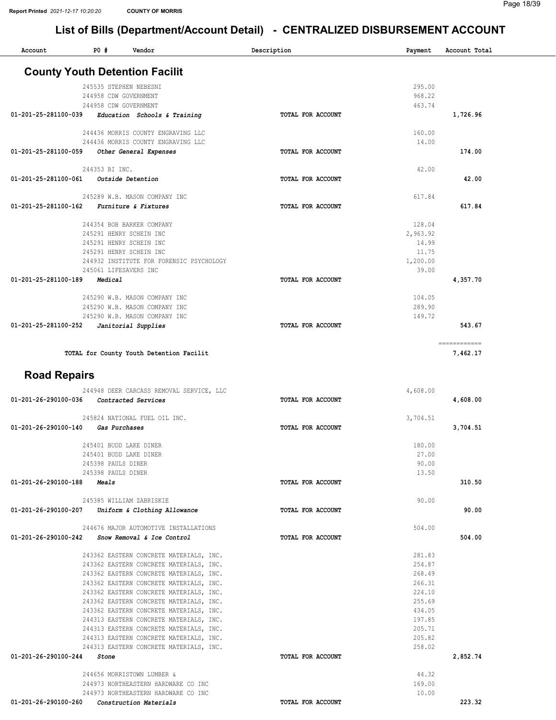| Account                                  | P0 #               | Vendor                                                                             | Description       | Payment          | Account Total |  |
|------------------------------------------|--------------------|------------------------------------------------------------------------------------|-------------------|------------------|---------------|--|
|                                          |                    | <b>County Youth Detention Facilit</b>                                              |                   |                  |               |  |
|                                          |                    |                                                                                    |                   |                  |               |  |
|                                          |                    | 245535 STEPHEN NEBESNI<br>244958 CDW GOVERNMENT                                    |                   | 295.00<br>968.22 |               |  |
|                                          |                    | 244958 CDW GOVERNMENT                                                              |                   | 463.74           |               |  |
| 01-201-25-281100-039                     |                    | Education Schools & Training                                                       | TOTAL FOR ACCOUNT |                  | 1,726.96      |  |
|                                          |                    | 244436 MORRIS COUNTY ENGRAVING LLC                                                 |                   | 160.00           |               |  |
|                                          |                    | 244436 MORRIS COUNTY ENGRAVING LLC                                                 |                   | 14.00            |               |  |
| 01-201-25-281100-059                     |                    | Other General Expenses                                                             | TOTAL FOR ACCOUNT |                  | 174.00        |  |
|                                          | 244353 BI INC.     |                                                                                    |                   | 42.00            |               |  |
| 01-201-25-281100-061                     |                    | Outside Detention                                                                  | TOTAL FOR ACCOUNT |                  | 42.00         |  |
|                                          |                    |                                                                                    |                   |                  |               |  |
|                                          |                    | 245289 W.B. MASON COMPANY INC                                                      |                   | 617.84           |               |  |
| 01-201-25-281100-162                     |                    | Furniture & Fixtures                                                               | TOTAL FOR ACCOUNT |                  | 617.84        |  |
|                                          |                    | 244354 BOB BARKER COMPANY                                                          |                   | 128.04           |               |  |
|                                          |                    | 245291 HENRY SCHEIN INC                                                            |                   | 2,963.92         |               |  |
|                                          |                    | 245291 HENRY SCHEIN INC<br>245291 HENRY SCHEIN INC                                 |                   | 14.99<br>11.75   |               |  |
|                                          |                    | 244932 INSTITUTE FOR FORENSIC PSYCHOLOGY                                           |                   | 1,200.00         |               |  |
|                                          |                    | 245061 LIFESAVERS INC                                                              |                   | 39.00            |               |  |
| 01-201-25-281100-189                     | Medical            |                                                                                    | TOTAL FOR ACCOUNT |                  | 4,357.70      |  |
|                                          |                    | 245290 W.B. MASON COMPANY INC                                                      |                   | 104.05           |               |  |
|                                          |                    | 245290 W.B. MASON COMPANY INC                                                      |                   | 289.90           |               |  |
|                                          |                    | 245290 W.B. MASON COMPANY INC                                                      |                   | 149.72           |               |  |
| 01-201-25-281100-252                     |                    | Janitorial Supplies                                                                | TOTAL FOR ACCOUNT |                  | 543.67        |  |
|                                          |                    |                                                                                    |                   |                  | ============  |  |
|                                          |                    | TOTAL for County Youth Detention Facilit                                           |                   |                  | 7,462.17      |  |
|                                          |                    |                                                                                    |                   |                  |               |  |
| <b>Road Repairs</b>                      |                    |                                                                                    |                   |                  |               |  |
|                                          |                    | 244948 DEER CARCASS REMOVAL SERVICE, LLC                                           |                   | 4,608.00         |               |  |
| 01-201-26-290100-036 Contracted Services |                    |                                                                                    | TOTAL FOR ACCOUNT |                  | 4,608.00      |  |
|                                          |                    | 245824 NATIONAL FUEL OIL INC.                                                      |                   | 3,704.51         |               |  |
| 01-201-26-290100-140                     |                    | Gas Purchases                                                                      | TOTAL FOR ACCOUNT |                  | 3,704.51      |  |
|                                          |                    | 245401 BUDD LAKE DINER                                                             |                   | 180.00           |               |  |
|                                          |                    | 245401 BUDD LAKE DINER                                                             |                   | 27.00            |               |  |
|                                          | 245398 PAULS DINER |                                                                                    |                   | 90.00            |               |  |
| $01 - 201 - 26 - 290100 - 188$ Meals     | 245398 PAULS DINER |                                                                                    |                   | 13.50            | 310.50        |  |
|                                          |                    |                                                                                    | TOTAL FOR ACCOUNT |                  |               |  |
|                                          |                    | 245385 WILLIAM ZABRISKIE                                                           |                   | 90.00            |               |  |
|                                          |                    | 01-201-26-290100-207 Uniform & Clothing Allowance                                  | TOTAL FOR ACCOUNT |                  | 90.00         |  |
|                                          |                    | 244676 MAJOR AUTOMOTIVE INSTALLATIONS                                              |                   | 504.00           |               |  |
|                                          |                    | 01-201-26-290100-242 Snow Removal & Ice Control                                    | TOTAL FOR ACCOUNT |                  | 504.00        |  |
|                                          |                    |                                                                                    |                   |                  |               |  |
|                                          |                    | 243362 EASTERN CONCRETE MATERIALS, INC.<br>243362 EASTERN CONCRETE MATERIALS, INC. |                   | 281.83<br>254.87 |               |  |
|                                          |                    | 243362 EASTERN CONCRETE MATERIALS, INC.                                            |                   | 268.49           |               |  |
|                                          |                    | 243362 EASTERN CONCRETE MATERIALS, INC.                                            |                   | 266.31           |               |  |
|                                          |                    | 243362 EASTERN CONCRETE MATERIALS, INC.                                            |                   | 224.10<br>255.69 |               |  |
|                                          |                    | 243362 EASTERN CONCRETE MATERIALS, INC.<br>243362 EASTERN CONCRETE MATERIALS, INC. |                   | 434.05           |               |  |
|                                          |                    | 244313 EASTERN CONCRETE MATERIALS, INC.                                            |                   | 197.85           |               |  |
|                                          |                    | 244313 EASTERN CONCRETE MATERIALS, INC.                                            |                   | 205.71           |               |  |
|                                          |                    | 244313 EASTERN CONCRETE MATERIALS, INC.                                            |                   | 205.82           |               |  |
| 01-201-26-290100-244                     | Stone              | 244313 EASTERN CONCRETE MATERIALS, INC.                                            | TOTAL FOR ACCOUNT | 258.02           | 2,852.74      |  |
|                                          |                    |                                                                                    |                   |                  |               |  |
|                                          |                    | 244656 MORRISTOWN LUMBER &                                                         |                   | 44.32            |               |  |
|                                          |                    | 244973 NORTHEASTERN HARDWARE CO INC<br>244973 NORTHEASTERN HARDWARE CO INC         |                   | 169.00<br>10.00  |               |  |
| 01-201-26-290100-260                     |                    | Construction Materials                                                             | TOTAL FOR ACCOUNT |                  | 223.32        |  |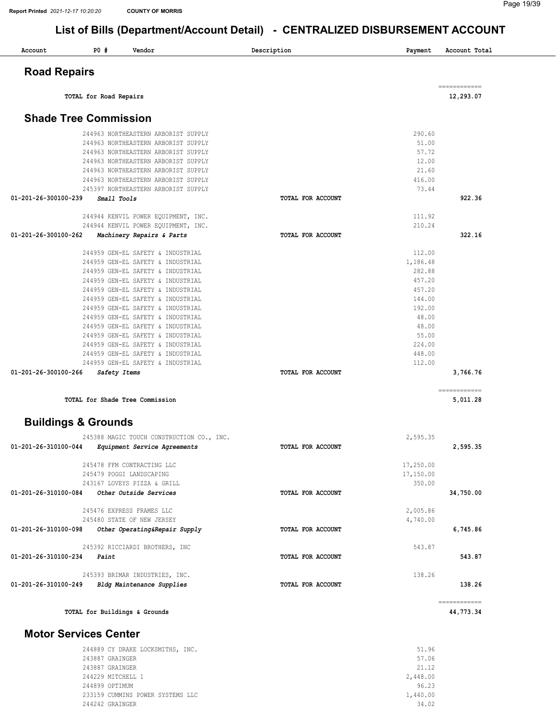| Account                        | <b>PO #</b><br>Vendor                                                  | Description<br>Payment     | Account Total            |
|--------------------------------|------------------------------------------------------------------------|----------------------------|--------------------------|
| <b>Road Repairs</b>            |                                                                        |                            |                          |
|                                | TOTAL for Road Repairs                                                 |                            | 12,293.07                |
|                                | <b>Shade Tree Commission</b>                                           |                            |                          |
|                                |                                                                        |                            |                          |
|                                | 244963 NORTHEASTERN ARBORIST SUPPLY                                    | 290.60                     |                          |
|                                | 244963 NORTHEASTERN ARBORIST SUPPLY                                    | 51.00                      |                          |
|                                | 244963 NORTHEASTERN ARBORIST SUPPLY                                    | 57.72                      |                          |
|                                | 244963 NORTHEASTERN ARBORIST SUPPLY                                    | 12.00                      |                          |
|                                | 244963 NORTHEASTERN ARBORIST SUPPLY                                    | 21.60                      |                          |
|                                | 244963 NORTHEASTERN ARBORIST SUPPLY                                    | 416.00                     |                          |
| 01-201-26-300100-239           | 245397 NORTHEASTERN ARBORIST SUPPLY                                    | 73.44<br>TOTAL FOR ACCOUNT | 922.36                   |
|                                | Small Tools                                                            |                            |                          |
|                                | 244944 KENVIL POWER EQUIPMENT, INC.                                    | 111.92                     |                          |
|                                | 244944 KENVIL POWER EQUIPMENT, INC.                                    | 210.24                     |                          |
| 01-201-26-300100-262           | Machinery Repairs & Parts                                              | TOTAL FOR ACCOUNT          | 322.16                   |
|                                |                                                                        |                            |                          |
|                                | 244959 GEN-EL SAFETY & INDUSTRIAL                                      | 112.00                     |                          |
|                                | 244959 GEN-EL SAFETY & INDUSTRIAL                                      | 1,186.48                   |                          |
|                                | 244959 GEN-EL SAFETY & INDUSTRIAL                                      | 282.88                     |                          |
|                                | 244959 GEN-EL SAFETY & INDUSTRIAL                                      | 457.20                     |                          |
|                                | 244959 GEN-EL SAFETY & INDUSTRIAL                                      | 457.20                     |                          |
|                                | 244959 GEN-EL SAFETY & INDUSTRIAL                                      | 144.00                     |                          |
|                                | 244959 GEN-EL SAFETY & INDUSTRIAL                                      | 192.00                     |                          |
|                                | 244959 GEN-EL SAFETY & INDUSTRIAL                                      | 48.00                      |                          |
|                                | 244959 GEN-EL SAFETY & INDUSTRIAL                                      | 48.00                      |                          |
|                                | 244959 GEN-EL SAFETY & INDUSTRIAL                                      | 55.00                      |                          |
|                                | 244959 GEN-EL SAFETY & INDUSTRIAL                                      | 224.00                     |                          |
|                                | 244959 GEN-EL SAFETY & INDUSTRIAL<br>244959 GEN-EL SAFETY & INDUSTRIAL | 448.00<br>112.00           |                          |
| 01-201-26-300100-266           | Safety Items                                                           | TOTAL FOR ACCOUNT          | 3,766.76                 |
|                                |                                                                        |                            |                          |
|                                | TOTAL for Shade Tree Commission                                        |                            | ============<br>5,011.28 |
| <b>Buildings &amp; Grounds</b> |                                                                        |                            |                          |
|                                | 245388 MAGIC TOUCH CONSTRUCTION CO., INC.                              | 2,595.35                   |                          |
| 01-201-26-310100-044           | Equipment Service Agreements                                           | TOTAL FOR ACCOUNT          | 2,595.35                 |
|                                | 245478 FFM CONTRACTING LLC                                             | 17,250.00                  |                          |
|                                | 245479 POGGI LANDSCAPING                                               | 17,150.00                  |                          |
|                                | 243167 LOVEYS PIZZA & GRILL                                            | 350.00                     |                          |
| 01-201-26-310100-084           | Other Outside Services                                                 | TOTAL FOR ACCOUNT          | 34,750.00                |
|                                |                                                                        |                            |                          |
|                                | 245476 EXPRESS FRAMES LLC                                              | 2,005.86                   |                          |
|                                | 245480 STATE OF NEW JERSEY                                             | 4,740.00                   |                          |
| 01-201-26-310100-098           | Other Operating&Repair Supply                                          | TOTAL FOR ACCOUNT          | 6,745.86                 |
|                                | 245392 RICCIARDI BROTHERS, INC                                         | 543.87                     |                          |
| 01-201-26-310100-234           | Paint                                                                  | TOTAL FOR ACCOUNT          | 543.87                   |
|                                | 245393 BRIMAR INDUSTRIES, INC.                                         | 138.26                     |                          |
|                                | Bldg Maintenance Supplies                                              | TOTAL FOR ACCOUNT          | 138.26                   |

# Motor Services Center

| 244889 CY DRAKE LOCKSMITHS, INC. | 51.96    |
|----------------------------------|----------|
| 243887 GRAINGER                  | 57.06    |
| 243887 GRAINGER                  | 21.12    |
| 244229 MITCHELL 1                | 2,448.00 |
| 244899 OPTIMUM                   | 96.23    |
| 233159 CUMMINS POWER SYSTEMS LLC | 1,440.00 |
| 244242 GRAINGER                  | 34.02    |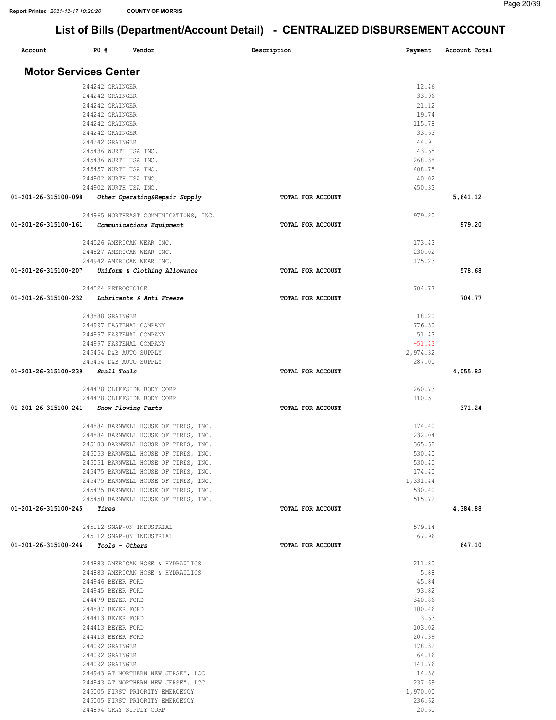| Account                               | <b>PO #</b> |                                                  | Vendor                                | Description |                   | Payment            | Account Total |
|---------------------------------------|-------------|--------------------------------------------------|---------------------------------------|-------------|-------------------|--------------------|---------------|
| <b>Motor Services Center</b>          |             |                                                  |                                       |             |                   |                    |               |
|                                       |             |                                                  |                                       |             |                   |                    |               |
|                                       |             | 244242 GRAINGER                                  |                                       |             |                   | 12.46<br>33.96     |               |
|                                       |             | 244242 GRAINGER<br>244242 GRAINGER               |                                       |             |                   | 21.12              |               |
|                                       |             | 244242 GRAINGER                                  |                                       |             |                   | 19.74              |               |
|                                       |             | 244242 GRAINGER                                  |                                       |             |                   | 115.78             |               |
|                                       |             | 244242 GRAINGER                                  |                                       |             |                   | 33.63              |               |
|                                       |             | 244242 GRAINGER                                  |                                       |             |                   | 44.91              |               |
|                                       |             | 245436 WURTH USA INC.                            |                                       |             |                   | 43.65              |               |
|                                       |             | 245436 WURTH USA INC.                            |                                       |             |                   | 268.38             |               |
|                                       |             | 245457 WURTH USA INC.                            |                                       |             |                   | 408.75             |               |
|                                       |             | 244902 WURTH USA INC.                            |                                       |             |                   | 40.02              |               |
|                                       |             | 244902 WURTH USA INC.                            |                                       |             |                   | 450.33             |               |
| 01-201-26-315100-098                  |             |                                                  | Other Operating&Repair Supply         |             | TOTAL FOR ACCOUNT |                    | 5,641.12      |
|                                       |             |                                                  | 244965 NORTHEAST COMMUNICATIONS, INC. |             |                   | 979.20             |               |
| 01-201-26-315100-161                  |             |                                                  | Communications Equipment              |             | TOTAL FOR ACCOUNT |                    | 979.20        |
|                                       |             |                                                  |                                       |             |                   |                    |               |
|                                       |             | 244526 AMERICAN WEAR INC.                        |                                       |             |                   | 173.43             |               |
|                                       |             | 244527 AMERICAN WEAR INC.                        |                                       |             |                   | 230.02             |               |
|                                       |             | 244942 AMERICAN WEAR INC.                        |                                       |             |                   | 175.23             |               |
| 01-201-26-315100-207                  |             |                                                  | Uniform & Clothing Allowance          |             | TOTAL FOR ACCOUNT |                    | 578.68        |
|                                       |             | 244524 PETROCHOICE                               |                                       |             |                   | 704.77             |               |
| 01-201-26-315100-232                  |             |                                                  | Lubricants & Anti Freeze              |             | TOTAL FOR ACCOUNT |                    | 704.77        |
|                                       |             |                                                  |                                       |             |                   |                    |               |
|                                       |             | 243888 GRAINGER                                  |                                       |             |                   | 18.20              |               |
|                                       |             | 244997 FASTENAL COMPANY                          |                                       |             |                   | 776.30             |               |
|                                       |             | 244997 FASTENAL COMPANY                          |                                       |             |                   | 51.43              |               |
|                                       |             | 244997 FASTENAL COMPANY                          |                                       |             |                   | $-51.43$           |               |
|                                       |             | 245454 D&B AUTO SUPPLY<br>245454 D&B AUTO SUPPLY |                                       |             |                   | 2,974.32<br>287.00 |               |
| 01-201-26-315100-239                  |             | Small Tools                                      |                                       |             | TOTAL FOR ACCOUNT |                    | 4,055.82      |
|                                       |             |                                                  |                                       |             |                   |                    |               |
|                                       |             |                                                  | 244478 CLIFFSIDE BODY CORP            |             |                   | 260.73             |               |
|                                       |             |                                                  | 244478 CLIFFSIDE BODY CORP            |             |                   | 110.51             |               |
| 01-201-26-315100-241                  |             | Snow Plowing Parts                               |                                       |             | TOTAL FOR ACCOUNT |                    | 371.24        |
|                                       |             |                                                  | 244884 BARNWELL HOUSE OF TIRES, INC.  |             |                   | 174.40             |               |
|                                       |             |                                                  | 244884 BARNWELL HOUSE OF TIRES, INC.  |             |                   | 232.04             |               |
|                                       |             |                                                  | 245183 BARNWELL HOUSE OF TIRES, INC.  |             |                   | 365.68             |               |
|                                       |             |                                                  | 245053 BARNWELL HOUSE OF TIRES, INC.  |             |                   | 530.40             |               |
|                                       |             |                                                  | 245051 BARNWELL HOUSE OF TIRES, INC.  |             |                   | 530.40             |               |
|                                       |             |                                                  | 245475 BARNWELL HOUSE OF TIRES, INC.  |             |                   | 174.40             |               |
|                                       |             |                                                  | 245475 BARNWELL HOUSE OF TIRES, INC.  |             |                   | 1,331.44           |               |
|                                       |             |                                                  | 245475 BARNWELL HOUSE OF TIRES, INC.  |             |                   | 530.40             |               |
|                                       |             |                                                  | 245450 BARNWELL HOUSE OF TIRES, INC.  |             |                   | 515.72             |               |
| 01-201-26-315100-245                  |             | Tires                                            |                                       |             | TOTAL FOR ACCOUNT |                    | 4,384.88      |
|                                       |             |                                                  | 245112 SNAP-ON INDUSTRIAL             |             |                   | 579.14             |               |
|                                       |             |                                                  | 245112 SNAP-ON INDUSTRIAL             |             |                   | 67.96              |               |
| $01-201-26-315100-246$ Tools - Others |             |                                                  |                                       |             | TOTAL FOR ACCOUNT |                    | 647.10        |
|                                       |             |                                                  | 244883 AMERICAN HOSE & HYDRAULICS     |             |                   | 211.80             |               |
|                                       |             |                                                  | 244883 AMERICAN HOSE & HYDRAULICS     |             |                   | 5.88               |               |
|                                       |             | 244946 BEYER FORD                                |                                       |             |                   | 45.84              |               |
|                                       |             | 244945 BEYER FORD                                |                                       |             |                   | 93.82              |               |
|                                       |             | 244479 BEYER FORD                                |                                       |             |                   | 340.86             |               |
|                                       |             | 244887 BEYER FORD                                |                                       |             |                   | 100.46             |               |
|                                       |             | 244413 BEYER FORD                                |                                       |             |                   | 3.63               |               |
|                                       |             | 244413 BEYER FORD                                |                                       |             |                   | 103.02<br>207.39   |               |
|                                       |             | 244413 BEYER FORD                                |                                       |             |                   | 178.32             |               |
|                                       |             | 244092 GRAINGER<br>244092 GRAINGER               |                                       |             |                   | 64.16              |               |
|                                       |             | 244092 GRAINGER                                  |                                       |             |                   | 141.76             |               |
|                                       |             |                                                  | 244943 AT NORTHERN NEW JERSEY, LCC    |             |                   | 14.36              |               |
|                                       |             |                                                  | 244943 AT NORTHERN NEW JERSEY, LCC    |             |                   | 237.69             |               |
|                                       |             |                                                  | 245005 FIRST PRIORITY EMERGENCY       |             |                   | 1,970.00           |               |
|                                       |             |                                                  | 245005 FIRST PRIORITY EMERGENCY       |             |                   | 236.62             |               |
|                                       |             | 244894 GRAY SUPPLY CORP                          |                                       |             |                   | 20.60              |               |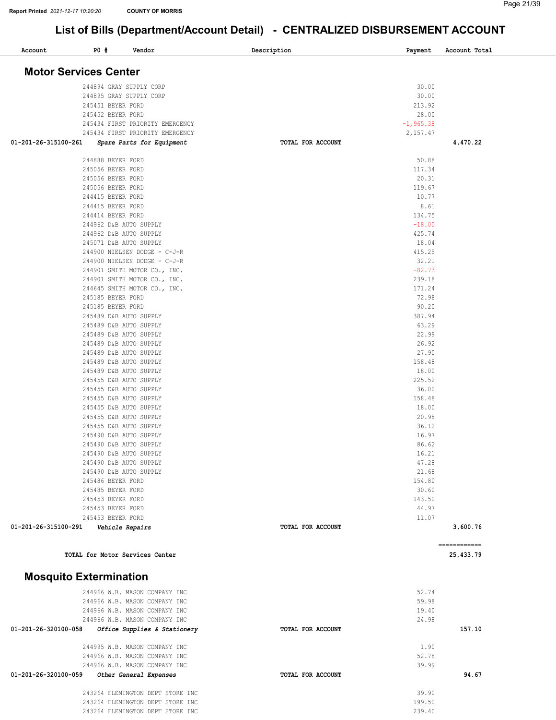| Account                       | P0 #                                   | Vendor                                             | Description       | Payment         | Account Total |
|-------------------------------|----------------------------------------|----------------------------------------------------|-------------------|-----------------|---------------|
| <b>Motor Services Center</b>  |                                        |                                                    |                   |                 |               |
|                               |                                        |                                                    |                   |                 |               |
|                               |                                        | 244894 GRAY SUPPLY CORP<br>244895 GRAY SUPPLY CORP |                   | 30.00<br>30.00  |               |
|                               | 245451 BEYER FORD                      |                                                    |                   | 213.92          |               |
|                               | 245452 BEYER FORD                      |                                                    |                   | 28.00           |               |
|                               |                                        | 245434 FIRST PRIORITY EMERGENCY                    |                   | $-1, 965.38$    |               |
|                               |                                        | 245434 FIRST PRIORITY EMERGENCY                    |                   | 2,157.47        |               |
| 01-201-26-315100-261          |                                        | Spare Parts for Equipment                          | TOTAL FOR ACCOUNT |                 | 4,470.22      |
|                               | 244888 BEYER FORD                      |                                                    |                   | 50.88           |               |
|                               | 245056 BEYER FORD                      |                                                    |                   | 117.34          |               |
|                               | 245056 BEYER FORD                      |                                                    |                   | 20.31           |               |
|                               | 245056 BEYER FORD                      |                                                    |                   | 119.67          |               |
|                               | 244415 BEYER FORD                      |                                                    |                   | 10.77           |               |
|                               | 244415 BEYER FORD                      |                                                    |                   | 8.61            |               |
|                               | 244414 BEYER FORD                      |                                                    |                   | 134.75          |               |
|                               |                                        | 244962 D&B AUTO SUPPLY                             |                   | $-18.00$        |               |
|                               |                                        | 244962 D&B AUTO SUPPLY<br>245071 D&B AUTO SUPPLY   |                   | 425.74          |               |
|                               |                                        | 244900 NIELSEN DODGE - C-J-R                       |                   | 18.04<br>415.25 |               |
|                               |                                        | 244900 NIELSEN DODGE - C-J-R                       |                   | 32.21           |               |
|                               |                                        | 244901 SMITH MOTOR CO., INC.                       |                   | $-82.73$        |               |
|                               |                                        | 244901 SMITH MOTOR CO., INC.                       |                   | 239.18          |               |
|                               |                                        | 244645 SMITH MOTOR CO., INC.                       |                   | 171.24          |               |
|                               | 245185 BEYER FORD                      |                                                    |                   | 72.98           |               |
|                               | 245185 BEYER FORD                      |                                                    |                   | 90.20           |               |
|                               |                                        | 245489 D&B AUTO SUPPLY                             |                   | 387.94          |               |
|                               |                                        | 245489 D&B AUTO SUPPLY                             |                   | 63.29           |               |
|                               |                                        | 245489 D&B AUTO SUPPLY                             |                   | 22.99           |               |
|                               |                                        | 245489 D&B AUTO SUPPLY                             |                   | 26.92           |               |
|                               |                                        | 245489 D&B AUTO SUPPLY                             |                   | 27.90           |               |
|                               |                                        | 245489 D&B AUTO SUPPLY<br>245489 D&B AUTO SUPPLY   |                   | 158.48<br>18.00 |               |
|                               |                                        | 245455 D&B AUTO SUPPLY                             |                   | 225.52          |               |
|                               |                                        | 245455 D&B AUTO SUPPLY                             |                   | 36.00           |               |
|                               |                                        | 245455 D&B AUTO SUPPLY                             |                   | 158.48          |               |
|                               |                                        | 245455 D&B AUTO SUPPLY                             |                   | 18.00           |               |
|                               |                                        | 245455 D&B AUTO SUPPLY                             |                   | 20.98           |               |
|                               |                                        | 245455 D&B AUTO SUPPLY                             |                   | 36.12           |               |
|                               |                                        | 245490 D&B AUTO SUPPLY                             |                   | 16.97           |               |
|                               |                                        | 245490 D&B AUTO SUPPLY                             |                   | 86.62           |               |
|                               |                                        | 245490 D&B AUTO SUPPLY                             |                   | 16.21           |               |
|                               |                                        | 245490 D&B AUTO SUPPLY                             |                   | 47.28           |               |
|                               |                                        | 245490 D&B AUTO SUPPLY                             |                   | 21.68           |               |
|                               | 245486 BEYER FORD                      |                                                    |                   | 154.80          |               |
|                               | 245485 BEYER FORD<br>245453 BEYER FORD |                                                    |                   | 30.60<br>143.50 |               |
|                               | 245453 BEYER FORD                      |                                                    |                   | 44.97           |               |
|                               | 245453 BEYER FORD                      |                                                    |                   | 11.07           |               |
| 01-201-26-315100-291          |                                        | Vehicle Repairs                                    | TOTAL FOR ACCOUNT |                 | 3,600.76      |
|                               |                                        |                                                    |                   |                 | ------------  |
|                               |                                        | TOTAL for Motor Services Center                    |                   |                 | 25,433.79     |
| <b>Mosquito Extermination</b> |                                        |                                                    |                   |                 |               |
|                               |                                        | 244966 W.B. MASON COMPANY INC                      |                   | 52.74           |               |
|                               |                                        | 244966 W.B. MASON COMPANY INC                      |                   | 59.98           |               |
|                               |                                        | 244966 W.B. MASON COMPANY INC                      |                   | 19.40           |               |
|                               |                                        | 244966 W.B. MASON COMPANY INC                      |                   | 24.98           |               |
| 01-201-26-320100-058          |                                        | Office Supplies & Stationery                       | TOTAL FOR ACCOUNT |                 | 157.10        |
|                               |                                        | 244995 W.B. MASON COMPANY INC                      |                   | 1.90            |               |
|                               |                                        | 244966 W.B. MASON COMPANY INC                      |                   | 52.78           |               |
|                               |                                        | 244966 W.B. MASON COMPANY INC                      |                   | 39.99           |               |
| 01-201-26-320100-059          |                                        | Other General Expenses                             | TOTAL FOR ACCOUNT |                 | 94.67         |
|                               |                                        | 243264 FLEMINGTON DEPT STORE INC                   |                   | 39.90           |               |
|                               |                                        | 243264 FLEMINGTON DEPT STORE INC                   |                   | 199.50          |               |
|                               |                                        | 243264 FLEMINGTON DEPT STORE INC                   |                   | 239.40          |               |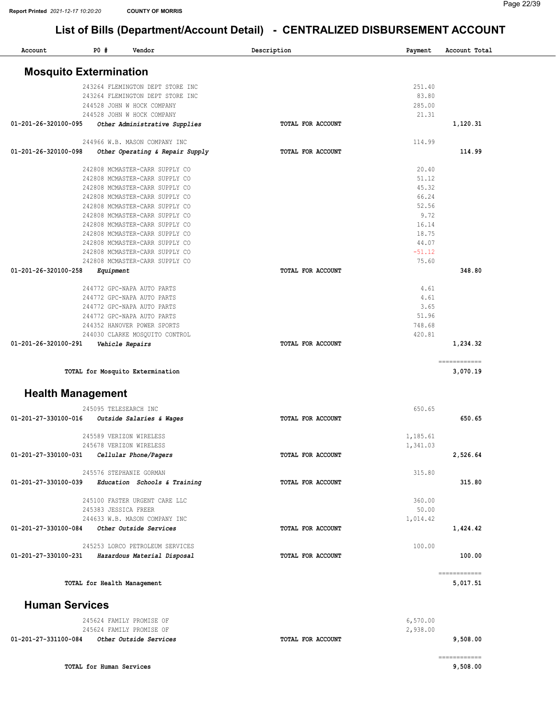| Account                       | PO# | Vendor                                                   | Description       | Payment         | Account Total |
|-------------------------------|-----|----------------------------------------------------------|-------------------|-----------------|---------------|
| <b>Mosquito Extermination</b> |     |                                                          |                   |                 |               |
|                               |     |                                                          |                   |                 |               |
|                               |     | 243264 FLEMINGTON DEPT STORE INC                         |                   | 251.40          |               |
|                               |     | 243264 FLEMINGTON DEPT STORE INC                         |                   | 83.80           |               |
|                               |     | 244528 JOHN W HOCK COMPANY<br>244528 JOHN W HOCK COMPANY |                   | 285.00<br>21.31 |               |
| 01-201-26-320100-095          |     | Other Administrative Supplies                            | TOTAL FOR ACCOUNT |                 | 1,120.31      |
|                               |     | 244966 W.B. MASON COMPANY INC                            |                   | 114.99          |               |
| 01-201-26-320100-098          |     | Other Operating & Repair Supply                          | TOTAL FOR ACCOUNT |                 | 114.99        |
|                               |     |                                                          |                   |                 |               |
|                               |     | 242808 MCMASTER-CARR SUPPLY CO                           |                   | 20.40           |               |
|                               |     | 242808 MCMASTER-CARR SUPPLY CO                           |                   | 51.12           |               |
|                               |     | 242808 MCMASTER-CARR SUPPLY CO                           |                   | 45.32           |               |
|                               |     | 242808 MCMASTER-CARR SUPPLY CO                           |                   | 66.24           |               |
|                               |     | 242808 MCMASTER-CARR SUPPLY CO                           |                   | 52.56           |               |
|                               |     | 242808 MCMASTER-CARR SUPPLY CO                           |                   | 9.72            |               |
|                               |     | 242808 MCMASTER-CARR SUPPLY CO                           |                   | 16.14           |               |
|                               |     | 242808 MCMASTER-CARR SUPPLY CO                           |                   | 18.75           |               |
|                               |     | 242808 MCMASTER-CARR SUPPLY CO                           |                   | 44.07           |               |
|                               |     | 242808 MCMASTER-CARR SUPPLY CO                           |                   | $-51.12$        |               |
|                               |     | 242808 MCMASTER-CARR SUPPLY CO                           |                   | 75.60           |               |
| 01-201-26-320100-258          |     | Equipment                                                | TOTAL FOR ACCOUNT |                 | 348.80        |
|                               |     | 244772 GPC-NAPA AUTO PARTS                               |                   | 4.61            |               |
|                               |     | 244772 GPC-NAPA AUTO PARTS                               |                   | 4.61            |               |
|                               |     | 244772 GPC-NAPA AUTO PARTS                               |                   | 3.65            |               |
|                               |     | 244772 GPC-NAPA AUTO PARTS                               |                   | 51.96           |               |
|                               |     | 244352 HANOVER POWER SPORTS                              |                   | 748.68          |               |
|                               |     | 244030 CLARKE MOSQUITO CONTROL                           |                   | 420.81          |               |
| 01-201-26-320100-291          |     | Vehicle Repairs                                          | TOTAL FOR ACCOUNT |                 | 1,234.32      |
|                               |     |                                                          |                   |                 | ============  |
|                               |     | TOTAL for Mosquito Extermination                         |                   |                 | 3,070.19      |
| <b>Health Management</b>      |     |                                                          |                   |                 |               |
|                               |     | 245095 TELESEARCH INC                                    |                   | 650.65          |               |
| 01-201-27-330100-016          |     | Outside Salaries & Wages                                 | TOTAL FOR ACCOUNT |                 | 650.65        |
|                               |     | 245589 VERIZON WIRELESS                                  |                   | 1,185.61        |               |
|                               |     | 245678 VERIZON WIRELESS                                  |                   | 1,341.03        |               |
| 01-201-27-330100-031          |     | Cellular Phone/Pagers                                    | TOTAL FOR ACCOUNT |                 | 2,526.64      |
|                               |     | 245576 STEPHANIE GORMAN                                  |                   | 315.80          |               |
| 01-201-27-330100-039          |     | Education Schools & Training                             | TOTAL FOR ACCOUNT |                 | 315.80        |
|                               |     |                                                          |                   |                 |               |
|                               |     | 245100 FASTER URGENT CARE LLC                            |                   | 360.00          |               |
|                               |     | 245383 JESSICA FREER                                     |                   | 50.00           |               |
|                               |     | 244633 W.B. MASON COMPANY INC                            |                   | 1,014.42        |               |
| 01-201-27-330100-084          |     | Other Outside Services                                   | TOTAL FOR ACCOUNT |                 | 1,424.42      |
|                               |     | 245253 LORCO PETROLEUM SERVICES                          |                   | 100.00          |               |
|                               |     | 01-201-27-330100-231 Hazardous Material Disposal         | TOTAL FOR ACCOUNT |                 | 100.00        |
|                               |     |                                                          |                   |                 | ============  |
|                               |     | TOTAL for Health Management                              |                   |                 | 5,017.51      |
| <b>Human Services</b>         |     |                                                          |                   |                 |               |
|                               |     | 245624 FAMILY PROMISE OF                                 |                   | 6,570.00        |               |
|                               |     | 245624 FAMILY PROMISE OF                                 |                   | 2,938.00        |               |
|                               |     | 01-201-27-331100-084 Other Outside Services              | TOTAL FOR ACCOUNT |                 | 9,508.00      |
|                               |     |                                                          |                   |                 | ------------  |
|                               |     | TOTAL for Human Services                                 |                   |                 | 9,508.00      |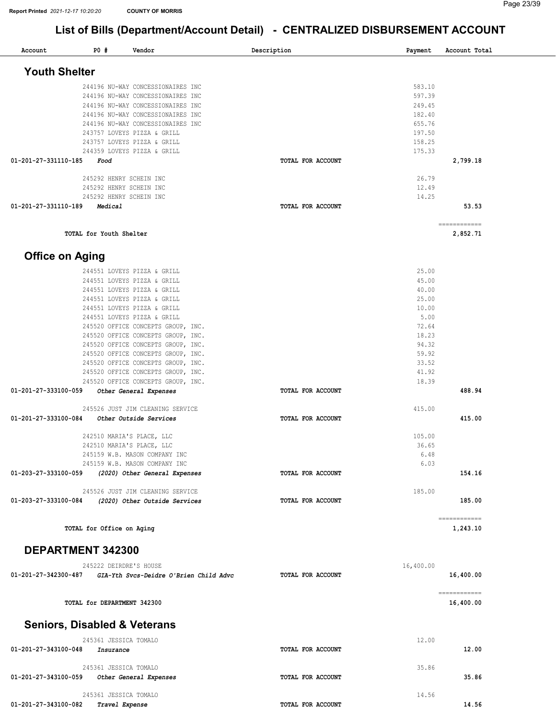| Account                | <b>PO #</b>                             | Vendor                                                                   | Description              | Payment         | Account Total |
|------------------------|-----------------------------------------|--------------------------------------------------------------------------|--------------------------|-----------------|---------------|
| <b>Youth Shelter</b>   |                                         |                                                                          |                          |                 |               |
|                        |                                         | 244196 NU-WAY CONCESSIONAIRES INC                                        |                          | 583.10          |               |
|                        |                                         | 244196 NU-WAY CONCESSIONAIRES INC                                        |                          | 597.39          |               |
|                        |                                         | 244196 NU-WAY CONCESSIONAIRES INC                                        |                          | 249.45          |               |
|                        |                                         | 244196 NU-WAY CONCESSIONAIRES INC                                        |                          | 182.40          |               |
|                        |                                         | 244196 NU-WAY CONCESSIONAIRES INC                                        |                          | 655.76          |               |
|                        |                                         | 243757 LOVEYS PIZZA & GRILL                                              |                          | 197.50          |               |
|                        |                                         | 243757 LOVEYS PIZZA & GRILL                                              |                          | 158.25          |               |
| 01-201-27-331110-185   | Food                                    | 244359 LOVEYS PIZZA & GRILL                                              | TOTAL FOR ACCOUNT        | 175.33          | 2,799.18      |
|                        |                                         |                                                                          |                          |                 |               |
|                        | 245292 HENRY SCHEIN INC                 |                                                                          |                          | 26.79           |               |
|                        | 245292 HENRY SCHEIN INC                 |                                                                          |                          | 12.49           |               |
|                        | 245292 HENRY SCHEIN INC                 |                                                                          |                          | 14.25           |               |
| 01-201-27-331110-189   | Medical                                 |                                                                          | TOTAL FOR ACCOUNT        |                 | 53.53         |
|                        |                                         |                                                                          |                          |                 | ============  |
|                        | TOTAL for Youth Shelter                 |                                                                          |                          |                 | 2,852.71      |
| <b>Office on Aging</b> |                                         |                                                                          |                          |                 |               |
|                        |                                         | 244551 LOVEYS PIZZA & GRILL                                              |                          | 25.00           |               |
|                        |                                         | 244551 LOVEYS PIZZA & GRILL                                              |                          | 45.00           |               |
|                        |                                         | 244551 LOVEYS PIZZA & GRILL                                              |                          | 40.00           |               |
|                        |                                         | 244551 LOVEYS PIZZA & GRILL                                              |                          | 25.00           |               |
|                        |                                         | 244551 LOVEYS PIZZA & GRILL                                              |                          | 10.00           |               |
|                        |                                         | 244551 LOVEYS PIZZA & GRILL                                              |                          | 5.00            |               |
|                        |                                         | 245520 OFFICE CONCEPTS GROUP, INC.                                       |                          | 72.64           |               |
|                        |                                         | 245520 OFFICE CONCEPTS GROUP, INC.                                       |                          | 18.23           |               |
|                        |                                         | 245520 OFFICE CONCEPTS GROUP, INC.                                       |                          | 94.32           |               |
|                        |                                         | 245520 OFFICE CONCEPTS GROUP, INC.                                       |                          | 59.92<br>33.52  |               |
|                        |                                         | 245520 OFFICE CONCEPTS GROUP, INC.<br>245520 OFFICE CONCEPTS GROUP, INC. |                          | 41.92           |               |
|                        |                                         | 245520 OFFICE CONCEPTS GROUP, INC.                                       |                          | 18.39           |               |
| 01-201-27-333100-059   |                                         | Other General Expenses                                                   | TOTAL FOR ACCOUNT        |                 | 488.94        |
|                        |                                         |                                                                          |                          |                 |               |
|                        |                                         | 245526 JUST JIM CLEANING SERVICE                                         |                          | 415.00          |               |
| 01-201-27-333100-084   |                                         | Other Outside Services                                                   | TOTAL FOR ACCOUNT        |                 | 415.00        |
|                        |                                         |                                                                          |                          |                 |               |
|                        |                                         | 242510 MARIA'S PLACE, LLC                                                |                          | 105.00<br>36.65 |               |
|                        |                                         | 242510 MARIA'S PLACE, LLC<br>245159 W.B. MASON COMPANY INC               |                          | 6.48            |               |
|                        |                                         | 245159 W.B. MASON COMPANY INC                                            |                          | 6.03            |               |
| 01-203-27-333100-059   |                                         | (2020) Other General Expenses                                            | TOTAL FOR ACCOUNT        |                 | 154.16        |
|                        |                                         |                                                                          |                          |                 |               |
|                        |                                         | 245526 JUST JIM CLEANING SERVICE                                         |                          | 185.00          |               |
| 01-203-27-333100-084   |                                         | (2020) Other Outside Services                                            | TOTAL FOR ACCOUNT        |                 | 185.00        |
|                        |                                         |                                                                          |                          |                 | ============  |
|                        | TOTAL for Office on Aging               |                                                                          |                          |                 | 1,243.10      |
|                        |                                         |                                                                          |                          |                 |               |
|                        | DEPARTMENT 342300                       |                                                                          |                          |                 |               |
|                        | 245222 DEIRDRE'S HOUSE                  |                                                                          |                          | 16,400.00       |               |
| 01-201-27-342300-487   |                                         | GIA-Yth Svcs-Deidre O'Brien Child Advc                                   | TOTAL FOR ACCOUNT        |                 | 16,400.00     |
|                        |                                         |                                                                          |                          |                 | ============  |
|                        | TOTAL for DEPARTMENT 342300             |                                                                          |                          |                 | 16,400.00     |
|                        | <b>Seniors, Disabled &amp; Veterans</b> |                                                                          |                          |                 |               |
|                        | 245361 JESSICA TOMALO                   |                                                                          |                          | 12.00           |               |
| 01-201-27-343100-048   | Insurance                               |                                                                          | <b>TOTAL FOR ACCOUNT</b> |                 | 12.00         |
|                        |                                         |                                                                          |                          |                 |               |
|                        | 245361 JESSICA TOMALO                   |                                                                          |                          | 35.86           |               |
| 01-201-27-343100-059   |                                         | Other General Expenses                                                   | TOTAL FOR ACCOUNT        |                 | 35.86         |
|                        | 245361 JESSICA TOMALO                   |                                                                          |                          | 14.56           |               |
| 01-201-27-343100-082   | Travel Expense                          |                                                                          | TOTAL FOR ACCOUNT        |                 | 14.56         |
|                        |                                         |                                                                          |                          |                 |               |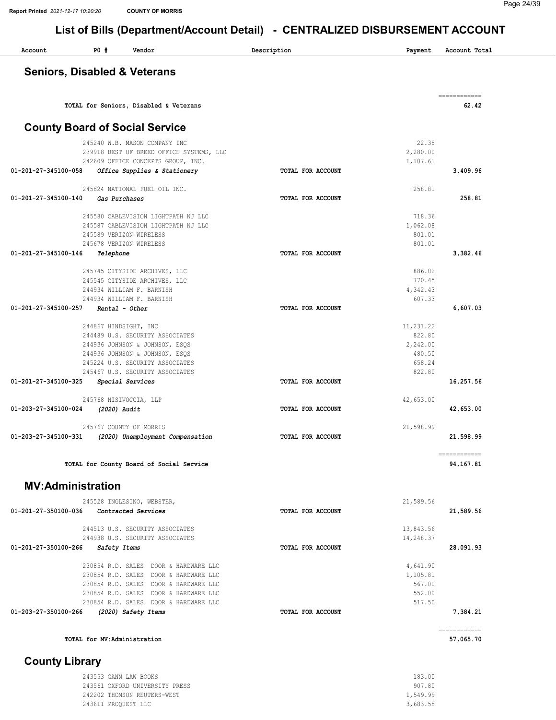| Account               | PO#                                         | Vendor                                                                         | Description              | Payment              | Account Total             |
|-----------------------|---------------------------------------------|--------------------------------------------------------------------------------|--------------------------|----------------------|---------------------------|
|                       | <b>Seniors, Disabled &amp; Veterans</b>     |                                                                                |                          |                      |                           |
|                       |                                             |                                                                                |                          |                      | ============              |
|                       | TOTAL for Seniors, Disabled & Veterans      |                                                                                |                          |                      | 62.42                     |
|                       | <b>County Board of Social Service</b>       |                                                                                |                          |                      |                           |
|                       |                                             | 245240 W.B. MASON COMPANY INC                                                  |                          | 22.35                |                           |
|                       |                                             | 239918 BEST OF BREED OFFICE SYSTEMS, LLC<br>242609 OFFICE CONCEPTS GROUP, INC. |                          | 2,280.00<br>1,107.61 |                           |
| 01-201-27-345100-058  |                                             | Office Supplies & Stationery                                                   | TOTAL FOR ACCOUNT        |                      | 3,409.96                  |
|                       |                                             | 245824 NATIONAL FUEL OIL INC.                                                  |                          | 258.81               |                           |
| 01-201-27-345100-140  | Gas Purchases                               |                                                                                | TOTAL FOR ACCOUNT        |                      | 258.81                    |
|                       |                                             |                                                                                |                          | 718.36               |                           |
|                       |                                             | 245580 CABLEVISION LIGHTPATH NJ LLC<br>245587 CABLEVISION LIGHTPATH NJ LLC     |                          | 1,062.08             |                           |
|                       | 245589 VERIZON WIRELESS                     |                                                                                |                          | 801.01               |                           |
|                       | 245678 VERIZON WIRELESS                     |                                                                                |                          | 801.01               |                           |
| 01-201-27-345100-146  | Telephone                                   |                                                                                | TOTAL FOR ACCOUNT        |                      | 3,382.46                  |
|                       |                                             | 245745 CITYSIDE ARCHIVES, LLC                                                  |                          | 886.82               |                           |
|                       |                                             | 245545 CITYSIDE ARCHIVES, LLC                                                  |                          | 770.45               |                           |
|                       | 244934 WILLIAM F. BARNISH                   |                                                                                |                          | 4,342.43<br>607.33   |                           |
| 01-201-27-345100-257  | 244934 WILLIAM F. BARNISH<br>Rental - Other |                                                                                | TOTAL FOR ACCOUNT        |                      | 6,607.03                  |
|                       |                                             |                                                                                |                          |                      |                           |
|                       | 244867 HINDSIGHT, INC                       | 244489 U.S. SECURITY ASSOCIATES                                                |                          | 11,231.22<br>822.80  |                           |
|                       |                                             | 244936 JOHNSON & JOHNSON, ESQS                                                 |                          | 2,242.00             |                           |
|                       |                                             | 244936 JOHNSON & JOHNSON, ESQS                                                 |                          | 480.50               |                           |
|                       |                                             | 245224 U.S. SECURITY ASSOCIATES                                                |                          | 658.24               |                           |
| 01-201-27-345100-325  | Special Services                            | 245467 U.S. SECURITY ASSOCIATES                                                | TOTAL FOR ACCOUNT        | 822.80               | 16,257.56                 |
|                       |                                             |                                                                                |                          |                      |                           |
| 01-203-27-345100-024  | 245768 NISIVOCCIA, LLP<br>(2020) Audit      |                                                                                | TOTAL FOR ACCOUNT        | 42,653.00            | 42,653.00                 |
|                       |                                             |                                                                                |                          |                      |                           |
|                       | 245767 COUNTY OF MORRIS                     |                                                                                |                          | 21,598.99            |                           |
| 01-203-27-345100-331  |                                             | (2020) Unemployment Compensation                                               | TOTAL FOR ACCOUNT        |                      | 21,598.99                 |
|                       |                                             |                                                                                |                          |                      | ============              |
|                       |                                             | TOTAL for County Board of Social Service                                       |                          |                      | 94,167.81                 |
|                       | <b>MV:Administration</b>                    |                                                                                |                          |                      |                           |
|                       | 245528 INGLESINO, WEBSTER,                  |                                                                                |                          | 21,589.56            |                           |
| 01-201-27-350100-036  | Contracted Services                         |                                                                                | TOTAL FOR ACCOUNT        |                      | 21,589.56                 |
|                       |                                             | 244513 U.S. SECURITY ASSOCIATES                                                |                          | 13,843.56            |                           |
|                       |                                             | 244938 U.S. SECURITY ASSOCIATES                                                |                          | 14,248.37            |                           |
| 01-201-27-350100-266  | Safety Items                                |                                                                                | <b>TOTAL FOR ACCOUNT</b> |                      | 28,091.93                 |
|                       |                                             | 230854 R.D. SALES DOOR & HARDWARE LLC                                          |                          | 4,641.90             |                           |
|                       |                                             | 230854 R.D. SALES DOOR & HARDWARE LLC                                          |                          | 1,105.81             |                           |
|                       |                                             | 230854 R.D. SALES DOOR & HARDWARE LLC                                          |                          | 567.00               |                           |
|                       |                                             | 230854 R.D. SALES DOOR & HARDWARE LLC                                          |                          | 552.00               |                           |
| 01-203-27-350100-266  | (2020) Safety Items                         | 230854 R.D. SALES DOOR & HARDWARE LLC                                          | <b>TOTAL FOR ACCOUNT</b> | 517.50               | 7,384.21                  |
|                       |                                             |                                                                                |                          |                      |                           |
|                       | TOTAL for MV: Administration                |                                                                                |                          |                      | ============<br>57,065.70 |
| <b>County Library</b> |                                             |                                                                                |                          |                      |                           |
|                       |                                             |                                                                                |                          | 102<br>$\wedge$      |                           |

| 243553 GANN LAW BOOKS          | 183.00   |
|--------------------------------|----------|
| 243561 OXFORD UNIVERSITY PRESS | 907.80   |
| 242202 THOMSON REUTERS-WEST    | 1,549.99 |
| 243611 PROOUEST LLC            | 3,683.58 |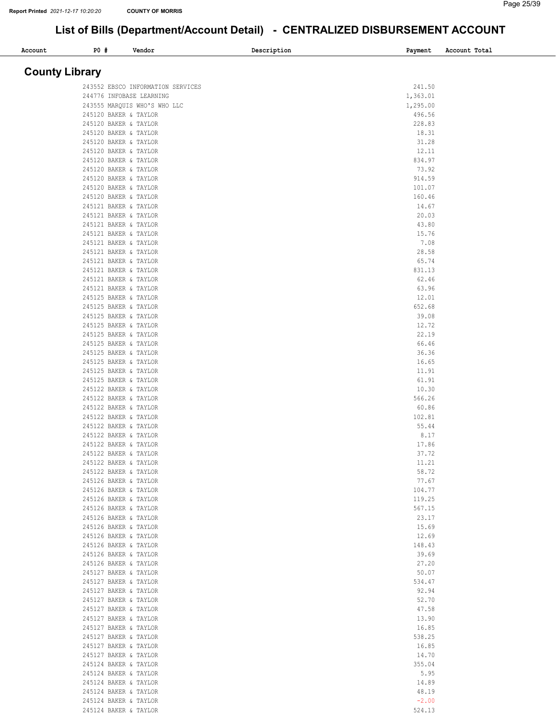| <b>PO #</b><br>Account                         | Vendor                            | Description | Payment            | Account Total |
|------------------------------------------------|-----------------------------------|-------------|--------------------|---------------|
|                                                |                                   |             |                    |               |
| <b>County Library</b>                          |                                   |             |                    |               |
|                                                | 243552 EBSCO INFORMATION SERVICES |             | 241.50             |               |
| 244776 INFOBASE LEARNING                       |                                   |             | 1,363.01           |               |
| 245120 BAKER & TAYLOR                          | 243555 MARQUIS WHO'S WHO LLC      |             | 1,295.00<br>496.56 |               |
| 245120 BAKER & TAYLOR                          |                                   |             | 228.83             |               |
| 245120 BAKER & TAYLOR                          |                                   |             | 18.31              |               |
| 245120 BAKER & TAYLOR                          |                                   |             | 31.28              |               |
| 245120 BAKER & TAYLOR<br>245120 BAKER & TAYLOR |                                   |             | 12.11<br>834.97    |               |
| 245120 BAKER & TAYLOR                          |                                   |             | 73.92              |               |
| 245120 BAKER & TAYLOR                          |                                   |             | 914.59             |               |
| 245120 BAKER & TAYLOR                          |                                   |             | 101.07             |               |
| 245120 BAKER & TAYLOR<br>245121 BAKER & TAYLOR |                                   |             | 160.46<br>14.67    |               |
| 245121 BAKER & TAYLOR                          |                                   |             | 20.03              |               |
| 245121 BAKER & TAYLOR                          |                                   |             | 43.80              |               |
| 245121 BAKER & TAYLOR                          |                                   |             | 15.76              |               |
| 245121 BAKER & TAYLOR<br>245121 BAKER & TAYLOR |                                   |             | 7.08<br>28.58      |               |
| 245121 BAKER & TAYLOR                          |                                   |             | 65.74              |               |
| 245121 BAKER & TAYLOR                          |                                   |             | 831.13             |               |
| 245121 BAKER & TAYLOR                          |                                   |             | 62.46              |               |
| 245121 BAKER & TAYLOR<br>245125 BAKER & TAYLOR |                                   |             | 63.96<br>12.01     |               |
| 245125 BAKER & TAYLOR                          |                                   |             | 652.68             |               |
| 245125 BAKER & TAYLOR                          |                                   |             | 39.08              |               |
| 245125 BAKER & TAYLOR                          |                                   |             | 12.72              |               |
| 245125 BAKER & TAYLOR<br>245125 BAKER & TAYLOR |                                   |             | 22.19<br>66.46     |               |
| 245125 BAKER & TAYLOR                          |                                   |             | 36.36              |               |
| 245125 BAKER & TAYLOR                          |                                   |             | 16.65              |               |
| 245125 BAKER & TAYLOR                          |                                   |             | 11.91              |               |
| 245125 BAKER & TAYLOR<br>245122 BAKER & TAYLOR |                                   |             | 61.91<br>10.30     |               |
| 245122 BAKER & TAYLOR                          |                                   |             | 566.26             |               |
| 245122 BAKER & TAYLOR                          |                                   |             | 60.86              |               |
| 245122 BAKER & TAYLOR                          |                                   |             | 102.81<br>55.44    |               |
| 245122 BAKER & TAYLOR<br>245122 BAKER & TAYLOR |                                   |             | 8.17               |               |
| 245122 BAKER & TAYLOR                          |                                   |             | 17.86              |               |
| 245122 BAKER & TAYLOR                          |                                   |             | 37.72              |               |
| 245122 BAKER & TAYLOR<br>245122 BAKER & TAYLOR |                                   |             | 11.21<br>58.72     |               |
| 245126 BAKER & TAYLOR                          |                                   |             | 77.67              |               |
| 245126 BAKER & TAYLOR                          |                                   |             | 104.77             |               |
| 245126 BAKER & TAYLOR                          |                                   |             | 119.25             |               |
| 245126 BAKER & TAYLOR<br>245126 BAKER & TAYLOR |                                   |             | 567.15<br>23.17    |               |
| 245126 BAKER & TAYLOR                          |                                   |             | 15.69              |               |
| 245126 BAKER & TAYLOR                          |                                   |             | 12.69              |               |
| 245126 BAKER & TAYLOR                          |                                   |             | 148.43             |               |
| 245126 BAKER & TAYLOR<br>245126 BAKER & TAYLOR |                                   |             | 39.69<br>27.20     |               |
| 245127 BAKER & TAYLOR                          |                                   |             | 50.07              |               |
| 245127 BAKER & TAYLOR                          |                                   |             | 534.47             |               |
| 245127 BAKER & TAYLOR                          |                                   |             | 92.94              |               |
| 245127 BAKER & TAYLOR<br>245127 BAKER & TAYLOR |                                   |             | 52.70<br>47.58     |               |
| 245127 BAKER & TAYLOR                          |                                   |             | 13.90              |               |
| 245127 BAKER & TAYLOR                          |                                   |             | 16.85              |               |
| 245127 BAKER & TAYLOR                          |                                   |             | 538.25             |               |
| 245127 BAKER & TAYLOR<br>245127 BAKER & TAYLOR |                                   |             | 16.85<br>14.70     |               |
| 245124 BAKER & TAYLOR                          |                                   |             | 355.04             |               |
| 245124 BAKER & TAYLOR                          |                                   |             | 5.95               |               |
| 245124 BAKER & TAYLOR                          |                                   |             | 14.89              |               |
| 245124 BAKER & TAYLOR<br>245124 BAKER & TAYLOR |                                   |             | 48.19<br>$-2.00$   |               |
| 245124 BAKER & TAYLOR                          |                                   |             | 524.13             |               |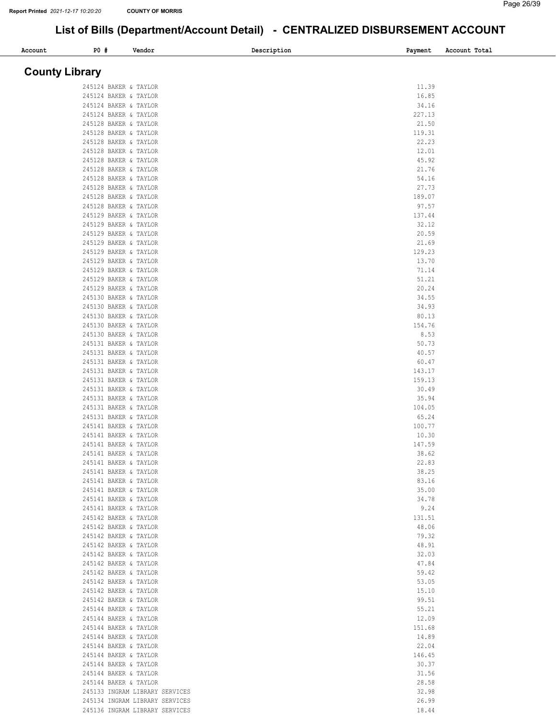| P0 #<br>Account                                | Vendor                         | Description | Payment        | Account Total |
|------------------------------------------------|--------------------------------|-------------|----------------|---------------|
| <b>County Library</b>                          |                                |             |                |               |
|                                                |                                |             |                |               |
| 245124 BAKER & TAYLOR                          |                                |             | 11.39          |               |
| 245124 BAKER & TAYLOR                          |                                |             | 16.85          |               |
| 245124 BAKER & TAYLOR                          |                                |             | 34.16          |               |
| 245124 BAKER & TAYLOR                          |                                |             | 227.13         |               |
| 245128 BAKER & TAYLOR                          |                                |             | 21.50          |               |
| 245128 BAKER & TAYLOR                          |                                |             | 119.31         |               |
| 245128 BAKER & TAYLOR                          |                                |             | 22.23          |               |
| 245128 BAKER & TAYLOR<br>245128 BAKER & TAYLOR |                                |             | 12.01<br>45.92 |               |
| 245128 BAKER & TAYLOR                          |                                |             | 21.76          |               |
| 245128 BAKER & TAYLOR                          |                                |             | 54.16          |               |
| 245128 BAKER & TAYLOR                          |                                |             | 27.73          |               |
| 245128 BAKER & TAYLOR                          |                                |             | 189.07         |               |
| 245128 BAKER & TAYLOR                          |                                |             | 97.57          |               |
| 245129 BAKER & TAYLOR                          |                                |             | 137.44         |               |
| 245129 BAKER & TAYLOR                          |                                |             | 32.12          |               |
| 245129 BAKER & TAYLOR                          |                                |             | 20.59          |               |
| 245129 BAKER & TAYLOR                          |                                |             | 21.69          |               |
| 245129 BAKER & TAYLOR                          |                                |             | 129.23         |               |
| 245129 BAKER & TAYLOR                          |                                |             | 13.70          |               |
| 245129 BAKER & TAYLOR                          |                                |             | 71.14          |               |
| 245129 BAKER & TAYLOR                          |                                |             | 51.21          |               |
| 245129 BAKER & TAYLOR                          |                                |             | 20.24          |               |
| 245130 BAKER & TAYLOR                          |                                |             | 34.55          |               |
| 245130 BAKER & TAYLOR                          |                                |             | 34.93          |               |
| 245130 BAKER & TAYLOR                          |                                |             | 80.13          |               |
| 245130 BAKER & TAYLOR                          |                                |             | 154.76         |               |
| 245130 BAKER & TAYLOR                          |                                |             | 8.53           |               |
| 245131 BAKER & TAYLOR                          |                                |             | 50.73          |               |
| 245131 BAKER & TAYLOR                          |                                |             | 40.57          |               |
| 245131 BAKER & TAYLOR                          |                                |             | 60.47          |               |
| 245131 BAKER & TAYLOR                          |                                |             | 143.17         |               |
| 245131 BAKER & TAYLOR                          |                                |             | 159.13         |               |
| 245131 BAKER & TAYLOR<br>245131 BAKER & TAYLOR |                                |             | 30.49<br>35.94 |               |
| 245131 BAKER & TAYLOR                          |                                |             | 104.05         |               |
| 245131 BAKER & TAYLOR                          |                                |             | 65.24          |               |
| 245141 BAKER & TAYLOR                          |                                |             | 100.77         |               |
| 245141 BAKER & TAYLOR                          |                                |             | 10.30          |               |
| 245141 BAKER & TAYLOR                          |                                |             | 147.59         |               |
| 245141 BAKER & TAYLOR                          |                                |             | 38.62          |               |
| 245141 BAKER & TAYLOR                          |                                |             | 22.83          |               |
| 245141 BAKER & TAYLOR                          |                                |             | 38.25          |               |
| 245141 BAKER & TAYLOR                          |                                |             | 83.16          |               |
| 245141 BAKER & TAYLOR                          |                                |             | 35.00          |               |
| 245141 BAKER & TAYLOR                          |                                |             | 34.78          |               |
| 245141 BAKER & TAYLOR                          |                                |             | 9.24           |               |
| 245142 BAKER & TAYLOR                          |                                |             | 131.51         |               |
| 245142 BAKER & TAYLOR                          |                                |             | 48.06          |               |
| 245142 BAKER & TAYLOR                          |                                |             | 79.32          |               |
| 245142 BAKER & TAYLOR                          |                                |             | 48.91          |               |
| 245142 BAKER & TAYLOR                          |                                |             | 32.03          |               |
| 245142 BAKER & TAYLOR                          |                                |             | 47.84          |               |
| 245142 BAKER & TAYLOR                          |                                |             | 59.42          |               |
| 245142 BAKER & TAYLOR<br>245142 BAKER & TAYLOR |                                |             | 53.05<br>15.10 |               |
| 245142 BAKER & TAYLOR                          |                                |             | 99.51          |               |
| 245144 BAKER & TAYLOR                          |                                |             | 55.21          |               |
| 245144 BAKER & TAYLOR                          |                                |             | 12.09          |               |
| 245144 BAKER & TAYLOR                          |                                |             | 151.68         |               |
| 245144 BAKER & TAYLOR                          |                                |             | 14.89          |               |
| 245144 BAKER & TAYLOR                          |                                |             | 22.04          |               |
| 245144 BAKER & TAYLOR                          |                                |             | 146.45         |               |
| 245144 BAKER & TAYLOR                          |                                |             | 30.37          |               |
| 245144 BAKER & TAYLOR                          |                                |             | 31.56          |               |
| 245144 BAKER & TAYLOR                          |                                |             | 28.58          |               |
|                                                | 245133 INGRAM LIBRARY SERVICES |             | 32.98          |               |
|                                                | 245134 INGRAM LIBRARY SERVICES |             | 26.99          |               |
|                                                | 245136 INGRAM LIBRARY SERVICES |             | 18.44          |               |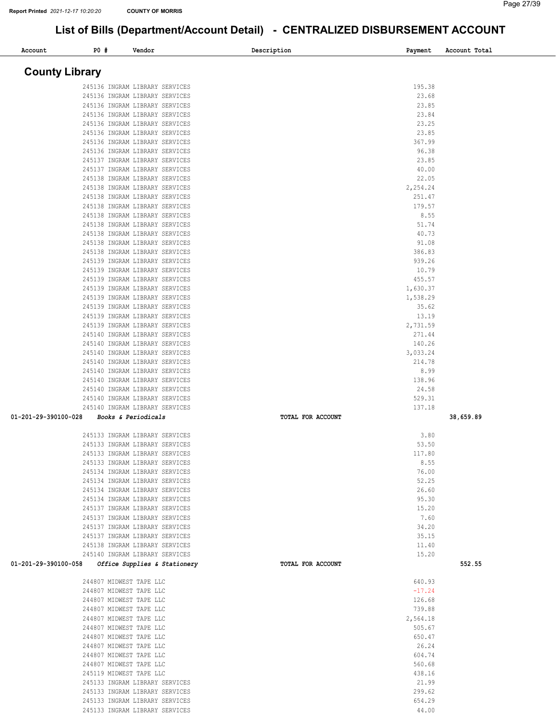#### Page 27/39

| Account               | P0#                                                | Vendor                                                           | Description       | Payment           | Account Total |
|-----------------------|----------------------------------------------------|------------------------------------------------------------------|-------------------|-------------------|---------------|
| <b>County Library</b> |                                                    |                                                                  |                   |                   |               |
|                       |                                                    | 245136 INGRAM LIBRARY SERVICES                                   |                   | 195.38            |               |
|                       |                                                    | 245136 INGRAM LIBRARY SERVICES                                   |                   | 23.68             |               |
|                       |                                                    | 245136 INGRAM LIBRARY SERVICES                                   |                   | 23.85             |               |
|                       |                                                    | 245136 INGRAM LIBRARY SERVICES                                   |                   | 23.84             |               |
|                       |                                                    | 245136 INGRAM LIBRARY SERVICES                                   |                   | 23.25             |               |
|                       |                                                    | 245136 INGRAM LIBRARY SERVICES                                   |                   | 23.85             |               |
|                       |                                                    | 245136 INGRAM LIBRARY SERVICES<br>245136 INGRAM LIBRARY SERVICES |                   | 367.99<br>96.38   |               |
|                       |                                                    | 245137 INGRAM LIBRARY SERVICES                                   |                   | 23.85             |               |
|                       |                                                    | 245137 INGRAM LIBRARY SERVICES                                   |                   | 40.00             |               |
|                       |                                                    | 245138 INGRAM LIBRARY SERVICES                                   |                   | 22.05             |               |
|                       |                                                    | 245138 INGRAM LIBRARY SERVICES                                   |                   | 2,254.24          |               |
|                       |                                                    | 245138 INGRAM LIBRARY SERVICES                                   |                   | 251.47            |               |
|                       |                                                    | 245138 INGRAM LIBRARY SERVICES                                   |                   | 179.57            |               |
|                       |                                                    | 245138 INGRAM LIBRARY SERVICES                                   |                   | 8.55              |               |
|                       |                                                    | 245138 INGRAM LIBRARY SERVICES<br>245138 INGRAM LIBRARY SERVICES |                   | 51.74<br>40.73    |               |
|                       |                                                    | 245138 INGRAM LIBRARY SERVICES                                   |                   | 91.08             |               |
|                       |                                                    | 245138 INGRAM LIBRARY SERVICES                                   |                   | 386.83            |               |
|                       |                                                    | 245139 INGRAM LIBRARY SERVICES                                   |                   | 939.26            |               |
|                       |                                                    | 245139 INGRAM LIBRARY SERVICES                                   |                   | 10.79             |               |
|                       |                                                    | 245139 INGRAM LIBRARY SERVICES                                   |                   | 455.57            |               |
|                       |                                                    | 245139 INGRAM LIBRARY SERVICES                                   |                   | 1,630.37          |               |
|                       |                                                    | 245139 INGRAM LIBRARY SERVICES                                   |                   | 1,538.29<br>35.62 |               |
|                       |                                                    | 245139 INGRAM LIBRARY SERVICES<br>245139 INGRAM LIBRARY SERVICES |                   | 13.19             |               |
|                       |                                                    | 245139 INGRAM LIBRARY SERVICES                                   |                   | 2,731.59          |               |
|                       |                                                    | 245140 INGRAM LIBRARY SERVICES                                   |                   | 271.44            |               |
|                       |                                                    | 245140 INGRAM LIBRARY SERVICES                                   |                   | 140.26            |               |
|                       |                                                    | 245140 INGRAM LIBRARY SERVICES                                   |                   | 3,033.24          |               |
|                       |                                                    | 245140 INGRAM LIBRARY SERVICES                                   |                   | 214.78            |               |
|                       |                                                    | 245140 INGRAM LIBRARY SERVICES                                   |                   | 8.99              |               |
|                       |                                                    | 245140 INGRAM LIBRARY SERVICES<br>245140 INGRAM LIBRARY SERVICES |                   | 138.96<br>24.58   |               |
|                       |                                                    | 245140 INGRAM LIBRARY SERVICES                                   |                   | 529.31            |               |
|                       |                                                    | 245140 INGRAM LIBRARY SERVICES                                   |                   | 137.18            |               |
| 01-201-29-390100-028  | Books & Periodicals                                |                                                                  | TOTAL FOR ACCOUNT |                   | 38,659.89     |
|                       |                                                    | 245133 INGRAM LIBRARY SERVICES                                   |                   | 3.80              |               |
|                       |                                                    | 245133 INGRAM LIBRARY SERVICES                                   |                   | 53.50             |               |
|                       |                                                    | 245133 INGRAM LIBRARY SERVICES                                   |                   | 117.80            |               |
|                       |                                                    | 245133 INGRAM LIBRARY SERVICES                                   |                   | 8.55              |               |
|                       |                                                    | 245134 INGRAM LIBRARY SERVICES                                   |                   | 76.00             |               |
|                       |                                                    | 245134 INGRAM LIBRARY SERVICES<br>245134 INGRAM LIBRARY SERVICES |                   | 52.25<br>26.60    |               |
|                       |                                                    | 245134 INGRAM LIBRARY SERVICES                                   |                   | 95.30             |               |
|                       |                                                    | 245137 INGRAM LIBRARY SERVICES                                   |                   | 15.20             |               |
|                       |                                                    | 245137 INGRAM LIBRARY SERVICES                                   |                   | 7.60              |               |
|                       |                                                    | 245137 INGRAM LIBRARY SERVICES                                   |                   | 34.20             |               |
|                       |                                                    | 245137 INGRAM LIBRARY SERVICES                                   |                   | 35.15             |               |
|                       |                                                    | 245138 INGRAM LIBRARY SERVICES                                   |                   | 11.40             |               |
| 01-201-29-390100-058  |                                                    | 245140 INGRAM LIBRARY SERVICES<br>Office Supplies & Stationery   | TOTAL FOR ACCOUNT | 15.20             | 552.55        |
|                       | 244807 MIDWEST TAPE LLC                            |                                                                  |                   | 640.93            |               |
|                       | 244807 MIDWEST TAPE LLC                            |                                                                  |                   | $-17.24$          |               |
|                       | 244807 MIDWEST TAPE LLC                            |                                                                  |                   | 126.68            |               |
|                       | 244807 MIDWEST TAPE LLC                            |                                                                  |                   | 739.88            |               |
|                       | 244807 MIDWEST TAPE LLC                            |                                                                  |                   | 2,564.18          |               |
|                       | 244807 MIDWEST TAPE LLC                            |                                                                  |                   | 505.67            |               |
|                       | 244807 MIDWEST TAPE LLC<br>244807 MIDWEST TAPE LLC |                                                                  |                   | 650.47<br>26.24   |               |
|                       | 244807 MIDWEST TAPE LLC                            |                                                                  |                   | 604.74            |               |
|                       | 244807 MIDWEST TAPE LLC                            |                                                                  |                   | 560.68            |               |
|                       | 245119 MIDWEST TAPE LLC                            |                                                                  |                   | 438.16            |               |
|                       |                                                    | 245133 INGRAM LIBRARY SERVICES                                   |                   | 21.99             |               |
|                       |                                                    | 245133 INGRAM LIBRARY SERVICES                                   |                   | 299.62            |               |
|                       |                                                    | 245133 INGRAM LIBRARY SERVICES                                   |                   | 654.29<br>44.00   |               |
|                       |                                                    | 245133 INGRAM LIBRARY SERVICES                                   |                   |                   |               |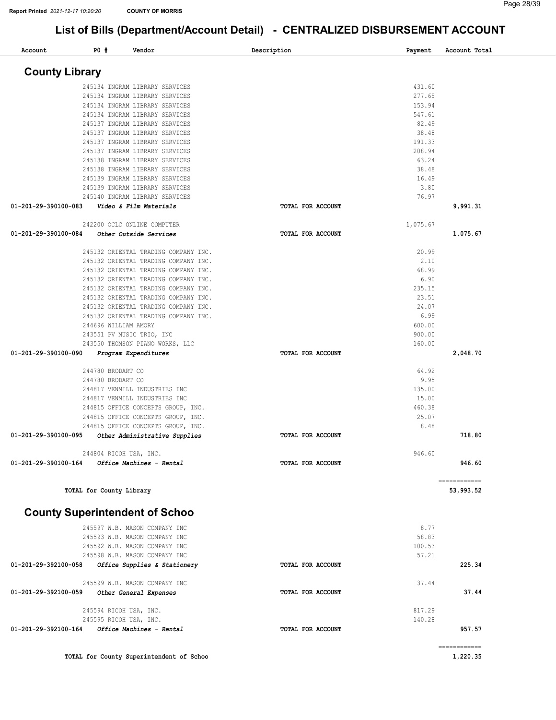| Account               | <b>PO #</b> | Vendor                                                                   | Description       | Payment          | Account Total            |
|-----------------------|-------------|--------------------------------------------------------------------------|-------------------|------------------|--------------------------|
| <b>County Library</b> |             |                                                                          |                   |                  |                          |
|                       |             | 245134 INGRAM LIBRARY SERVICES                                           |                   | 431.60           |                          |
|                       |             | 245134 INGRAM LIBRARY SERVICES                                           |                   | 277.65           |                          |
|                       |             | 245134 INGRAM LIBRARY SERVICES                                           |                   | 153.94           |                          |
|                       |             | 245134 INGRAM LIBRARY SERVICES                                           |                   | 547.61           |                          |
|                       |             | 245137 INGRAM LIBRARY SERVICES                                           |                   | 82.49            |                          |
|                       |             | 245137 INGRAM LIBRARY SERVICES                                           |                   | 38.48            |                          |
|                       |             | 245137 INGRAM LIBRARY SERVICES                                           |                   | 191.33           |                          |
|                       |             | 245137 INGRAM LIBRARY SERVICES<br>245138 INGRAM LIBRARY SERVICES         |                   | 208.94<br>63.24  |                          |
|                       |             | 245138 INGRAM LIBRARY SERVICES                                           |                   | 38.48            |                          |
|                       |             | 245139 INGRAM LIBRARY SERVICES                                           |                   | 16.49            |                          |
|                       |             | 245139 INGRAM LIBRARY SERVICES                                           |                   | 3.80             |                          |
|                       |             | 245140 INGRAM LIBRARY SERVICES                                           |                   | 76.97            |                          |
| 01-201-29-390100-083  |             | Video & Film Materials                                                   | TOTAL FOR ACCOUNT |                  | 9,991.31                 |
|                       |             | 242200 OCLC ONLINE COMPUTER                                              |                   | 1,075.67         |                          |
| 01-201-29-390100-084  |             | Other Outside Services                                                   | TOTAL FOR ACCOUNT |                  | 1,075.67                 |
|                       |             | 245132 ORIENTAL TRADING COMPANY INC.                                     |                   | 20.99            |                          |
|                       |             | 245132 ORIENTAL TRADING COMPANY INC.                                     |                   | 2.10             |                          |
|                       |             | 245132 ORIENTAL TRADING COMPANY INC.                                     |                   | 68.99            |                          |
|                       |             | 245132 ORIENTAL TRADING COMPANY INC.                                     |                   | 6.90             |                          |
|                       |             | 245132 ORIENTAL TRADING COMPANY INC.                                     |                   | 235.15           |                          |
|                       |             | 245132 ORIENTAL TRADING COMPANY INC.                                     |                   | 23.51            |                          |
|                       |             | 245132 ORIENTAL TRADING COMPANY INC.                                     |                   | 24.07            |                          |
|                       |             | 245132 ORIENTAL TRADING COMPANY INC.                                     |                   | 6.99             |                          |
|                       |             | 244696 WILLIAM AMORY                                                     |                   | 600.00           |                          |
|                       |             | 243551 PV MUSIC TRIO, INC                                                |                   | 900.00<br>160.00 |                          |
| 01-201-29-390100-090  |             | 243550 THOMSON PIANO WORKS, LLC<br>Program Expenditures                  | TOTAL FOR ACCOUNT |                  | 2,048.70                 |
|                       |             |                                                                          |                   |                  |                          |
|                       |             | 244780 BRODART CO                                                        |                   | 64.92            |                          |
|                       |             | 244780 BRODART CO                                                        |                   | 9.95             |                          |
|                       |             | 244817 VENMILL INDUSTRIES INC                                            |                   | 135.00           |                          |
|                       |             | 244817 VENMILL INDUSTRIES INC                                            |                   | 15.00            |                          |
|                       |             | 244815 OFFICE CONCEPTS GROUP, INC.                                       |                   | 460.38           |                          |
|                       |             | 244815 OFFICE CONCEPTS GROUP, INC.<br>244815 OFFICE CONCEPTS GROUP, INC. |                   | 25.07<br>8.48    |                          |
| 01-201-29-390100-095  |             | Other Administrative Supplies                                            | TOTAL FOR ACCOUNT |                  | 718.80                   |
|                       |             | 244804 RICOH USA, INC.                                                   |                   | 946.60           |                          |
| 01-201-29-390100-164  |             | Office Machines - Rental                                                 | TOTAL FOR ACCOUNT |                  | 946.60                   |
|                       |             |                                                                          |                   |                  | ============             |
|                       |             | TOTAL for County Library                                                 |                   |                  | 53,993.52                |
|                       |             |                                                                          |                   |                  |                          |
|                       |             | <b>County Superintendent of Schoo</b>                                    |                   |                  |                          |
|                       |             | 245597 W.B. MASON COMPANY INC                                            |                   | 8.77             |                          |
|                       |             | 245593 W.B. MASON COMPANY INC                                            |                   | 58.83            |                          |
|                       |             | 245592 W.B. MASON COMPANY INC                                            |                   | 100.53           |                          |
|                       |             | 245598 W.B. MASON COMPANY INC                                            |                   | 57.21            |                          |
| 01-201-29-392100-058  |             | Office Supplies & Stationery                                             | TOTAL FOR ACCOUNT |                  | 225.34                   |
|                       |             | 245599 W.B. MASON COMPANY INC                                            |                   | 37.44            |                          |
| 01-201-29-392100-059  |             | Other General Expenses                                                   | TOTAL FOR ACCOUNT |                  | 37.44                    |
|                       |             | 245594 RICOH USA, INC.                                                   |                   | 817.29           |                          |
|                       |             | 245595 RICOH USA, INC.                                                   |                   | 140.28           |                          |
| 01-201-29-392100-164  |             | Office Machines - Rental                                                 | TOTAL FOR ACCOUNT |                  | 957.57                   |
|                       |             | TOTAL for County Superintendent of Schoo                                 |                   |                  | ============<br>1,220.35 |
|                       |             |                                                                          |                   |                  |                          |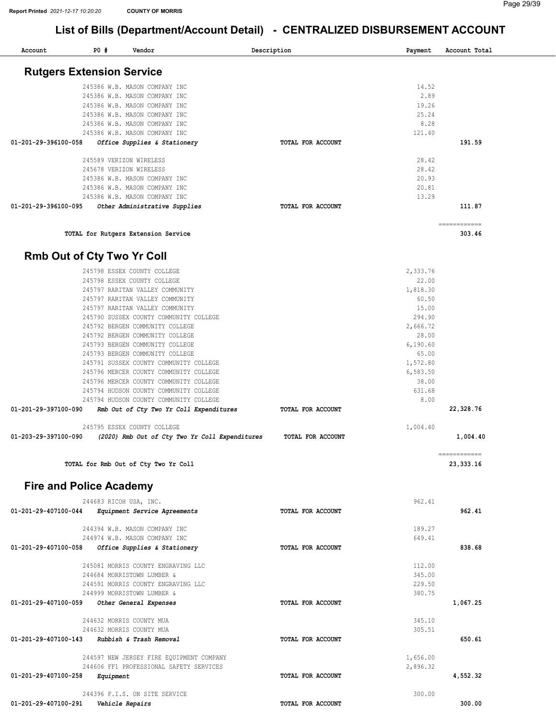| Account              | P0#                              | Vendor                                                                              |                                                | Description              | Payment              | Account Total             |  |
|----------------------|----------------------------------|-------------------------------------------------------------------------------------|------------------------------------------------|--------------------------|----------------------|---------------------------|--|
|                      | <b>Rutgers Extension Service</b> |                                                                                     |                                                |                          |                      |                           |  |
|                      |                                  | 245386 W.B. MASON COMPANY INC                                                       |                                                |                          | 14.52                |                           |  |
|                      |                                  | 245386 W.B. MASON COMPANY INC                                                       |                                                |                          | 2.89                 |                           |  |
|                      |                                  | 245386 W.B. MASON COMPANY INC                                                       |                                                |                          | 19.26                |                           |  |
|                      |                                  | 245386 W.B. MASON COMPANY INC                                                       |                                                |                          | 25.24                |                           |  |
|                      |                                  | 245386 W.B. MASON COMPANY INC                                                       |                                                |                          | 8.28                 |                           |  |
|                      |                                  | 245386 W.B. MASON COMPANY INC                                                       |                                                |                          | 121.40               |                           |  |
| 01-201-29-396100-058 |                                  | Office Supplies & Stationery                                                        |                                                | TOTAL FOR ACCOUNT        |                      | 191.59                    |  |
|                      |                                  | 245589 VERIZON WIRELESS                                                             |                                                |                          | 28.42                |                           |  |
|                      |                                  | 245678 VERIZON WIRELESS                                                             |                                                |                          | 28.42                |                           |  |
|                      |                                  | 245386 W.B. MASON COMPANY INC                                                       |                                                |                          | 20.93                |                           |  |
|                      |                                  | 245386 W.B. MASON COMPANY INC                                                       |                                                |                          | 20.81<br>13.29       |                           |  |
| 01-201-29-396100-095 |                                  | 245386 W.B. MASON COMPANY INC                                                       |                                                | TOTAL FOR ACCOUNT        |                      | 111.87                    |  |
|                      |                                  | Other Administrative Supplies                                                       |                                                |                          |                      |                           |  |
|                      |                                  | TOTAL for Rutgers Extension Service                                                 |                                                |                          |                      | ============<br>303.46    |  |
|                      | Rmb Out of Cty Two Yr Coll       |                                                                                     |                                                |                          |                      |                           |  |
|                      |                                  | 245798 ESSEX COUNTY COLLEGE                                                         |                                                |                          | 2,333.76             |                           |  |
|                      |                                  | 245798 ESSEX COUNTY COLLEGE                                                         |                                                |                          | 22.00                |                           |  |
|                      |                                  | 245797 RARITAN VALLEY COMMUNITY                                                     |                                                |                          | 1,818.30             |                           |  |
|                      |                                  | 245797 RARITAN VALLEY COMMUNITY                                                     |                                                |                          | 60.50                |                           |  |
|                      |                                  | 245797 RARITAN VALLEY COMMUNITY                                                     |                                                |                          | 15.00                |                           |  |
|                      |                                  | 245790 SUSSEX COUNTY COMMUNITY COLLEGE                                              |                                                |                          | 294.90               |                           |  |
|                      |                                  | 245792 BERGEN COMMUNITY COLLEGE<br>245792 BERGEN COMMUNITY COLLEGE                  |                                                |                          | 2,666.72<br>28.00    |                           |  |
|                      |                                  | 245793 BERGEN COMMUNITY COLLEGE                                                     |                                                |                          | 6, 190.60            |                           |  |
|                      |                                  | 245793 BERGEN COMMUNITY COLLEGE                                                     |                                                |                          | 65.00                |                           |  |
|                      |                                  | 245791 SUSSEX COUNTY COMMUNITY COLLEGE                                              |                                                |                          | 1,572.80             |                           |  |
|                      |                                  | 245796 MERCER COUNTY COMMUNITY COLLEGE                                              |                                                |                          | 6,583.50             |                           |  |
|                      |                                  | 245796 MERCER COUNTY COMMUNITY COLLEGE                                              |                                                |                          | 38.00                |                           |  |
|                      |                                  | 245794 HUDSON COUNTY COMMUNITY COLLEGE                                              |                                                |                          | 631.68               |                           |  |
|                      |                                  | 245794 HUDSON COUNTY COMMUNITY COLLEGE                                              |                                                |                          | 8.00                 |                           |  |
| 01-201-29-397100-090 |                                  | Rmb Out of Cty Two Yr Coll Expenditures                                             |                                                | TOTAL FOR ACCOUNT        |                      | 22,328.76                 |  |
|                      |                                  | 245795 ESSEX COUNTY COLLEGE                                                         |                                                |                          | 1,004.40             |                           |  |
| 01-203-29-397100-090 |                                  |                                                                                     | (2020) Rmb Out of Cty Two Yr Coll Expenditures | TOTAL FOR ACCOUNT        |                      | 1,004.40                  |  |
|                      |                                  | TOTAL for Rmb Out of Cty Two Yr Coll                                                |                                                |                          |                      | ============<br>23,333.16 |  |
|                      | <b>Fire and Police Academy</b>   |                                                                                     |                                                |                          |                      |                           |  |
|                      |                                  | 244683 RICOH USA, INC.                                                              |                                                |                          | 962.41               |                           |  |
| 01-201-29-407100-044 |                                  | Equipment Service Agreements                                                        |                                                | TOTAL FOR ACCOUNT        |                      | 962.41                    |  |
|                      |                                  | 244394 W.B. MASON COMPANY INC                                                       |                                                |                          | 189.27               |                           |  |
|                      |                                  | 244974 W.B. MASON COMPANY INC                                                       |                                                |                          | 649.41               |                           |  |
| 01-201-29-407100-058 |                                  | Office Supplies & Stationery                                                        |                                                | TOTAL FOR ACCOUNT        |                      | 838.68                    |  |
|                      |                                  | 245081 MORRIS COUNTY ENGRAVING LLC                                                  |                                                |                          | 112.00               |                           |  |
|                      |                                  | 244684 MORRISTOWN LUMBER &                                                          |                                                |                          | 345.00               |                           |  |
|                      |                                  | 244591 MORRIS COUNTY ENGRAVING LLC<br>244999 MORRISTOWN LUMBER &                    |                                                |                          | 229.50<br>380.75     |                           |  |
| 01-201-29-407100-059 |                                  | Other General Expenses                                                              |                                                | <b>TOTAL FOR ACCOUNT</b> |                      | 1,067.25                  |  |
|                      |                                  | 244632 MORRIS COUNTY MUA                                                            |                                                |                          | 345.10               |                           |  |
|                      |                                  | 244632 MORRIS COUNTY MUA                                                            |                                                |                          | 305.51               |                           |  |
| 01-201-29-407100-143 |                                  | Rubbish & Trash Removal                                                             |                                                | <b>TOTAL FOR ACCOUNT</b> |                      | 650.61                    |  |
|                      |                                  | 244597 NEW JERSEY FIRE EQUIPMENT COMPANY<br>244606 FF1 PROFESSIONAL SAFETY SERVICES |                                                |                          | 1,656.00<br>2,896.32 |                           |  |
| 01-201-29-407100-258 | Equipment                        |                                                                                     |                                                | TOTAL FOR ACCOUNT        |                      | 4,552.32                  |  |
|                      |                                  |                                                                                     |                                                |                          |                      |                           |  |
|                      |                                  | 244396 F.I.S. ON SITE SERVICE                                                       |                                                |                          | 300.00               |                           |  |
| 01-201-29-407100-291 |                                  | Vehicle Repairs                                                                     |                                                | TOTAL FOR ACCOUNT        |                      | 300.00                    |  |
|                      |                                  |                                                                                     |                                                |                          |                      |                           |  |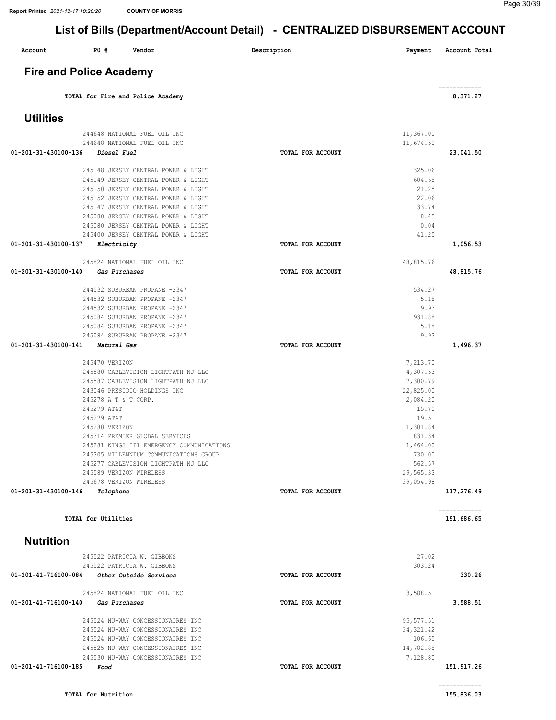| Account                        | P0#                  | Vendor                                                                              | Description              | Payment            | Account Total              |
|--------------------------------|----------------------|-------------------------------------------------------------------------------------|--------------------------|--------------------|----------------------------|
| <b>Fire and Police Academy</b> |                      |                                                                                     |                          |                    |                            |
|                                |                      | TOTAL for Fire and Police Academy                                                   |                          |                    | ------------<br>8,371.27   |
| <b>Utilities</b>               |                      |                                                                                     |                          |                    |                            |
|                                |                      |                                                                                     |                          |                    |                            |
|                                |                      | 244648 NATIONAL FUEL OIL INC.                                                       |                          | 11,367.00          |                            |
| 01-201-31-430100-136           | Diesel Fuel          | 244648 NATIONAL FUEL OIL INC.                                                       | TOTAL FOR ACCOUNT        | 11,674.50          | 23,041.50                  |
|                                |                      |                                                                                     |                          |                    |                            |
|                                |                      | 245148 JERSEY CENTRAL POWER & LIGHT                                                 |                          | 325.06             |                            |
|                                |                      | 245149 JERSEY CENTRAL POWER & LIGHT                                                 |                          | 604.68             |                            |
|                                |                      | 245150 JERSEY CENTRAL POWER & LIGHT<br>245152 JERSEY CENTRAL POWER & LIGHT          |                          | 21.25<br>22.06     |                            |
|                                |                      | 245147 JERSEY CENTRAL POWER & LIGHT                                                 |                          | 33.74              |                            |
|                                |                      | 245080 JERSEY CENTRAL POWER & LIGHT                                                 |                          | 8.45               |                            |
|                                |                      | 245080 JERSEY CENTRAL POWER & LIGHT                                                 |                          | 0.04               |                            |
|                                |                      | 245400 JERSEY CENTRAL POWER & LIGHT                                                 |                          | 41.25              |                            |
| 01-201-31-430100-137           | Electricity          |                                                                                     | TOTAL FOR ACCOUNT        |                    | 1,056.53                   |
|                                |                      | 245824 NATIONAL FUEL OIL INC.                                                       |                          | 48,815.76          |                            |
| 01-201-31-430100-140           |                      | Gas Purchases                                                                       | TOTAL FOR ACCOUNT        |                    | 48,815.76                  |
|                                |                      |                                                                                     |                          |                    |                            |
|                                |                      | 244532 SUBURBAN PROPANE -2347                                                       |                          | 534.27<br>5.18     |                            |
|                                |                      | 244532 SUBURBAN PROPANE -2347<br>244532 SUBURBAN PROPANE -2347                      |                          | 9.93               |                            |
|                                |                      | 245084 SUBURBAN PROPANE -2347                                                       |                          | 931.88             |                            |
|                                |                      | 245084 SUBURBAN PROPANE -2347                                                       |                          | 5.18               |                            |
|                                |                      | 245084 SUBURBAN PROPANE -2347                                                       |                          | 9.93               |                            |
| 01-201-31-430100-141           | Natural Gas          |                                                                                     | TOTAL FOR ACCOUNT        |                    | 1,496.37                   |
|                                | 245470 VERIZON       |                                                                                     |                          | 7,213.70           |                            |
|                                |                      | 245580 CABLEVISION LIGHTPATH NJ LLC                                                 |                          | 4,307.53           |                            |
|                                |                      | 245587 CABLEVISION LIGHTPATH NJ LLC                                                 |                          | 7,300.79           |                            |
|                                |                      | 243046 PRESIDIO HOLDINGS INC                                                        |                          | 22,825.00          |                            |
|                                | 245278 A T & T CORP. |                                                                                     |                          | 2,084.20           |                            |
|                                | 245279 AT&T          |                                                                                     |                          | 15.70              |                            |
|                                | 245279 AT&T          |                                                                                     |                          | 19.51              |                            |
|                                | 245280 VERIZON       |                                                                                     |                          | 1,301.84           |                            |
|                                |                      | 245314 PREMIER GLOBAL SERVICES                                                      |                          | 831.34             |                            |
|                                |                      | 245281 KINGS III EMERGENCY COMMUNICATIONS<br>245305 MILLENNIUM COMMUNICATIONS GROUP |                          | 1,464.00<br>730.00 |                            |
|                                |                      | 245277 CABLEVISION LIGHTPATH NJ LLC                                                 |                          | 562.57             |                            |
|                                |                      | 245589 VERIZON WIRELESS                                                             |                          | 29,565.33          |                            |
|                                |                      | 245678 VERIZON WIRELESS                                                             |                          | 39,054.98          |                            |
| 01-201-31-430100-146           | Telephone            |                                                                                     | <b>TOTAL FOR ACCOUNT</b> |                    | 117,276.49                 |
|                                | TOTAL for Utilities  |                                                                                     |                          |                    | ============<br>191,686.65 |
| <b>Nutrition</b>               |                      |                                                                                     |                          |                    |                            |
|                                |                      | 245522 PATRICIA W. GIBBONS                                                          |                          | 27.02              |                            |
|                                |                      | 245522 PATRICIA W. GIBBONS                                                          |                          | 303.24             |                            |
| 01-201-41-716100-084           |                      | Other Outside Services                                                              | TOTAL FOR ACCOUNT        |                    | 330.26                     |
|                                |                      | 245824 NATIONAL FUEL OIL INC.                                                       |                          | 3,588.51           |                            |
| 01-201-41-716100-140           |                      | Gas Purchases                                                                       | TOTAL FOR ACCOUNT        |                    | 3,588.51                   |
|                                |                      | 245524 NU-WAY CONCESSIONAIRES INC                                                   |                          | 95, 577.51         |                            |
|                                |                      | 245524 NU-WAY CONCESSIONAIRES INC                                                   |                          | 34, 321.42         |                            |
|                                |                      | 245524 NU-WAY CONCESSIONAIRES INC                                                   |                          | 106.65             |                            |
|                                |                      | 245525 NU-WAY CONCESSIONAIRES INC                                                   |                          | 14,782.88          |                            |
|                                |                      | 245530 NU-WAY CONCESSIONAIRES INC                                                   |                          | 7,128.80           |                            |
|                                |                      |                                                                                     |                          |                    |                            |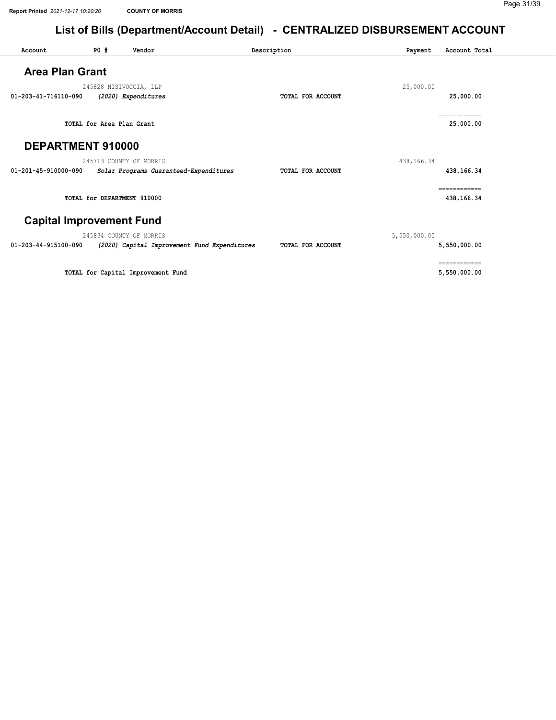#### Page 31/39

| Account                | P0#                       | Vendor                                       | Description       | Payment      | Account Total              |
|------------------------|---------------------------|----------------------------------------------|-------------------|--------------|----------------------------|
| <b>Area Plan Grant</b> |                           |                                              |                   |              |                            |
|                        |                           | 245828 NISIVOCCIA, LLP                       |                   | 25,000.00    |                            |
| 01-203-41-716110-090   |                           | (2020) Expenditures                          | TOTAL FOR ACCOUNT |              | 25,000.00                  |
|                        | TOTAL for Area Plan Grant |                                              |                   |              | ============<br>25,000.00  |
| DEPARTMENT 910000      |                           |                                              |                   |              |                            |
|                        |                           | 245713 COUNTY OF MORRIS                      |                   | 438, 166. 34 |                            |
| 01-201-45-910000-090   |                           | Solar Programs Guaranteed-Expenditures       | TOTAL FOR ACCOUNT |              | 438,166.34                 |
|                        |                           | TOTAL for DEPARTMENT 910000                  |                   |              | ============<br>438,166.34 |
|                        |                           | <b>Capital Improvement Fund</b>              |                   |              |                            |
|                        |                           | 245834 COUNTY OF MORRIS                      |                   | 5,550,000.00 |                            |
| 01-203-44-915100-090   |                           | (2020) Capital Improvement Fund Expenditures | TOTAL FOR ACCOUNT |              | 5,550,000.00               |
|                        |                           |                                              |                   |              | ============               |
|                        |                           | TOTAL for Capital Improvement Fund           |                   |              | 5,550,000.00               |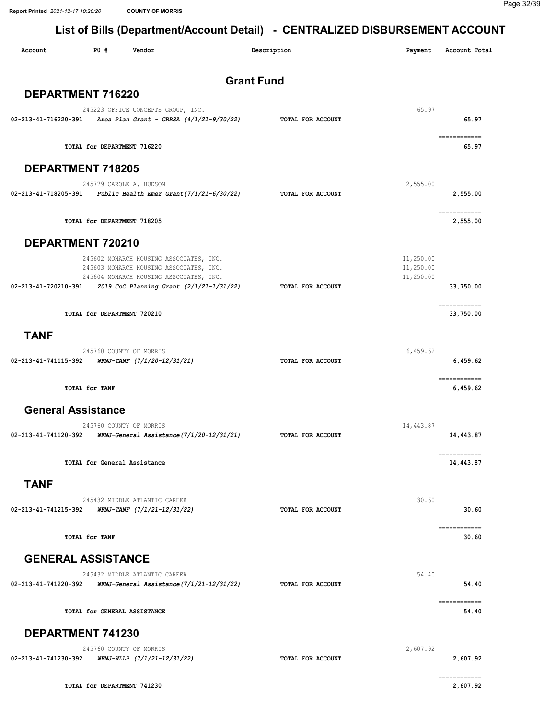| Account              | PO#<br>Vendor                                                                                                                 | Description       |                   | Payment                             | Account Total                                                                                                                                                                                                                                                                                                                                                                                                                                                                                                      |
|----------------------|-------------------------------------------------------------------------------------------------------------------------------|-------------------|-------------------|-------------------------------------|--------------------------------------------------------------------------------------------------------------------------------------------------------------------------------------------------------------------------------------------------------------------------------------------------------------------------------------------------------------------------------------------------------------------------------------------------------------------------------------------------------------------|
|                      |                                                                                                                               | <b>Grant Fund</b> |                   |                                     |                                                                                                                                                                                                                                                                                                                                                                                                                                                                                                                    |
|                      | DEPARTMENT 716220                                                                                                             |                   |                   |                                     |                                                                                                                                                                                                                                                                                                                                                                                                                                                                                                                    |
|                      | 245223 OFFICE CONCEPTS GROUP, INC.<br>$02-213-41-716220-391$ Area Plan Grant - CRRSA $(4/1/21-9/30/22)$                       |                   | TOTAL FOR ACCOUNT | 65.97                               | 65.97                                                                                                                                                                                                                                                                                                                                                                                                                                                                                                              |
|                      | TOTAL for DEPARTMENT 716220                                                                                                   |                   |                   |                                     | $\begin{array}{cccccc} \multicolumn{2}{c}{{\color{blue}\textbf{1}}}& \multicolumn{2}{c}{{\color{blue}\textbf{2}}}& \multicolumn{2}{c}{{\color{blue}\textbf{2}}}& \multicolumn{2}{c}{{\color{blue}\textbf{2}}}& \multicolumn{2}{c}{{\color{blue}\textbf{2}}}& \multicolumn{2}{c}{{\color{blue}\textbf{2}}}& \multicolumn{2}{c}{{\color{blue}\textbf{2}}}& \multicolumn{2}{c}{{\color{blue}\textbf{2}}}& \multicolumn{2}{c}{{\color{blue}\textbf{2}}}& \multicolumn{2}{c}{{\color{blue}\textbf{2}}}& \mult$<br>65.97 |
|                      | <b>DEPARTMENT 718205</b>                                                                                                      |                   |                   |                                     |                                                                                                                                                                                                                                                                                                                                                                                                                                                                                                                    |
| 02-213-41-718205-391 | 245779 CAROLE A. HUDSON<br>Public Health Emer Grant(7/1/21-6/30/22)                                                           |                   | TOTAL FOR ACCOUNT | 2,555.00                            | 2,555.00                                                                                                                                                                                                                                                                                                                                                                                                                                                                                                           |
|                      | TOTAL for DEPARTMENT 718205                                                                                                   |                   |                   |                                     | ============<br>2,555.00                                                                                                                                                                                                                                                                                                                                                                                                                                                                                           |
|                      | DEPARTMENT 720210                                                                                                             |                   |                   |                                     |                                                                                                                                                                                                                                                                                                                                                                                                                                                                                                                    |
|                      | 245602 MONARCH HOUSING ASSOCIATES, INC.<br>245603 MONARCH HOUSING ASSOCIATES, INC.<br>245604 MONARCH HOUSING ASSOCIATES, INC. |                   |                   | 11,250.00<br>11,250.00<br>11,250.00 |                                                                                                                                                                                                                                                                                                                                                                                                                                                                                                                    |
| 02-213-41-720210-391 | 2019 CoC Planning Grant (2/1/21-1/31/22)                                                                                      |                   | TOTAL FOR ACCOUNT |                                     | 33,750.00                                                                                                                                                                                                                                                                                                                                                                                                                                                                                                          |
|                      | TOTAL for DEPARTMENT 720210                                                                                                   |                   |                   |                                     | ============<br>33,750.00                                                                                                                                                                                                                                                                                                                                                                                                                                                                                          |
| <b>TANF</b>          |                                                                                                                               |                   |                   |                                     |                                                                                                                                                                                                                                                                                                                                                                                                                                                                                                                    |
| 02-213-41-741115-392 | 245760 COUNTY OF MORRIS<br>WFNJ-TANF (7/1/20-12/31/21)                                                                        |                   | TOTAL FOR ACCOUNT | 6,459.62                            | 6,459.62                                                                                                                                                                                                                                                                                                                                                                                                                                                                                                           |
|                      | TOTAL for TANF                                                                                                                |                   |                   |                                     | ------------<br>6,459.62                                                                                                                                                                                                                                                                                                                                                                                                                                                                                           |
|                      | <b>General Assistance</b>                                                                                                     |                   |                   |                                     |                                                                                                                                                                                                                                                                                                                                                                                                                                                                                                                    |
| 02-213-41-741120-392 | 245760 COUNTY OF MORRIS<br>WFNJ-General Assistance(7/1/20-12/31/21)                                                           |                   | TOTAL FOR ACCOUNT | 14,443.87                           | 14,443.87                                                                                                                                                                                                                                                                                                                                                                                                                                                                                                          |
|                      |                                                                                                                               |                   |                   |                                     | ============                                                                                                                                                                                                                                                                                                                                                                                                                                                                                                       |
|                      | TOTAL for General Assistance                                                                                                  |                   |                   |                                     | 14,443.87                                                                                                                                                                                                                                                                                                                                                                                                                                                                                                          |
| <b>TANF</b>          |                                                                                                                               |                   |                   |                                     |                                                                                                                                                                                                                                                                                                                                                                                                                                                                                                                    |
| 02-213-41-741215-392 | 245432 MIDDLE ATLANTIC CAREER<br>WFNJ-TANF (7/1/21-12/31/22)                                                                  |                   | TOTAL FOR ACCOUNT | 30.60                               | 30.60                                                                                                                                                                                                                                                                                                                                                                                                                                                                                                              |
|                      | TOTAL for TANF                                                                                                                |                   |                   |                                     | $\begin{array}{cccccccccc} \multicolumn{2}{c}{} & \multicolumn{2}{c}{} & \multicolumn{2}{c}{} & \multicolumn{2}{c}{} & \multicolumn{2}{c}{} & \multicolumn{2}{c}{} & \multicolumn{2}{c}{} & \multicolumn{2}{c}{} & \multicolumn{2}{c}{} & \multicolumn{2}{c}{} & \multicolumn{2}{c}{} & \multicolumn{2}{c}{} & \multicolumn{2}{c}{} & \multicolumn{2}{c}{} & \multicolumn{2}{c}{} & \multicolumn{2}{c}{} & \multicolumn{2}{c}{} & \multicolumn{2}{c}{} & \multicolumn{2}{c}{} & \mult$<br>30.60                    |
|                      | <b>GENERAL ASSISTANCE</b>                                                                                                     |                   |                   |                                     |                                                                                                                                                                                                                                                                                                                                                                                                                                                                                                                    |
|                      | 245432 MIDDLE ATLANTIC CAREER                                                                                                 |                   |                   | 54.40                               |                                                                                                                                                                                                                                                                                                                                                                                                                                                                                                                    |
| 02-213-41-741220-392 | WFNJ-General Assistance(7/1/21-12/31/22)                                                                                      |                   | TOTAL FOR ACCOUNT |                                     | 54.40<br>------------                                                                                                                                                                                                                                                                                                                                                                                                                                                                                              |
|                      | TOTAL for GENERAL ASSISTANCE                                                                                                  |                   |                   |                                     | 54.40                                                                                                                                                                                                                                                                                                                                                                                                                                                                                                              |
|                      | DEPARTMENT 741230                                                                                                             |                   |                   |                                     |                                                                                                                                                                                                                                                                                                                                                                                                                                                                                                                    |
| 02-213-41-741230-392 | 245760 COUNTY OF MORRIS<br>WFNJ-WLLP (7/1/21-12/31/22)                                                                        |                   | TOTAL FOR ACCOUNT | 2,607.92                            | 2,607.92                                                                                                                                                                                                                                                                                                                                                                                                                                                                                                           |
|                      | TOTAL for DEPARTMENT 741230                                                                                                   |                   |                   |                                     | 2,607.92                                                                                                                                                                                                                                                                                                                                                                                                                                                                                                           |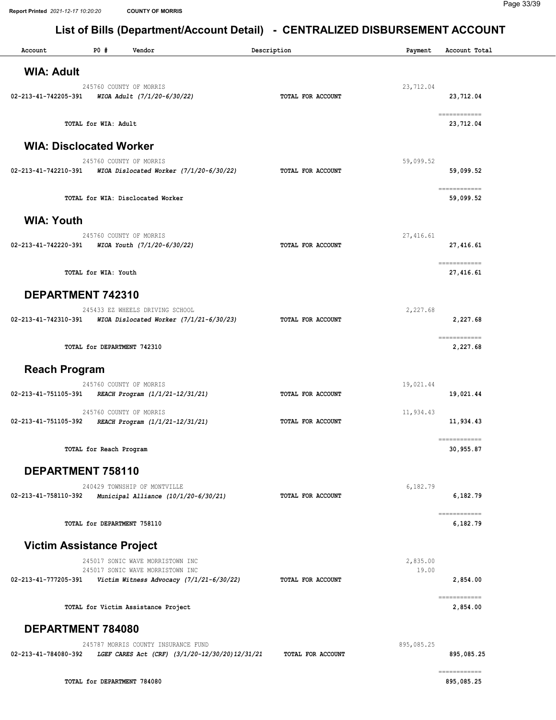| Account                          | P0#                         | Vendor                                     |                                                | Description       | Payment    | Account Total                                                                                                                                                                                                                                                                                                                                                                                                                                                                          |
|----------------------------------|-----------------------------|--------------------------------------------|------------------------------------------------|-------------------|------------|----------------------------------------------------------------------------------------------------------------------------------------------------------------------------------------------------------------------------------------------------------------------------------------------------------------------------------------------------------------------------------------------------------------------------------------------------------------------------------------|
| <b>WIA: Adult</b>                |                             |                                            |                                                |                   |            |                                                                                                                                                                                                                                                                                                                                                                                                                                                                                        |
|                                  |                             | 245760 COUNTY OF MORRIS                    |                                                |                   | 23,712.04  |                                                                                                                                                                                                                                                                                                                                                                                                                                                                                        |
| 02-213-41-742205-391             |                             | WIOA Adult (7/1/20-6/30/22)                |                                                | TOTAL FOR ACCOUNT |            | 23,712.04                                                                                                                                                                                                                                                                                                                                                                                                                                                                              |
|                                  |                             |                                            |                                                |                   |            |                                                                                                                                                                                                                                                                                                                                                                                                                                                                                        |
|                                  | TOTAL for WIA: Adult        |                                            |                                                |                   |            | ------------                                                                                                                                                                                                                                                                                                                                                                                                                                                                           |
|                                  |                             |                                            |                                                |                   |            | 23,712.04                                                                                                                                                                                                                                                                                                                                                                                                                                                                              |
| <b>WIA: Disclocated Worker</b>   |                             |                                            |                                                |                   |            |                                                                                                                                                                                                                                                                                                                                                                                                                                                                                        |
|                                  |                             | 245760 COUNTY OF MORRIS                    |                                                |                   | 59,099.52  |                                                                                                                                                                                                                                                                                                                                                                                                                                                                                        |
| 02-213-41-742210-391             |                             | WIOA Dislocated Worker $(7/1/20-6/30/22)$  |                                                | TOTAL FOR ACCOUNT |            | 59,099.52                                                                                                                                                                                                                                                                                                                                                                                                                                                                              |
|                                  |                             |                                            |                                                |                   |            |                                                                                                                                                                                                                                                                                                                                                                                                                                                                                        |
|                                  |                             | TOTAL for WIA: Disclocated Worker          |                                                |                   |            | ============<br>59,099.52                                                                                                                                                                                                                                                                                                                                                                                                                                                              |
|                                  |                             |                                            |                                                |                   |            |                                                                                                                                                                                                                                                                                                                                                                                                                                                                                        |
| <b>WIA: Youth</b>                |                             |                                            |                                                |                   |            |                                                                                                                                                                                                                                                                                                                                                                                                                                                                                        |
|                                  |                             | 245760 COUNTY OF MORRIS                    |                                                |                   | 27, 416.61 |                                                                                                                                                                                                                                                                                                                                                                                                                                                                                        |
| 02-213-41-742220-391             |                             | WIOA Youth (7/1/20-6/30/22)                |                                                | TOTAL FOR ACCOUNT |            | 27,416.61                                                                                                                                                                                                                                                                                                                                                                                                                                                                              |
|                                  |                             |                                            |                                                |                   |            | ------------                                                                                                                                                                                                                                                                                                                                                                                                                                                                           |
|                                  | TOTAL for WIA: Youth        |                                            |                                                |                   |            | 27,416.61                                                                                                                                                                                                                                                                                                                                                                                                                                                                              |
|                                  |                             |                                            |                                                |                   |            |                                                                                                                                                                                                                                                                                                                                                                                                                                                                                        |
| DEPARTMENT 742310                |                             |                                            |                                                |                   |            |                                                                                                                                                                                                                                                                                                                                                                                                                                                                                        |
|                                  |                             | 245433 EZ WHEELS DRIVING SCHOOL            |                                                |                   | 2,227.68   |                                                                                                                                                                                                                                                                                                                                                                                                                                                                                        |
| 02-213-41-742310-391             |                             | WIOA Dislocated Worker $(7/1/21-6/30/23)$  |                                                | TOTAL FOR ACCOUNT |            | 2,227.68                                                                                                                                                                                                                                                                                                                                                                                                                                                                               |
|                                  |                             |                                            |                                                |                   |            | ============                                                                                                                                                                                                                                                                                                                                                                                                                                                                           |
|                                  | TOTAL for DEPARTMENT 742310 |                                            |                                                |                   |            | 2,227.68                                                                                                                                                                                                                                                                                                                                                                                                                                                                               |
|                                  |                             |                                            |                                                |                   |            |                                                                                                                                                                                                                                                                                                                                                                                                                                                                                        |
| <b>Reach Program</b>             |                             |                                            |                                                |                   |            |                                                                                                                                                                                                                                                                                                                                                                                                                                                                                        |
|                                  |                             | 245760 COUNTY OF MORRIS                    |                                                |                   | 19,021.44  |                                                                                                                                                                                                                                                                                                                                                                                                                                                                                        |
| 02-213-41-751105-391             |                             | REACH Program (1/1/21-12/31/21)            |                                                | TOTAL FOR ACCOUNT |            | 19,021.44                                                                                                                                                                                                                                                                                                                                                                                                                                                                              |
|                                  |                             | 245760 COUNTY OF MORRIS                    |                                                |                   | 11,934.43  |                                                                                                                                                                                                                                                                                                                                                                                                                                                                                        |
| 02-213-41-751105-392             |                             | REACH Program (1/1/21-12/31/21)            |                                                | TOTAL FOR ACCOUNT |            | 11,934.43                                                                                                                                                                                                                                                                                                                                                                                                                                                                              |
|                                  |                             |                                            |                                                |                   |            |                                                                                                                                                                                                                                                                                                                                                                                                                                                                                        |
|                                  | TOTAL for Reach Program     |                                            |                                                |                   |            | ============<br>30,955.87                                                                                                                                                                                                                                                                                                                                                                                                                                                              |
|                                  |                             |                                            |                                                |                   |            |                                                                                                                                                                                                                                                                                                                                                                                                                                                                                        |
| DEPARTMENT 758110                |                             |                                            |                                                |                   |            |                                                                                                                                                                                                                                                                                                                                                                                                                                                                                        |
|                                  |                             | 240429 TOWNSHIP OF MONTVILLE               |                                                |                   | 6,182.79   |                                                                                                                                                                                                                                                                                                                                                                                                                                                                                        |
| 02-213-41-758110-392             |                             | Municipal Alliance (10/1/20-6/30/21)       |                                                | TOTAL FOR ACCOUNT |            | 6,182.79                                                                                                                                                                                                                                                                                                                                                                                                                                                                               |
|                                  |                             |                                            |                                                |                   |            | ============                                                                                                                                                                                                                                                                                                                                                                                                                                                                           |
|                                  | TOTAL for DEPARTMENT 758110 |                                            |                                                |                   |            | 6,182.79                                                                                                                                                                                                                                                                                                                                                                                                                                                                               |
|                                  |                             |                                            |                                                |                   |            |                                                                                                                                                                                                                                                                                                                                                                                                                                                                                        |
| <b>Victim Assistance Project</b> |                             |                                            |                                                |                   |            |                                                                                                                                                                                                                                                                                                                                                                                                                                                                                        |
|                                  |                             | 245017 SONIC WAVE MORRISTOWN INC           |                                                |                   | 2,835.00   |                                                                                                                                                                                                                                                                                                                                                                                                                                                                                        |
|                                  |                             | 245017 SONIC WAVE MORRISTOWN INC           |                                                |                   | 19.00      |                                                                                                                                                                                                                                                                                                                                                                                                                                                                                        |
| 02-213-41-777205-391             |                             | Victim Witness Advocacy $(7/1/21-6/30/22)$ |                                                | TOTAL FOR ACCOUNT |            | 2,854.00                                                                                                                                                                                                                                                                                                                                                                                                                                                                               |
|                                  |                             |                                            |                                                |                   |            | $\begin{array}{cccccccccc} \multicolumn{2}{c}{} & \multicolumn{2}{c}{} & \multicolumn{2}{c}{} & \multicolumn{2}{c}{} & \multicolumn{2}{c}{} & \multicolumn{2}{c}{} & \multicolumn{2}{c}{} & \multicolumn{2}{c}{} & \multicolumn{2}{c}{} & \multicolumn{2}{c}{} & \multicolumn{2}{c}{} & \multicolumn{2}{c}{} & \multicolumn{2}{c}{} & \multicolumn{2}{c}{} & \multicolumn{2}{c}{} & \multicolumn{2}{c}{} & \multicolumn{2}{c}{} & \multicolumn{2}{c}{} & \multicolumn{2}{c}{} & \mult$ |
|                                  |                             | TOTAL for Victim Assistance Project        |                                                |                   |            | 2,854.00                                                                                                                                                                                                                                                                                                                                                                                                                                                                               |
| DEPARTMENT 784080                |                             |                                            |                                                |                   |            |                                                                                                                                                                                                                                                                                                                                                                                                                                                                                        |
|                                  |                             |                                            |                                                |                   |            |                                                                                                                                                                                                                                                                                                                                                                                                                                                                                        |
| 02-213-41-784080-392             |                             | 245787 MORRIS COUNTY INSURANCE FUND        | LGEF CARES Act (CRF) (3/1/20-12/30/20)12/31/21 | TOTAL FOR ACCOUNT | 895,085.25 | 895,085.25                                                                                                                                                                                                                                                                                                                                                                                                                                                                             |
|                                  |                             |                                            |                                                |                   |            |                                                                                                                                                                                                                                                                                                                                                                                                                                                                                        |
|                                  | TOTAL for DEPARTMENT 784080 |                                            |                                                |                   |            | ------------<br>895,085.25                                                                                                                                                                                                                                                                                                                                                                                                                                                             |
|                                  |                             |                                            |                                                |                   |            |                                                                                                                                                                                                                                                                                                                                                                                                                                                                                        |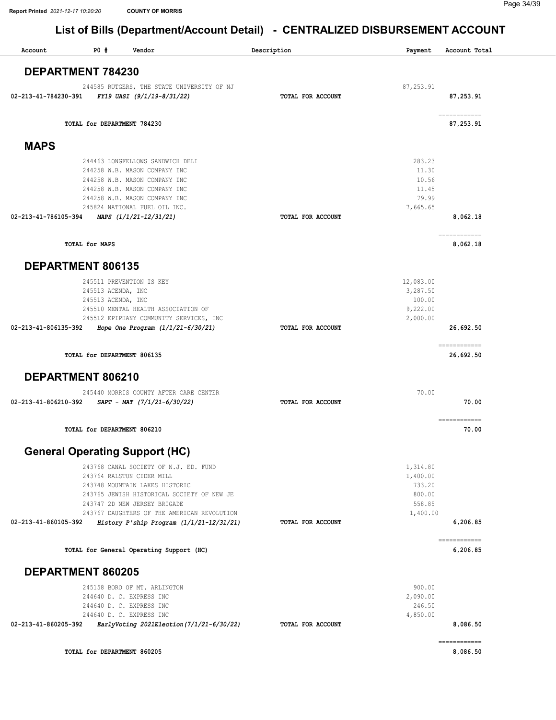| Account              | P0#                         | Vendor                                                      | Description       | Payment            | Account Total             |
|----------------------|-----------------------------|-------------------------------------------------------------|-------------------|--------------------|---------------------------|
|                      | DEPARTMENT 784230           |                                                             |                   |                    |                           |
|                      |                             | 244585 RUTGERS, THE STATE UNIVERSITY OF NJ                  |                   |                    |                           |
| 02-213-41-784230-391 |                             | FY19 UASI (9/1/19-8/31/22)                                  | TOTAL FOR ACCOUNT | 87, 253.91         | 87,253.91                 |
|                      |                             |                                                             |                   |                    | ============              |
|                      | TOTAL for DEPARTMENT 784230 |                                                             |                   |                    | 87,253.91                 |
| <b>MAPS</b>          |                             |                                                             |                   |                    |                           |
|                      |                             | 244463 LONGFELLOWS SANDWICH DELI                            |                   | 283.23             |                           |
|                      |                             | 244258 W.B. MASON COMPANY INC                               |                   | 11.30              |                           |
|                      |                             | 244258 W.B. MASON COMPANY INC                               |                   | 10.56              |                           |
|                      |                             | 244258 W.B. MASON COMPANY INC                               |                   | 11.45              |                           |
|                      |                             | 244258 W.B. MASON COMPANY INC                               |                   | 79.99              |                           |
| 02-213-41-786105-394 |                             | 245824 NATIONAL FUEL OIL INC.<br>MAPS (1/1/21-12/31/21)     | TOTAL FOR ACCOUNT | 7,665.65           | 8,062.18                  |
|                      |                             |                                                             |                   |                    |                           |
|                      | <b>TOTAL for MAPS</b>       |                                                             |                   |                    | ============<br>8,062.18  |
|                      | DEPARTMENT 806135           |                                                             |                   |                    |                           |
|                      |                             | 245511 PREVENTION IS KEY                                    |                   | 12,083.00          |                           |
|                      | 245513 ACENDA, INC          |                                                             |                   | 3,287.50           |                           |
|                      | 245513 ACENDA, INC          |                                                             |                   | 100.00             |                           |
|                      |                             | 245510 MENTAL HEALTH ASSOCIATION OF                         |                   | 9,222.00           |                           |
|                      |                             | 245512 EPIPHANY COMMUNITY SERVICES, INC                     |                   | 2,000.00           |                           |
| 02-213-41-806135-392 |                             | Hope One Program (1/1/21-6/30/21)                           | TOTAL FOR ACCOUNT |                    | 26,692.50                 |
|                      | TOTAL for DEPARTMENT 806135 |                                                             |                   |                    | ------------<br>26,692.50 |
|                      | DEPARTMENT 806210           |                                                             |                   |                    |                           |
|                      |                             | 245440 MORRIS COUNTY AFTER CARE CENTER                      |                   | 70.00              |                           |
| 02-213-41-806210-392 |                             | $SAPT - MAT$ (7/1/21-6/30/22)                               | TOTAL FOR ACCOUNT |                    | 70.00                     |
|                      | TOTAL for DEPARTMENT 806210 |                                                             |                   |                    | ecceccecece<br>70.00      |
|                      |                             |                                                             |                   |                    |                           |
|                      |                             | <b>General Operating Support (HC)</b>                       |                   |                    |                           |
|                      |                             | 243768 CANAL SOCIETY OF N.J. ED. FUND                       |                   | 1,314.80           |                           |
|                      |                             | 243764 RALSTON CIDER MILL<br>243748 MOUNTAIN LAKES HISTORIC |                   | 1,400.00<br>733.20 |                           |
|                      |                             | 243765 JEWISH HISTORICAL SOCIETY OF NEW JE                  |                   | 800.00             |                           |
|                      |                             | 243747 2D NEW JERSEY BRIGADE                                |                   | 558.85             |                           |
|                      |                             | 243767 DAUGHTERS OF THE AMERICAN REVOLUTION                 |                   | 1,400.00           |                           |
| 02-213-41-860105-392 |                             | History P'ship Program $(1/1/21-12/31/21)$                  | TOTAL FOR ACCOUNT |                    | 6,206.85                  |
|                      |                             | TOTAL for General Operating Support (HC)                    |                   |                    | ============<br>6,206.85  |
|                      | DEPARTMENT 860205           |                                                             |                   |                    |                           |
|                      |                             | 245158 BORO OF MT. ARLINGTON                                |                   | 900.00             |                           |
|                      |                             | 244640 D. C. EXPRESS INC                                    |                   | 2,090.00           |                           |
|                      |                             | 244640 D. C. EXPRESS INC                                    |                   | 246.50             |                           |
|                      |                             | 244640 D. C. EXPRESS INC                                    |                   | 4,850.00           |                           |
| 02-213-41-860205-392 |                             | EarlyVoting 2021Election (7/1/21-6/30/22)                   | TOTAL FOR ACCOUNT |                    | 8,086.50                  |
|                      | TOTAL for DEPARTMENT 860205 |                                                             |                   |                    | 8,086.50                  |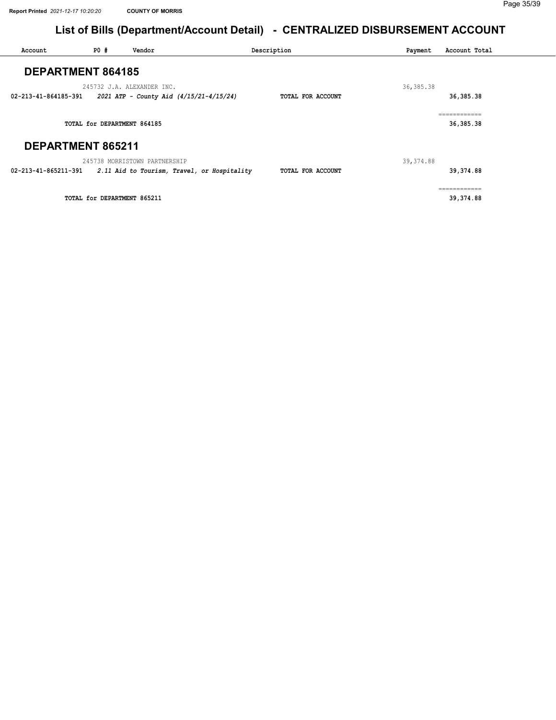| Account              | PO#                         | Vendor                                                                | Description       | Payment     | Account Total             |
|----------------------|-----------------------------|-----------------------------------------------------------------------|-------------------|-------------|---------------------------|
|                      | <b>DEPARTMENT 864185</b>    |                                                                       |                   |             |                           |
| 02-213-41-864185-391 |                             | 245732 J.A. ALEXANDER INC.<br>2021 ATP - County Aid (4/15/21-4/15/24) | TOTAL FOR ACCOUNT | 36, 385. 38 | 36, 385. 38               |
|                      | TOTAL for DEPARTMENT 864185 |                                                                       |                   |             | ============<br>36,385.38 |
|                      | DEPARTMENT 865211           |                                                                       |                   |             |                           |
|                      |                             | 245738 MORRISTOWN PARTNERSHIP                                         |                   | 39, 374.88  |                           |
| 02-213-41-865211-391 |                             | 2.11 Aid to Tourism, Travel, or Hospitality                           | TOTAL FOR ACCOUNT |             | 39,374.88                 |
|                      | TOTAL for DEPARTMENT 865211 |                                                                       |                   |             | ============<br>39,374.88 |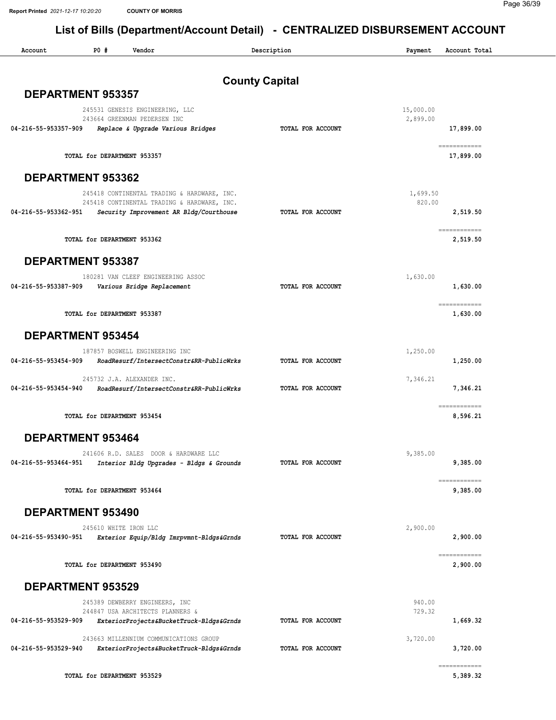| PO#<br>Account<br>Vendor                                                                                       | Description           | Payment          | Account Total                                                                                                                                                                                                                                                                                                                                                                                                                                                                                       |
|----------------------------------------------------------------------------------------------------------------|-----------------------|------------------|-----------------------------------------------------------------------------------------------------------------------------------------------------------------------------------------------------------------------------------------------------------------------------------------------------------------------------------------------------------------------------------------------------------------------------------------------------------------------------------------------------|
|                                                                                                                | <b>County Capital</b> |                  |                                                                                                                                                                                                                                                                                                                                                                                                                                                                                                     |
| <b>DEPARTMENT 953357</b>                                                                                       |                       |                  |                                                                                                                                                                                                                                                                                                                                                                                                                                                                                                     |
| 245531 GENESIS ENGINEERING, LLC                                                                                |                       | 15,000.00        |                                                                                                                                                                                                                                                                                                                                                                                                                                                                                                     |
| 243664 GREENMAN PEDERSEN INC<br>Replace & Upgrade Various Bridges<br>04-216-55-953357-909                      | TOTAL FOR ACCOUNT     | 2,899.00         | 17,899.00                                                                                                                                                                                                                                                                                                                                                                                                                                                                                           |
|                                                                                                                |                       |                  |                                                                                                                                                                                                                                                                                                                                                                                                                                                                                                     |
| TOTAL for DEPARTMENT 953357                                                                                    |                       |                  | $\begin{array}{cccccccccc} \multicolumn{2}{c}{} & \multicolumn{2}{c}{} & \multicolumn{2}{c}{} & \multicolumn{2}{c}{} & \multicolumn{2}{c}{} & \multicolumn{2}{c}{} & \multicolumn{2}{c}{} & \multicolumn{2}{c}{} & \multicolumn{2}{c}{} & \multicolumn{2}{c}{} & \multicolumn{2}{c}{} & \multicolumn{2}{c}{} & \multicolumn{2}{c}{} & \multicolumn{2}{c}{} & \multicolumn{2}{c}{} & \multicolumn{2}{c}{} & \multicolumn{2}{c}{} & \multicolumn{2}{c}{} & \multicolumn{2}{c}{} & \mult$<br>17,899.00 |
| DEPARTMENT 953362                                                                                              |                       |                  |                                                                                                                                                                                                                                                                                                                                                                                                                                                                                                     |
| 245418 CONTINENTAL TRADING & HARDWARE, INC.                                                                    |                       | 1,699.50         |                                                                                                                                                                                                                                                                                                                                                                                                                                                                                                     |
| 245418 CONTINENTAL TRADING & HARDWARE, INC.<br>04-216-55-953362-951<br>Security Improvement AR Bldg/Courthouse | TOTAL FOR ACCOUNT     | 820.00           | 2,519.50                                                                                                                                                                                                                                                                                                                                                                                                                                                                                            |
|                                                                                                                |                       |                  |                                                                                                                                                                                                                                                                                                                                                                                                                                                                                                     |
| TOTAL for DEPARTMENT 953362                                                                                    |                       |                  | ============<br>2,519.50                                                                                                                                                                                                                                                                                                                                                                                                                                                                            |
| <b>DEPARTMENT 953387</b>                                                                                       |                       |                  |                                                                                                                                                                                                                                                                                                                                                                                                                                                                                                     |
| 180281 VAN CLEEF ENGINEERING ASSOC                                                                             |                       | 1,630.00         |                                                                                                                                                                                                                                                                                                                                                                                                                                                                                                     |
| 04-216-55-953387-909<br>Various Bridge Replacement                                                             | TOTAL FOR ACCOUNT     |                  | 1,630.00                                                                                                                                                                                                                                                                                                                                                                                                                                                                                            |
|                                                                                                                |                       |                  | ============                                                                                                                                                                                                                                                                                                                                                                                                                                                                                        |
| TOTAL for DEPARTMENT 953387                                                                                    |                       |                  | 1,630.00                                                                                                                                                                                                                                                                                                                                                                                                                                                                                            |
| <b>DEPARTMENT 953454</b>                                                                                       |                       |                  |                                                                                                                                                                                                                                                                                                                                                                                                                                                                                                     |
| 187857 BOSWELL ENGINEERING INC                                                                                 |                       | 1,250.00         |                                                                                                                                                                                                                                                                                                                                                                                                                                                                                                     |
| 04-216-55-953454-909<br>RoadResurf/IntersectConstr&RR-PublicWrks                                               | TOTAL FOR ACCOUNT     |                  | 1,250.00                                                                                                                                                                                                                                                                                                                                                                                                                                                                                            |
| 245732 J.A. ALEXANDER INC.                                                                                     |                       | 7,346.21         |                                                                                                                                                                                                                                                                                                                                                                                                                                                                                                     |
| RoadResurf/IntersectConstr&RR-PublicWrks<br>04-216-55-953454-940                                               | TOTAL FOR ACCOUNT     |                  | 7,346.21                                                                                                                                                                                                                                                                                                                                                                                                                                                                                            |
|                                                                                                                |                       |                  | ============                                                                                                                                                                                                                                                                                                                                                                                                                                                                                        |
| TOTAL for DEPARTMENT 953454                                                                                    |                       |                  | 8,596.21                                                                                                                                                                                                                                                                                                                                                                                                                                                                                            |
| <b>DEPARTMENT 953464</b>                                                                                       |                       |                  |                                                                                                                                                                                                                                                                                                                                                                                                                                                                                                     |
| 241606 R.D. SALES DOOR & HARDWARE LLC                                                                          |                       | 9,385.00         |                                                                                                                                                                                                                                                                                                                                                                                                                                                                                                     |
| 04-216-55-953464-951<br>Interior Bldg Upgrades - Bldgs & Grounds                                               | TOTAL FOR ACCOUNT     |                  | 9,385.00                                                                                                                                                                                                                                                                                                                                                                                                                                                                                            |
| TOTAL for DEPARTMENT 953464                                                                                    |                       |                  | ============<br>9,385.00                                                                                                                                                                                                                                                                                                                                                                                                                                                                            |
|                                                                                                                |                       |                  |                                                                                                                                                                                                                                                                                                                                                                                                                                                                                                     |
| DEPARTMENT 953490                                                                                              |                       |                  |                                                                                                                                                                                                                                                                                                                                                                                                                                                                                                     |
| 245610 WHITE IRON LLC                                                                                          |                       | 2,900.00         |                                                                                                                                                                                                                                                                                                                                                                                                                                                                                                     |
| 04-216-55-953490-951<br>Exterior Equip/Bldg Imrpvmnt-Bldgs&Grnds                                               | TOTAL FOR ACCOUNT     |                  | 2,900.00                                                                                                                                                                                                                                                                                                                                                                                                                                                                                            |
| TOTAL for DEPARTMENT 953490                                                                                    |                       |                  | $\begin{array}{cccccccccc} \multicolumn{2}{c}{} & \multicolumn{2}{c}{} & \multicolumn{2}{c}{} & \multicolumn{2}{c}{} & \multicolumn{2}{c}{} & \multicolumn{2}{c}{} & \multicolumn{2}{c}{} & \multicolumn{2}{c}{} & \multicolumn{2}{c}{} & \multicolumn{2}{c}{} & \multicolumn{2}{c}{} & \multicolumn{2}{c}{} & \multicolumn{2}{c}{} & \multicolumn{2}{c}{} & \multicolumn{2}{c}{} & \multicolumn{2}{c}{} & \multicolumn{2}{c}{} & \multicolumn{2}{c}{} & \multicolumn{2}{c}{} & \mult$<br>2,900.00  |
|                                                                                                                |                       |                  |                                                                                                                                                                                                                                                                                                                                                                                                                                                                                                     |
| <b>DEPARTMENT 953529</b>                                                                                       |                       |                  |                                                                                                                                                                                                                                                                                                                                                                                                                                                                                                     |
| 245389 DEWBERRY ENGINEERS, INC                                                                                 |                       | 940.00<br>729.32 |                                                                                                                                                                                                                                                                                                                                                                                                                                                                                                     |
| 244847 USA ARCHITECTS PLANNERS &<br>04-216-55-953529-909<br>ExteriorProjects&BucketTruck-Bldgs&Grnds           | TOTAL FOR ACCOUNT     |                  | 1,669.32                                                                                                                                                                                                                                                                                                                                                                                                                                                                                            |
|                                                                                                                |                       |                  |                                                                                                                                                                                                                                                                                                                                                                                                                                                                                                     |
| 243663 MILLENNIUM COMMUNICATIONS GROUP<br>04-216-55-953529-940<br>ExteriorProjects&BucketTruck-Bldgs&Grnds     | TOTAL FOR ACCOUNT     | 3,720.00         | 3,720.00                                                                                                                                                                                                                                                                                                                                                                                                                                                                                            |
|                                                                                                                |                       |                  |                                                                                                                                                                                                                                                                                                                                                                                                                                                                                                     |
|                                                                                                                |                       |                  | $\begin{array}{cccccccccc} \multicolumn{2}{c}{} & \multicolumn{2}{c}{} & \multicolumn{2}{c}{} & \multicolumn{2}{c}{} & \multicolumn{2}{c}{} & \multicolumn{2}{c}{} & \multicolumn{2}{c}{} & \multicolumn{2}{c}{} & \multicolumn{2}{c}{} & \multicolumn{2}{c}{} & \multicolumn{2}{c}{} & \multicolumn{2}{c}{} & \multicolumn{2}{c}{} & \multicolumn{2}{c}{} & \multicolumn{2}{c}{} & \multicolumn{2}{c}{} & \multicolumn{2}{c}{} & \multicolumn{2}{c}{} & \multicolumn{2}{c}{} & \mult$              |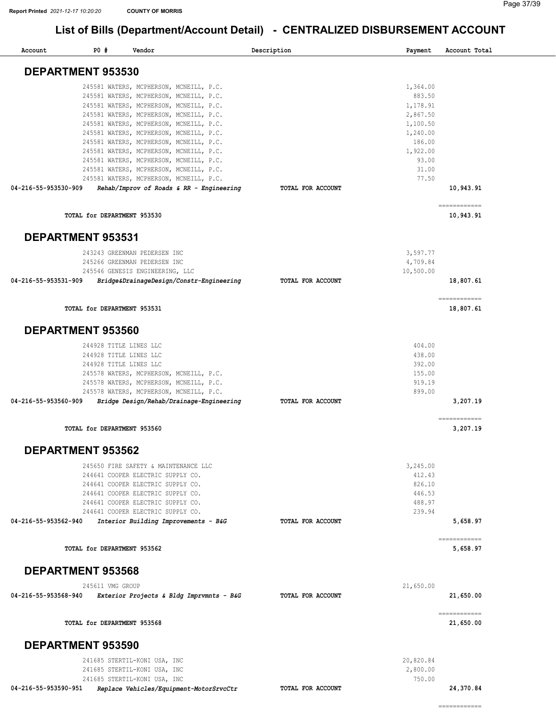| Account                  | P0#                         | Vendor                                  |                                          | Description       | Payment   | Account Total             |
|--------------------------|-----------------------------|-----------------------------------------|------------------------------------------|-------------------|-----------|---------------------------|
| DEPARTMENT 953530        |                             |                                         |                                          |                   |           |                           |
|                          |                             | 245581 WATERS, MCPHERSON, MCNEILL, P.C. |                                          |                   | 1,364.00  |                           |
|                          |                             | 245581 WATERS, MCPHERSON, MCNEILL, P.C. |                                          |                   | 883.50    |                           |
|                          |                             | 245581 WATERS, MCPHERSON, MCNEILL, P.C. |                                          |                   | 1,178.91  |                           |
|                          |                             | 245581 WATERS, MCPHERSON, MCNEILL, P.C. |                                          |                   | 2,867.50  |                           |
|                          |                             | 245581 WATERS, MCPHERSON, MCNEILL, P.C. |                                          |                   | 1,100.50  |                           |
|                          |                             | 245581 WATERS, MCPHERSON, MCNEILL, P.C. |                                          |                   | 1,240.00  |                           |
|                          |                             | 245581 WATERS, MCPHERSON, MCNEILL, P.C. |                                          |                   | 186.00    |                           |
|                          |                             | 245581 WATERS, MCPHERSON, MCNEILL, P.C. |                                          |                   | 1,922.00  |                           |
|                          |                             | 245581 WATERS, MCPHERSON, MCNEILL, P.C. |                                          |                   | 93.00     |                           |
|                          |                             | 245581 WATERS, MCPHERSON, MCNEILL, P.C. |                                          |                   | 31.00     |                           |
| 04-216-55-953530-909     |                             | 245581 WATERS, MCPHERSON, MCNEILL, P.C. |                                          | TOTAL FOR ACCOUNT | 77.50     | 10,943.91                 |
|                          |                             |                                         | Rehab/Improv of Roads & RR - Engineering |                   |           | ============              |
|                          | TOTAL for DEPARTMENT 953530 |                                         |                                          |                   |           | 10,943.91                 |
| <b>DEPARTMENT 953531</b> |                             |                                         |                                          |                   |           |                           |
|                          |                             | 243243 GREENMAN PEDERSEN INC            |                                          |                   | 3,597.77  |                           |
|                          |                             | 245266 GREENMAN PEDERSEN INC            |                                          |                   | 4,709.84  |                           |
|                          |                             | 245546 GENESIS ENGINEERING, LLC         |                                          |                   | 10,500.00 |                           |
| 04-216-55-953531-909     |                             |                                         | Bridge&DrainageDesign/Constr-Engineering | TOTAL FOR ACCOUNT |           | 18,807.61                 |
|                          | TOTAL for DEPARTMENT 953531 |                                         |                                          |                   |           | ------------<br>18,807.61 |
| <b>DEPARTMENT 953560</b> |                             |                                         |                                          |                   |           |                           |
|                          |                             | 244928 TITLE LINES LLC                  |                                          |                   | 404.00    |                           |
|                          |                             | 244928 TITLE LINES LLC                  |                                          |                   | 438.00    |                           |
|                          |                             | 244928 TITLE LINES LLC                  |                                          |                   | 392.00    |                           |
|                          |                             | 245578 WATERS, MCPHERSON, MCNEILL, P.C. |                                          |                   | 155.00    |                           |
|                          |                             | 245578 WATERS, MCPHERSON, MCNEILL, P.C. |                                          |                   | 919.19    |                           |
|                          |                             | 245578 WATERS, MCPHERSON, MCNEILL, P.C. |                                          |                   | 899.00    |                           |
| 04-216-55-953560-909     |                             |                                         | Bridge Design/Rehab/Drainage-Engineering | TOTAL FOR ACCOUNT |           | 3,207.19                  |
|                          |                             |                                         |                                          |                   |           | ------------              |
|                          | TOTAL for DEPARTMENT 953560 |                                         |                                          |                   |           | 3,207.19                  |
| <b>DEPARTMENT 953562</b> |                             |                                         |                                          |                   |           |                           |
|                          |                             | 245650 FIRE SAFETY & MAINTENANCE LLC    |                                          |                   | 3,245.00  |                           |
|                          |                             | 244641 COOPER ELECTRIC SUPPLY CO.       |                                          |                   | 412.43    |                           |
|                          |                             | 244641 COOPER ELECTRIC SUPPLY CO.       |                                          |                   | 826.10    |                           |
|                          |                             | 244641 COOPER ELECTRIC SUPPLY CO.       |                                          |                   | 446.53    |                           |
|                          |                             | 244641 COOPER ELECTRIC SUPPLY CO.       |                                          |                   | 488.97    |                           |
|                          |                             | 244641 COOPER ELECTRIC SUPPLY CO.       |                                          |                   | 239.94    |                           |
| 04-216-55-953562-940     |                             | Interior Building Improvements - B&G    |                                          | TOTAL FOR ACCOUNT |           | 5,658.97                  |
|                          | TOTAL for DEPARTMENT 953562 |                                         |                                          |                   |           | ------------<br>5,658.97  |
| <b>DEPARTMENT 953568</b> |                             |                                         |                                          |                   |           |                           |
|                          | 245611 VMG GROUP            |                                         |                                          |                   | 21,650.00 |                           |
| 04-216-55-953568-940     |                             |                                         | Exterior Projects & Bldg Imprvmnts - B&G | TOTAL FOR ACCOUNT |           | 21,650.00                 |
|                          |                             |                                         |                                          |                   |           | ============              |
|                          | TOTAL for DEPARTMENT 953568 |                                         |                                          |                   |           | 21,650.00                 |
| <b>DEPARTMENT 953590</b> |                             |                                         |                                          |                   |           |                           |
|                          |                             | 241685 STERTIL-KONI USA, INC            |                                          |                   | 20,820.84 |                           |
|                          |                             | 241685 STERTIL-KONI USA, INC            |                                          |                   | 2,800.00  |                           |
|                          |                             | 241685 STERTIL-KONI USA, INC            |                                          |                   | 750.00    |                           |
| 04-216-55-953590-951     |                             | Replace Vehicles/Equipment-MotorSrvcCtr |                                          | TOTAL FOR ACCOUNT |           | 24,370.84                 |
|                          |                             |                                         |                                          |                   |           | ============              |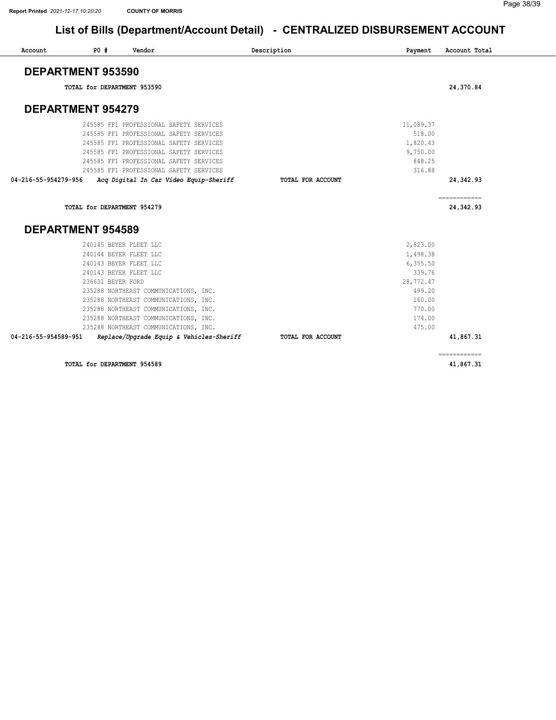| Account              | P0#<br>Vendor                           | Description       | Payment   | Account Total |
|----------------------|-----------------------------------------|-------------------|-----------|---------------|
|                      | DEPARTMENT 953590                       |                   |           |               |
|                      | TOTAL for DEPARTMENT 953590             |                   |           | 24,370.84     |
|                      | <b>DEPARTMENT 954279</b>                |                   |           |               |
|                      | 245585 FF1 PROFESSIONAL SAFETY SERVICES |                   | 11,089.37 |               |
|                      | 245585 FF1 PROFESSIONAL SAFETY SERVICES |                   | 518.00    |               |
|                      | 245585 FF1 PROFESSIONAL SAFETY SERVICES |                   | 1,820.43  |               |
|                      | 245585 FF1 PROFESSIONAL SAFETY SERVICES |                   | 9,750.00  |               |
|                      | 245585 FF1 PROFESSIONAL SAFETY SERVICES |                   | 848.25    |               |
|                      | 245585 FF1 PROFESSIONAL SAFETY SERVICES |                   | 316.88    |               |
| 04-216-55-954279-956 | Acq Digital In Car Video Equip-Sheriff  | TOTAL FOR ACCOUNT |           | 24,342.93     |
|                      | TOTAL for DEPARTMENT 954279             |                   |           | 24,342.93     |
|                      | <b>DEPARTMENT 954589</b>                |                   |           |               |
|                      |                                         |                   |           |               |
|                      | 240145 BEYER FLEET LLC                  |                   | 2,823.00  |               |
|                      | 240144 BEYER FLEET LLC                  |                   | 1,498.38  |               |
|                      | 240143 BEYER FLEET LLC                  |                   | 6, 355.50 |               |
|                      | 240143 BEYER FLEET LLC                  |                   | 339.76    |               |
|                      | 236631 BEYER FORD                       |                   | 28,772.47 |               |
|                      | 235288 NORTHEAST COMMUNICATIONS, INC.   |                   | 499.20    |               |
|                      | 235288 NORTHEAST COMMUNICATIONS, INC.   |                   | 160.00    |               |
|                      | 235288 NORTHEAST COMMUNICATIONS, INC.   |                   | 770.00    |               |
|                      | 235288 NORTHEAST COMMUNICATIONS, INC.   |                   | 174.00    |               |
|                      | 235288 NORTHEAST COMMUNICATIONS, INC.   |                   | 475.00    |               |

TOTAL for DEPARTMENT 954589 41,867.31